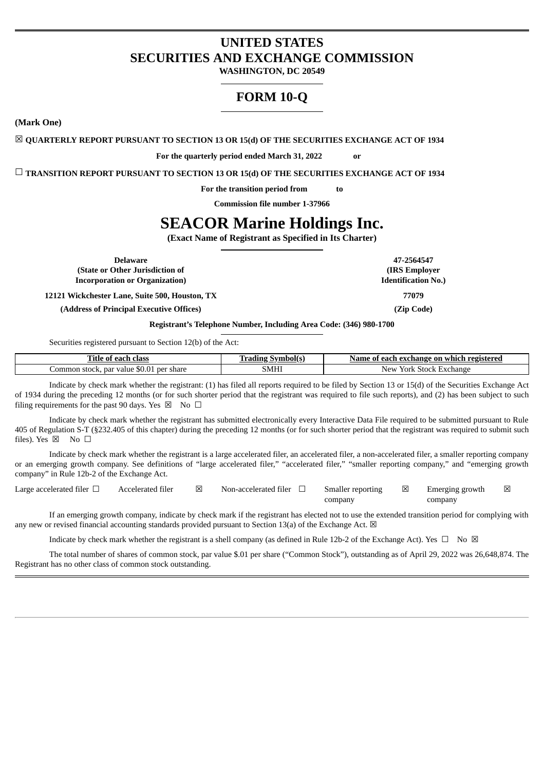# **UNITED STATES SECURITIES AND EXCHANGE COMMISSION**

**WASHINGTON, DC 20549**

# **FORM 10-Q**

**(Mark One)**

☒ **QUARTERLY REPORT PURSUANT TO SECTION 13 OR 15(d) OF THE SECURITIES EXCHANGE ACT OF 1934**

**For the quarterly period ended March 31, 2022 or**

☐ **TRANSITION REPORT PURSUANT TO SECTION 13 OR 15(d) OF THE SECURITIES EXCHANGE ACT OF 1934**

**For the transition period from to**

**Commission file number 1-37966**

# **SEACOR Marine Holdings Inc.**

**(Exact Name of Registrant as Specified in Its Charter)**

**Delaware 47-2564547 (State or Other Jurisdiction of Incorporation or Organization)**

**12121 Wickchester Lane, Suite 500, Houston, TX 77079**

**(Address of Principal Executive Offices) (Zip Code)**

**(IRS Employer Identification No.)**

**Registrant's Telephone Number, Including Area Code: (346) 980-1700**

Securities registered pursuant to Section 12(b) of the Act:

| class<br>. It F<br>$\mathbf{u}$                                      | $\sim$ .        | registeren<br>. ange<br>eacl<br>- OF<br>which<br>nve<br>10 I |
|----------------------------------------------------------------------|-----------------|--------------------------------------------------------------|
| . .<br>. .<br>share<br>ommon<br>. par value<br>ner<br>-stoc<br>.DU.U | .JIV'<br>VII I. | `hange<br>New<br>tock<br>′∩r                                 |

Indicate by check mark whether the registrant: (1) has filed all reports required to be filed by Section 13 or 15(d) of the Securities Exchange Act of 1934 during the preceding 12 months (or for such shorter period that the registrant was required to file such reports), and (2) has been subject to such filing requirements for the past 90 days. Yes  $\boxtimes$  No  $\Box$ 

Indicate by check mark whether the registrant has submitted electronically every Interactive Data File required to be submitted pursuant to Rule 405 of Regulation S-T (§232.405 of this chapter) during the preceding 12 months (or for such shorter period that the registrant was required to submit such files). Yes  $\boxtimes$  No  $\Box$ 

Indicate by check mark whether the registrant is a large accelerated filer, an accelerated filer, a non-accelerated filer, a smaller reporting company or an emerging growth company. See definitions of "large accelerated filer," "accelerated filer," "smaller reporting company," and "emerging growth company" in Rule 12b-2 of the Exchange Act.

| Large accelerated filer $\Box$ | Accelerated filer | ⊠ | Non-accelerated filer $\Box$ | Smaller reporting | $\boxtimes$ | Emerging growth | $\boxtimes$ |
|--------------------------------|-------------------|---|------------------------------|-------------------|-------------|-----------------|-------------|
|                                |                   |   |                              | company           |             | company         |             |

If an emerging growth company, indicate by check mark if the registrant has elected not to use the extended transition period for complying with any new or revised financial accounting standards provided pursuant to Section 13(a) of the Exchange Act.  $\boxtimes$ 

Indicate by check mark whether the registrant is a shell company (as defined in Rule 12b-2 of the Exchange Act). Yes  $\Box$  No  $\boxtimes$ 

The total number of shares of common stock, par value \$.01 per share ("Common Stock"), outstanding as of April 29, 2022 was 26,648,874. The Registrant has no other class of common stock outstanding.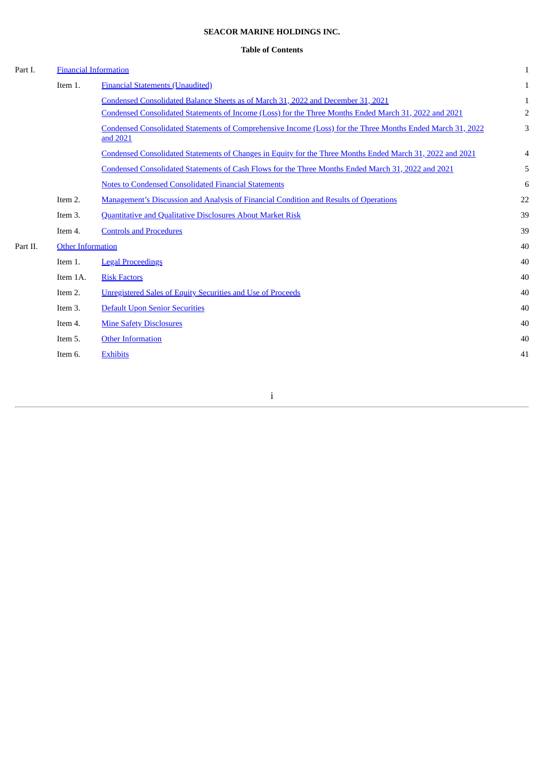# **SEACOR MARINE HOLDINGS INC.**

# **Table of Contents**

| Part I.  | <b>Financial Information</b> |                                                                                                                        | 1            |
|----------|------------------------------|------------------------------------------------------------------------------------------------------------------------|--------------|
|          | Item 1.                      | <b>Financial Statements (Unaudited)</b>                                                                                | 1            |
|          |                              | Condensed Consolidated Balance Sheets as of March 31, 2022 and December 31, 2021                                       | $\mathbf{1}$ |
|          |                              | Condensed Consolidated Statements of Income (Loss) for the Three Months Ended March 31, 2022 and 2021                  | 2            |
|          |                              | Condensed Consolidated Statements of Comprehensive Income (Loss) for the Three Months Ended March 31, 2022<br>and 2021 | 3            |
|          |                              | Condensed Consolidated Statements of Changes in Equity for the Three Months Ended March 31, 2022 and 2021              | 4            |
|          |                              | Condensed Consolidated Statements of Cash Flows for the Three Months Ended March 31, 2022 and 2021                     | 5            |
|          |                              | <b>Notes to Condensed Consolidated Financial Statements</b>                                                            | 6            |
|          | Item 2.                      | Management's Discussion and Analysis of Financial Condition and Results of Operations                                  | 22           |
|          | Item 3.                      | <b>Quantitative and Qualitative Disclosures About Market Risk</b>                                                      | 39           |
|          | Item 4.                      | <b>Controls and Procedures</b>                                                                                         | 39           |
| Part II. | <b>Other Information</b>     |                                                                                                                        | 40           |
|          | Item 1.                      | <b>Legal Proceedings</b>                                                                                               | 40           |
|          | Item 1A.                     | <b>Risk Factors</b>                                                                                                    | 40           |
|          | Item 2.                      | <b>Unregistered Sales of Equity Securities and Use of Proceeds</b>                                                     | 40           |
|          | Item 3.                      | <b>Default Upon Senior Securities</b>                                                                                  | 40           |
|          | Item 4.                      | <b>Mine Safety Disclosures</b>                                                                                         | 40           |
|          | Item 5.                      | <b>Other Information</b>                                                                                               | 40           |
|          | Item 6.                      | <b>Exhibits</b>                                                                                                        | 41           |
|          |                              |                                                                                                                        |              |

i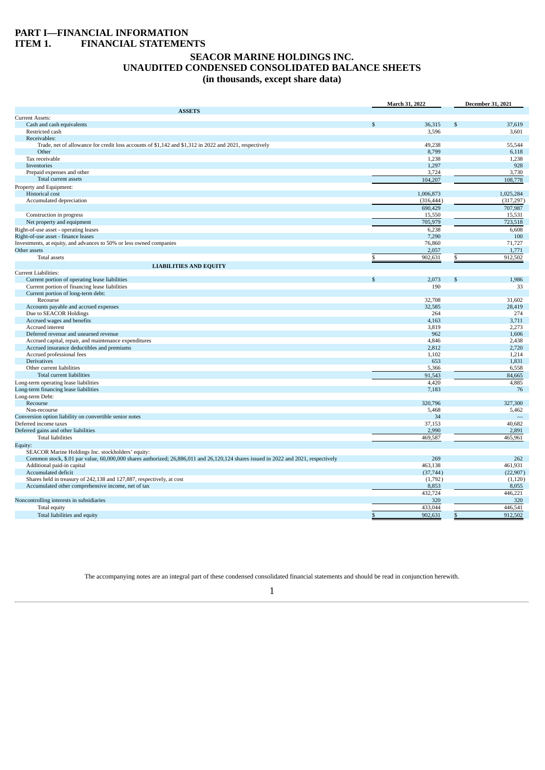# <span id="page-2-2"></span><span id="page-2-1"></span><span id="page-2-0"></span>**PART I—FINANCIAL INFORMATION ITEM 1. FINANCIAL STATEMENTS**

# **SEACOR MARINE HOLDINGS INC. UNAUDITED CONDENSED CONSOLIDATED BALANCE SHEETS (in thousands, except share data)**

|                                                                                                                                     |              | March 31, 2022 | <b>December 31, 2021</b> |            |  |
|-------------------------------------------------------------------------------------------------------------------------------------|--------------|----------------|--------------------------|------------|--|
| <b>ASSETS</b>                                                                                                                       |              |                |                          |            |  |
| <b>Current Assets:</b>                                                                                                              |              |                |                          |            |  |
| Cash and cash equivalents                                                                                                           | $\mathbb{S}$ | 36,315         | $\mathbb{S}$             | 37,619     |  |
| Restricted cash                                                                                                                     |              | 3,596          |                          | 3,601      |  |
| Receivables:                                                                                                                        |              |                |                          |            |  |
| Trade, net of allowance for credit loss accounts of \$1,142 and \$1,312 in 2022 and 2021, respectively                              |              | 49,238         |                          | 55,544     |  |
| Other                                                                                                                               |              | 8,799          |                          | 6,118      |  |
| Tax receivable                                                                                                                      |              | 1,238          |                          | 1,238      |  |
| Inventories                                                                                                                         |              | 1,297          |                          | 928        |  |
| Prepaid expenses and other                                                                                                          |              | 3,724          |                          | 3,730      |  |
| Total current assets                                                                                                                |              | 104,207        |                          | 108,778    |  |
| Property and Equipment:                                                                                                             |              |                |                          |            |  |
| Historical cost                                                                                                                     |              | 1,006,873      |                          | 1,025,284  |  |
| Accumulated depreciation                                                                                                            |              | (316, 444)     |                          | (317, 297) |  |
|                                                                                                                                     |              | 690,429        |                          | 707,987    |  |
| Construction in progress                                                                                                            |              | 15,550         |                          | 15,531     |  |
| Net property and equipment                                                                                                          |              | 705,979        |                          | 723,518    |  |
| Right-of-use asset - operating leases                                                                                               |              | 6,238          |                          | 6,608      |  |
| Right-of-use asset - finance leases                                                                                                 |              | 7,290          |                          | 100        |  |
| Investments, at equity, and advances to 50% or less owned companies                                                                 |              | 76,860         |                          | 71,727     |  |
| Other assets                                                                                                                        |              | 2,057          |                          | 1,771      |  |
| Total assets                                                                                                                        | \$           | 902,631        | \$                       | 912,502    |  |
| <b>LIABILITIES AND EQUITY</b>                                                                                                       |              |                |                          |            |  |
| Current Liabilities:                                                                                                                |              |                |                          |            |  |
| Current portion of operating lease liabilities                                                                                      | \$           | 2,073          | \$                       | 1,986      |  |
| Current portion of financing lease liabilities                                                                                      |              | 190            |                          | 33         |  |
| Current portion of long-term debt:                                                                                                  |              |                |                          |            |  |
| Recourse                                                                                                                            |              | 32,708         |                          | 31,602     |  |
| Accounts payable and accrued expenses                                                                                               |              | 32,585         |                          | 28,419     |  |
| Due to SEACOR Holdings                                                                                                              |              | 264            |                          | 274        |  |
| Accrued wages and benefits                                                                                                          |              | 4,163          |                          | 3,711      |  |
| Accrued interest                                                                                                                    |              | 3,819          |                          | 2,273      |  |
| Deferred revenue and unearned revenue                                                                                               |              | 962            |                          | 1,606      |  |
| Accrued capital, repair, and maintenance expenditures                                                                               |              | 4,846          |                          | 2,438      |  |
| Accrued insurance deductibles and premiums                                                                                          |              | 2,812          |                          | 2,720      |  |
| Accrued professional fees                                                                                                           |              | 1,102          |                          | 1,214      |  |
| <b>Derivatives</b>                                                                                                                  |              | 653            |                          | 1,831      |  |
| Other current liabilities                                                                                                           |              | 5,366          |                          | 6,558      |  |
| Total current liabilities                                                                                                           |              | 91,543         |                          | 84,665     |  |
| Long-term operating lease liabilities                                                                                               |              | 4,420          |                          | 4,885      |  |
| Long-term financing lease liabilities                                                                                               |              | 7,183          |                          | 76         |  |
| Long-term Debt:                                                                                                                     |              |                |                          |            |  |
| Recourse                                                                                                                            |              | 320,796        |                          | 327,300    |  |
| Non-recourse                                                                                                                        |              | 5,468          |                          | 5,462      |  |
| Conversion option liability on convertible senior notes                                                                             |              | 34             |                          |            |  |
| Deferred income taxes                                                                                                               |              | 37,153         |                          | 40,682     |  |
| Deferred gains and other liabilities                                                                                                |              | 2,990          |                          | 2,891      |  |
| <b>Total liabilities</b>                                                                                                            |              | 469,587        |                          | 465,961    |  |
| Equity:                                                                                                                             |              |                |                          |            |  |
| SEACOR Marine Holdings Inc. stockholders' equity:                                                                                   |              |                |                          |            |  |
| Common stock, \$.01 par value, 60,000,000 shares authorized; 26,886,011 and 26,120,124 shares issued in 2022 and 2021, respectively |              | 269            |                          | 262        |  |
| Additional paid-in capital                                                                                                          |              | 463,138        |                          | 461,931    |  |
| Accumulated deficit                                                                                                                 |              | (37,744)       |                          | (22, 907)  |  |
| Shares held in treasury of 242,138 and 127,887, respectively, at cost                                                               |              | (1,792)        |                          | (1, 120)   |  |
| Accumulated other comprehensive income, net of tax                                                                                  |              | 8,853          |                          | 8,055      |  |
|                                                                                                                                     |              | 432,724        |                          | 446,221    |  |
| Noncontrolling interests in subsidiaries                                                                                            |              | 320            |                          | 320        |  |
| Total equity                                                                                                                        |              | 433,044        |                          | 446,541    |  |
| Total liabilities and equity                                                                                                        | \$           | 902,631        | \$                       | 912,502    |  |

The accompanying notes are an integral part of these condensed consolidated financial statements and should be read in conjunction herewith.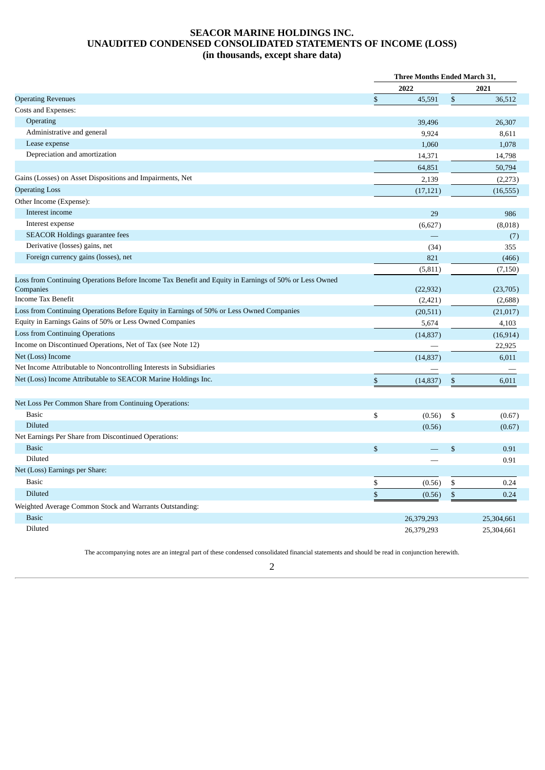# **SEACOR MARINE HOLDINGS INC. UNAUDITED CONDENSED CONSOLIDATED STATEMENTS OF INCOME (LOSS) (in thousands, except share data)**

<span id="page-3-0"></span>

|                                                                                                       | <b>Three Months Ended March 31,</b> |            |    |            |  |
|-------------------------------------------------------------------------------------------------------|-------------------------------------|------------|----|------------|--|
|                                                                                                       |                                     | 2022       |    | 2021       |  |
| <b>Operating Revenues</b>                                                                             | \$                                  | 45,591     | \$ | 36,512     |  |
| Costs and Expenses:                                                                                   |                                     |            |    |            |  |
| Operating                                                                                             |                                     | 39,496     |    | 26,307     |  |
| Administrative and general                                                                            |                                     | 9,924      |    | 8,611      |  |
| Lease expense                                                                                         |                                     | 1,060      |    | 1,078      |  |
| Depreciation and amortization                                                                         |                                     | 14,371     |    | 14,798     |  |
|                                                                                                       |                                     | 64,851     |    | 50,794     |  |
| Gains (Losses) on Asset Dispositions and Impairments, Net                                             |                                     | 2,139      |    | (2,273)    |  |
| <b>Operating Loss</b>                                                                                 |                                     | (17, 121)  |    | (16, 555)  |  |
| Other Income (Expense):                                                                               |                                     |            |    |            |  |
| Interest income                                                                                       |                                     | 29         |    | 986        |  |
| Interest expense                                                                                      |                                     | (6,627)    |    | (8,018)    |  |
| <b>SEACOR Holdings guarantee fees</b>                                                                 |                                     |            |    | (7)        |  |
| Derivative (losses) gains, net                                                                        |                                     | (34)       |    | 355        |  |
| Foreign currency gains (losses), net                                                                  |                                     | 821        |    | (466)      |  |
|                                                                                                       |                                     | (5,811)    |    | (7, 150)   |  |
| Loss from Continuing Operations Before Income Tax Benefit and Equity in Earnings of 50% or Less Owned |                                     |            |    |            |  |
| Companies                                                                                             |                                     | (22, 932)  |    | (23,705)   |  |
| <b>Income Tax Benefit</b>                                                                             |                                     | (2, 421)   |    | (2,688)    |  |
| Loss from Continuing Operations Before Equity in Earnings of 50% or Less Owned Companies              |                                     | (20,511)   |    | (21, 017)  |  |
| Equity in Earnings Gains of 50% or Less Owned Companies                                               |                                     | 5,674      |    | 4,103      |  |
| <b>Loss from Continuing Operations</b>                                                                |                                     | (14, 837)  |    | (16, 914)  |  |
| Income on Discontinued Operations, Net of Tax (see Note 12)                                           |                                     |            |    | 22,925     |  |
| Net (Loss) Income                                                                                     |                                     | (14, 837)  |    | 6,011      |  |
| Net Income Attributable to Noncontrolling Interests in Subsidiaries                                   |                                     |            |    |            |  |
| Net (Loss) Income Attributable to SEACOR Marine Holdings Inc.                                         | \$                                  | (14, 837)  | \$ | 6,011      |  |
|                                                                                                       |                                     |            |    |            |  |
| Net Loss Per Common Share from Continuing Operations:                                                 |                                     |            |    |            |  |
| <b>Basic</b>                                                                                          | \$                                  | (0.56)     | \$ | (0.67)     |  |
| <b>Diluted</b>                                                                                        |                                     | (0.56)     |    | (0.67)     |  |
| Net Earnings Per Share from Discontinued Operations:                                                  |                                     |            |    |            |  |
| <b>Basic</b>                                                                                          | \$                                  |            | \$ | 0.91       |  |
| Diluted                                                                                               |                                     |            |    | 0.91       |  |
| Net (Loss) Earnings per Share:                                                                        |                                     |            |    |            |  |
| <b>Basic</b>                                                                                          | \$                                  | (0.56)     | \$ | 0.24       |  |
| <b>Diluted</b>                                                                                        | \$                                  | (0.56)     | \$ | 0.24       |  |
| Weighted Average Common Stock and Warrants Outstanding:                                               |                                     |            |    |            |  |
| <b>Basic</b>                                                                                          |                                     | 26,379,293 |    | 25,304,661 |  |
| Diluted                                                                                               |                                     | 26,379,293 |    | 25,304,661 |  |
|                                                                                                       |                                     |            |    |            |  |

The accompanying notes are an integral part of these condensed consolidated financial statements and should be read in conjunction herewith.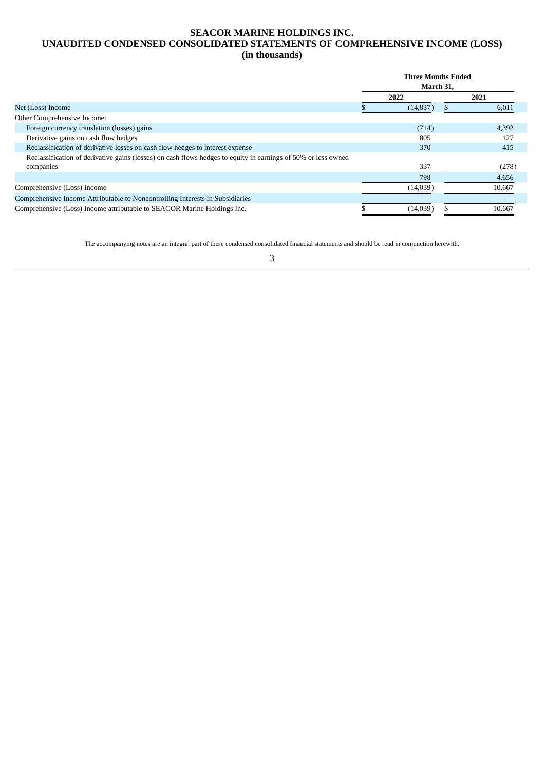# <span id="page-4-0"></span>**SEACOR MARINE HOLDINGS INC. UNAUDITED CONDENSED CONSOLIDATED STATEMENTS OF COMPREHENSIVE INCOME (LOSS) (in thousands)**

|                                                                                                               | <b>Three Months Ended</b> |           |  |        |  |  |
|---------------------------------------------------------------------------------------------------------------|---------------------------|-----------|--|--------|--|--|
|                                                                                                               |                           | March 31. |  |        |  |  |
|                                                                                                               |                           | 2022      |  | 2021   |  |  |
| Net (Loss) Income                                                                                             |                           | (14, 837) |  | 6,011  |  |  |
| Other Comprehensive Income:                                                                                   |                           |           |  |        |  |  |
| Foreign currency translation (losses) gains                                                                   |                           | (714)     |  | 4,392  |  |  |
| Derivative gains on cash flow hedges                                                                          |                           | 805       |  | 127    |  |  |
| Reclassification of derivative losses on cash flow hedges to interest expense                                 |                           | 370       |  | 415    |  |  |
| Reclassification of derivative gains (losses) on cash flows hedges to equity in earnings of 50% or less owned |                           |           |  |        |  |  |
| companies                                                                                                     |                           | 337       |  | (278)  |  |  |
|                                                                                                               |                           | 798       |  | 4,656  |  |  |
| Comprehensive (Loss) Income                                                                                   |                           | (14,039)  |  | 10,667 |  |  |
| Comprehensive Income Attributable to Noncontrolling Interests in Subsidiaries                                 |                           |           |  |        |  |  |
| Comprehensive (Loss) Income attributable to SEACOR Marine Holdings Inc.                                       |                           | (14, 039) |  | 10,667 |  |  |

The accompanying notes are an integral part of these condensed consolidated financial statements and should be read in conjunction herewith.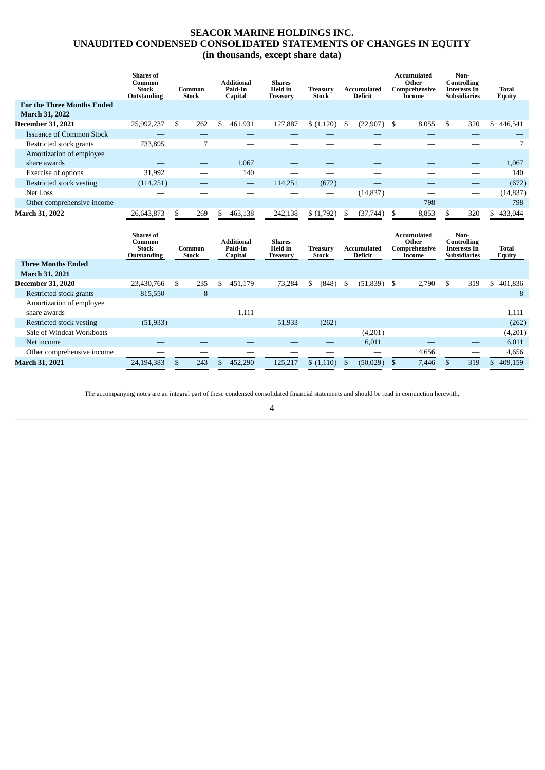# **SEACOR MARINE HOLDINGS INC. UNAUDITED CONDENSED CONSOLIDATED STATEMENTS OF CHANGES IN EQUITY (in thousands, except share data)**

<span id="page-5-0"></span>

|                                                            | <b>Shares of</b><br>Common<br><b>Stock</b><br>Outstanding |     | Common<br><b>Stock</b> |    | Additional<br>Paid-In<br>Capital | <b>Shares</b><br>Held in<br><b>Treasury</b> | Treasurv<br><b>Stock</b> | Accumulated<br><b>Deficit</b> |      | Accumulated<br>Other<br>Comprehensive<br>Income |   |     |           |  |  |  |  | Non-<br>Controlling<br><b>Interests In</b><br><b>Subsidiaries</b> | <b>Total</b><br><b>Equity</b> |
|------------------------------------------------------------|-----------------------------------------------------------|-----|------------------------|----|----------------------------------|---------------------------------------------|--------------------------|-------------------------------|------|-------------------------------------------------|---|-----|-----------|--|--|--|--|-------------------------------------------------------------------|-------------------------------|
| <b>For the Three Months Ended</b><br><b>March 31, 2022</b> |                                                           |     |                        |    |                                  |                                             |                          |                               |      |                                                 |   |     |           |  |  |  |  |                                                                   |                               |
| <b>December 31, 2021</b>                                   | 25,992,237                                                | \$. | 262                    | \$ | 461,931                          | 127,887                                     | \$(1,120)                | \$<br>(22, 907)               | - \$ | 8,055                                           | S | 320 | 446,541   |  |  |  |  |                                                                   |                               |
| <b>Issuance of Common Stock</b>                            |                                                           |     |                        |    |                                  |                                             |                          |                               |      |                                                 |   |     |           |  |  |  |  |                                                                   |                               |
| Restricted stock grants                                    | 733,895                                                   |     | 7                      |    |                                  |                                             |                          |                               |      |                                                 |   |     | 7         |  |  |  |  |                                                                   |                               |
| Amortization of employee                                   |                                                           |     |                        |    |                                  |                                             |                          |                               |      |                                                 |   |     |           |  |  |  |  |                                                                   |                               |
| share awards                                               |                                                           |     |                        |    | 1,067                            |                                             |                          |                               |      |                                                 |   |     | 1,067     |  |  |  |  |                                                                   |                               |
| <b>Exercise of options</b>                                 | 31,992                                                    |     |                        |    | 140                              |                                             |                          |                               |      |                                                 |   |     | 140       |  |  |  |  |                                                                   |                               |
| Restricted stock vesting                                   | (114, 251)                                                |     |                        |    |                                  | 114,251                                     | (672)                    |                               |      |                                                 |   |     | (672)     |  |  |  |  |                                                                   |                               |
| Net Loss                                                   |                                                           |     |                        |    |                                  |                                             | --                       | (14, 837)                     |      |                                                 |   |     | (14, 837) |  |  |  |  |                                                                   |                               |
| Other comprehensive income                                 |                                                           |     |                        |    |                                  |                                             |                          |                               |      | 798                                             |   |     | 798       |  |  |  |  |                                                                   |                               |
| March 31, 2022                                             | 26,643,873                                                |     | 269                    |    | 463,138                          | 242,138                                     | \$(1,792)                | (37, 744)                     |      | 8,853                                           |   | 320 | 433,044   |  |  |  |  |                                                                   |                               |

|                                                    | <b>Shares of</b><br>Common<br>Stock<br>Outstanding | Common<br><b>Stock</b> | <b>Additional</b><br>Paid-In<br><b>Capital</b> | <b>Shares</b><br><b>Held</b> in<br>Treasurv | <b>Treasury</b><br><b>Stock</b> |              | Accumulated<br><b>Deficit</b> |    | Accumulated<br>Other<br>Comprehensive<br>Income |    | Non-<br>Controlling<br><b>Interests In</b><br><b>Subsidiaries</b> | Total<br><b>Equity</b> |
|----------------------------------------------------|----------------------------------------------------|------------------------|------------------------------------------------|---------------------------------------------|---------------------------------|--------------|-------------------------------|----|-------------------------------------------------|----|-------------------------------------------------------------------|------------------------|
| <b>Three Months Ended</b><br><b>March 31, 2021</b> |                                                    |                        |                                                |                                             |                                 |              |                               |    |                                                 |    |                                                                   |                        |
| <b>December 31, 2020</b>                           | 23,430,766                                         | \$<br>235              | \$<br>451,179                                  | 73,284                                      | \$<br>(848)                     | \$           | (51, 839)                     | -S | 2,790                                           | \$ | 319                                                               | 401,836                |
| Restricted stock grants                            | 815,550                                            | 8                      |                                                |                                             |                                 |              |                               |    |                                                 |    |                                                                   | 8                      |
| Amortization of employee<br>share awards           |                                                    |                        | 1,111                                          |                                             |                                 |              |                               |    |                                                 |    |                                                                   | 1,111                  |
| Restricted stock vesting                           | (51, 933)                                          |                        |                                                | 51,933                                      | (262)                           |              |                               |    |                                                 |    |                                                                   | (262)                  |
| Sale of Windcat Workboats                          |                                                    |                        |                                                |                                             |                                 |              | (4,201)                       |    |                                                 |    |                                                                   | (4,201)                |
| Net income                                         |                                                    |                        |                                                |                                             |                                 |              | 6,011                         |    |                                                 |    | –                                                                 | 6,011                  |
| Other comprehensive income                         |                                                    |                        |                                                |                                             |                                 |              |                               |    | 4,656                                           |    |                                                                   | 4,656                  |
| March 31, 2021                                     | 24,194,383                                         | 243                    | 452,290                                        | 125,217                                     | \$(1,110)                       | $\mathbf{S}$ | (50,029)                      |    | 7,446                                           |    | 319                                                               | 409,159                |

The accompanying notes are an integral part of these condensed consolidated financial statements and should be read in conjunction herewith.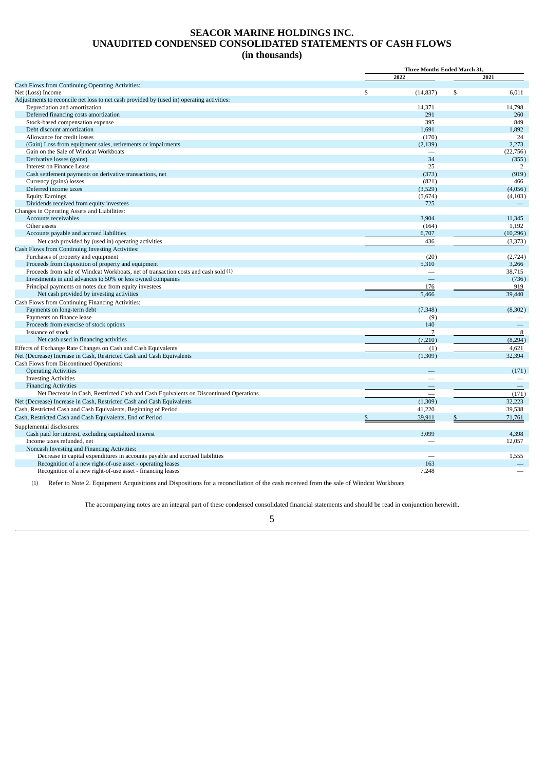## **SEACOR MARINE HOLDINGS INC. UNAUDITED CONDENSED CONSOLIDATED STATEMENTS OF CASH FLOWS (in thousands)**

<span id="page-6-0"></span>

|                                                                                           | <b>Three Months Ended March 31</b> |              |
|-------------------------------------------------------------------------------------------|------------------------------------|--------------|
|                                                                                           | 2022                               | 2021         |
| Cash Flows from Continuing Operating Activities:                                          |                                    |              |
| Net (Loss) Income                                                                         | \$<br>(14, 837)                    | \$<br>6.011  |
| Adjustments to reconcile net loss to net cash provided by (used in) operating activities: |                                    |              |
| Depreciation and amortization                                                             | 14,371                             | 14,798       |
| Deferred financing costs amortization                                                     | 291                                | 260          |
| Stock-based compensation expense                                                          | 395                                | 849          |
| Debt discount amortization                                                                | 1,691                              | 1,892        |
| Allowance for credit losses                                                               | (170)                              | 24           |
| (Gain) Loss from equipment sales, retirements or impairments                              | (2, 139)                           | 2,273        |
| Gain on the Sale of Windcat Workboats                                                     |                                    | (22, 756)    |
| Derivative losses (gains)                                                                 | 34                                 | (355)        |
| Interest on Finance Lease                                                                 | 25                                 | 2            |
| Cash settlement payments on derivative transactions, net                                  | (373)                              | (919)        |
| Currency (gains) losses                                                                   | (821)                              | 466          |
| Deferred income taxes                                                                     | (3,529)                            | (4,056)      |
| <b>Equity Earnings</b>                                                                    | (5,674)                            | (4, 103)     |
| Dividends received from equity investees                                                  | 725                                |              |
| Changes in Operating Assets and Liabilities:                                              |                                    |              |
| Accounts receivables                                                                      | 3,904                              | 11,345       |
| Other assets                                                                              | (164)                              | 1,192        |
| Accounts payable and accrued liabilities                                                  | 6,707                              | (10, 296)    |
| Net cash provided by (used in) operating activities                                       | 436                                | (3,373)      |
| Cash Flows from Continuing Investing Activities:                                          |                                    |              |
| Purchases of property and equipment                                                       | (20)                               | (2,724)      |
| Proceeds from disposition of property and equipment                                       | 5,310                              | 3,266        |
| Proceeds from sale of Windcat Workboats, net of transaction costs and cash sold (1)       |                                    | 38,715       |
| Investments in and advances to 50% or less owned companies                                |                                    | (736)        |
| Principal payments on notes due from equity investees                                     | 176                                | 919          |
| Net cash provided by investing activities                                                 | 5,466                              | 39,440       |
| Cash Flows from Continuing Financing Activities:                                          |                                    |              |
| Payments on long-term debt                                                                | (7,348)                            | (8, 302)     |
| Payments on finance lease                                                                 | (9)                                |              |
| Proceeds from exercise of stock options                                                   | 140                                |              |
| Issuance of stock                                                                         | 7                                  | 8            |
| Net cash used in financing activities                                                     | (7,210)                            | (8, 294)     |
| Effects of Exchange Rate Changes on Cash and Cash Equivalents                             | (1)                                | 4,621        |
| Net (Decrease) Increase in Cash, Restricted Cash and Cash Equivalents                     | (1,309)                            | 32,394       |
| Cash Flows from Discontinued Operations:                                                  |                                    |              |
| <b>Operating Activities</b>                                                               |                                    | (171)        |
| <b>Investing Activities</b>                                                               |                                    |              |
| <b>Financing Activities</b>                                                               |                                    |              |
| Net Decrease in Cash, Restricted Cash and Cash Equivalents on Discontinued Operations     | $\qquad \qquad$                    | (171)        |
| Net (Decrease) Increase in Cash, Restricted Cash and Cash Equivalents                     | (1,309)                            | 32,223       |
| Cash, Restricted Cash and Cash Equivalents, Beginning of Period                           | 41,220                             | 39,538       |
| Cash, Restricted Cash and Cash Equivalents, End of Period                                 | \$<br>39,911                       | \$<br>71,761 |
| Supplemental disclosures:                                                                 |                                    |              |
| Cash paid for interest, excluding capitalized interest                                    | 3,099                              | 4,398        |
| Income taxes refunded, net                                                                |                                    | 12,057       |
| Noncash Investing and Financing Activities:                                               |                                    |              |
| Decrease in capital expenditures in accounts payable and accrued liabilities              |                                    | 1,555        |
| Recognition of a new right-of-use asset - operating leases                                | 163                                |              |
| Recognition of a new right-of-use asset - financing leases                                | 7.248                              |              |

(1) Refer to Note 2. Equipment Acquisitions and Dispositions for a reconciliation of the cash received from the sale of Windcat Workboats

The accompanying notes are an integral part of these condensed consolidated financial statements and should be read in conjunction herewith.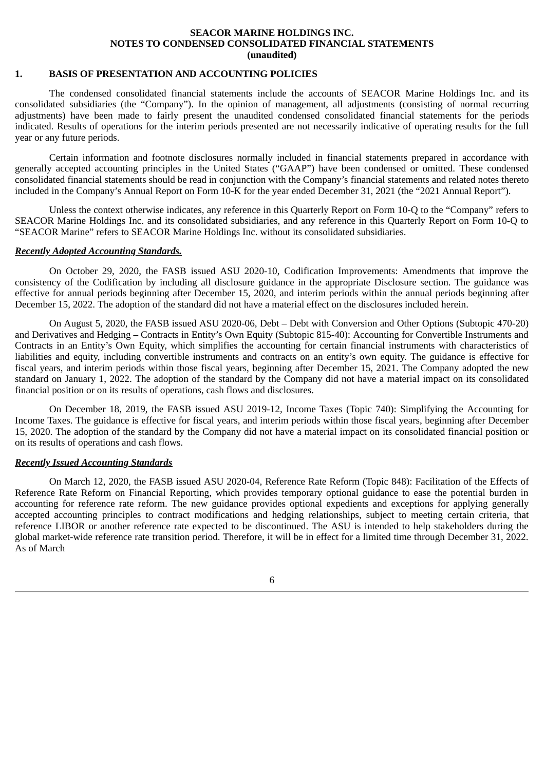### **SEACOR MARINE HOLDINGS INC. NOTES TO CONDENSED CONSOLIDATED FINANCIAL STATEMENTS (unaudited)**

# <span id="page-7-0"></span>**1. BASIS OF PRESENTATION AND ACCOUNTING POLICIES**

The condensed consolidated financial statements include the accounts of SEACOR Marine Holdings Inc. and its consolidated subsidiaries (the "Company"). In the opinion of management, all adjustments (consisting of normal recurring adjustments) have been made to fairly present the unaudited condensed consolidated financial statements for the periods indicated. Results of operations for the interim periods presented are not necessarily indicative of operating results for the full year or any future periods.

Certain information and footnote disclosures normally included in financial statements prepared in accordance with generally accepted accounting principles in the United States ("GAAP") have been condensed or omitted. These condensed consolidated financial statements should be read in conjunction with the Company's financial statements and related notes thereto included in the Company's Annual Report on Form 10-K for the year ended December 31, 2021 (the "2021 Annual Report").

Unless the context otherwise indicates, any reference in this Quarterly Report on Form 10-Q to the "Company" refers to SEACOR Marine Holdings Inc. and its consolidated subsidiaries, and any reference in this Quarterly Report on Form 10-Q to "SEACOR Marine" refers to SEACOR Marine Holdings Inc. without its consolidated subsidiaries.

#### *Recently Adopted Accounting Standards.*

On October 29, 2020, the FASB issued ASU 2020-10, Codification Improvements: Amendments that improve the consistency of the Codification by including all disclosure guidance in the appropriate Disclosure section. The guidance was effective for annual periods beginning after December 15, 2020, and interim periods within the annual periods beginning after December 15, 2022. The adoption of the standard did not have a material effect on the disclosures included herein.

On August 5, 2020, the FASB issued ASU 2020-06, Debt – Debt with Conversion and Other Options (Subtopic 470-20) and Derivatives and Hedging – Contracts in Entity's Own Equity (Subtopic 815-40): Accounting for Convertible Instruments and Contracts in an Entity's Own Equity, which simplifies the accounting for certain financial instruments with characteristics of liabilities and equity, including convertible instruments and contracts on an entity's own equity. The guidance is effective for fiscal years, and interim periods within those fiscal years, beginning after December 15, 2021. The Company adopted the new standard on January 1, 2022. The adoption of the standard by the Company did not have a material impact on its consolidated financial position or on its results of operations, cash flows and disclosures.

On December 18, 2019, the FASB issued ASU 2019-12, Income Taxes (Topic 740): Simplifying the Accounting for Income Taxes. The guidance is effective for fiscal years, and interim periods within those fiscal years, beginning after December 15, 2020. The adoption of the standard by the Company did not have a material impact on its consolidated financial position or on its results of operations and cash flows.

#### *Recently Issued Accounting Standards*

On March 12, 2020, the FASB issued ASU 2020-04, Reference Rate Reform (Topic 848): Facilitation of the Effects of Reference Rate Reform on Financial Reporting, which provides temporary optional guidance to ease the potential burden in accounting for reference rate reform. The new guidance provides optional expedients and exceptions for applying generally accepted accounting principles to contract modifications and hedging relationships, subject to meeting certain criteria, that reference LIBOR or another reference rate expected to be discontinued. The ASU is intended to help stakeholders during the global market-wide reference rate transition period. Therefore, it will be in effect for a limited time through December 31, 2022. As of March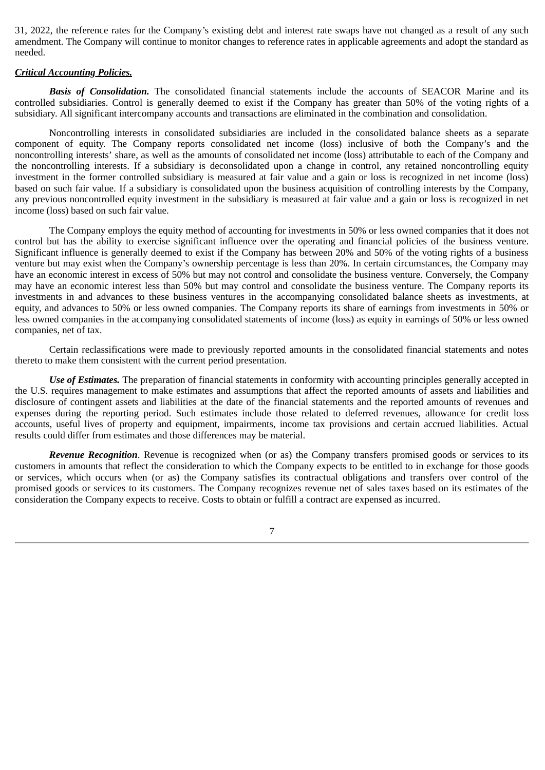31, 2022, the reference rates for the Company's existing debt and interest rate swaps have not changed as a result of any such amendment. The Company will continue to monitor changes to reference rates in applicable agreements and adopt the standard as needed.

#### *Critical Accounting Policies.*

*Basis of Consolidation.* The consolidated financial statements include the accounts of SEACOR Marine and its controlled subsidiaries. Control is generally deemed to exist if the Company has greater than 50% of the voting rights of a subsidiary. All significant intercompany accounts and transactions are eliminated in the combination and consolidation.

Noncontrolling interests in consolidated subsidiaries are included in the consolidated balance sheets as a separate component of equity. The Company reports consolidated net income (loss) inclusive of both the Company's and the noncontrolling interests' share, as well as the amounts of consolidated net income (loss) attributable to each of the Company and the noncontrolling interests. If a subsidiary is deconsolidated upon a change in control, any retained noncontrolling equity investment in the former controlled subsidiary is measured at fair value and a gain or loss is recognized in net income (loss) based on such fair value. If a subsidiary is consolidated upon the business acquisition of controlling interests by the Company, any previous noncontrolled equity investment in the subsidiary is measured at fair value and a gain or loss is recognized in net income (loss) based on such fair value.

The Company employs the equity method of accounting for investments in 50% or less owned companies that it does not control but has the ability to exercise significant influence over the operating and financial policies of the business venture. Significant influence is generally deemed to exist if the Company has between 20% and 50% of the voting rights of a business venture but may exist when the Company's ownership percentage is less than 20%. In certain circumstances, the Company may have an economic interest in excess of 50% but may not control and consolidate the business venture. Conversely, the Company may have an economic interest less than 50% but may control and consolidate the business venture. The Company reports its investments in and advances to these business ventures in the accompanying consolidated balance sheets as investments, at equity, and advances to 50% or less owned companies. The Company reports its share of earnings from investments in 50% or less owned companies in the accompanying consolidated statements of income (loss) as equity in earnings of 50% or less owned companies, net of tax.

Certain reclassifications were made to previously reported amounts in the consolidated financial statements and notes thereto to make them consistent with the current period presentation.

*Use of Estimates.* The preparation of financial statements in conformity with accounting principles generally accepted in the U.S. requires management to make estimates and assumptions that affect the reported amounts of assets and liabilities and disclosure of contingent assets and liabilities at the date of the financial statements and the reported amounts of revenues and expenses during the reporting period. Such estimates include those related to deferred revenues, allowance for credit loss accounts, useful lives of property and equipment, impairments, income tax provisions and certain accrued liabilities. Actual results could differ from estimates and those differences may be material.

*Revenue Recognition*. Revenue is recognized when (or as) the Company transfers promised goods or services to its customers in amounts that reflect the consideration to which the Company expects to be entitled to in exchange for those goods or services, which occurs when (or as) the Company satisfies its contractual obligations and transfers over control of the promised goods or services to its customers. The Company recognizes revenue net of sales taxes based on its estimates of the consideration the Company expects to receive. Costs to obtain or fulfill a contract are expensed as incurred.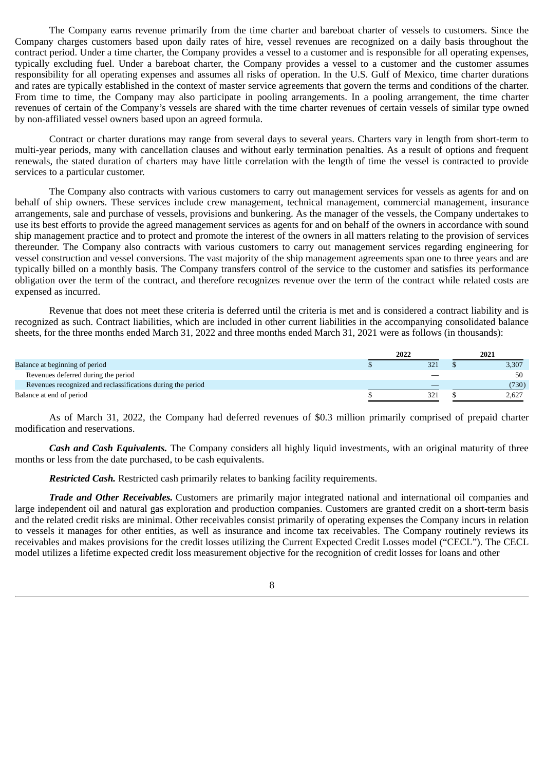The Company earns revenue primarily from the time charter and bareboat charter of vessels to customers. Since the Company charges customers based upon daily rates of hire, vessel revenues are recognized on a daily basis throughout the contract period. Under a time charter, the Company provides a vessel to a customer and is responsible for all operating expenses, typically excluding fuel. Under a bareboat charter, the Company provides a vessel to a customer and the customer assumes responsibility for all operating expenses and assumes all risks of operation. In the U.S. Gulf of Mexico, time charter durations and rates are typically established in the context of master service agreements that govern the terms and conditions of the charter. From time to time, the Company may also participate in pooling arrangements. In a pooling arrangement, the time charter revenues of certain of the Company's vessels are shared with the time charter revenues of certain vessels of similar type owned by non-affiliated vessel owners based upon an agreed formula.

Contract or charter durations may range from several days to several years. Charters vary in length from short-term to multi-year periods, many with cancellation clauses and without early termination penalties. As a result of options and frequent renewals, the stated duration of charters may have little correlation with the length of time the vessel is contracted to provide services to a particular customer.

The Company also contracts with various customers to carry out management services for vessels as agents for and on behalf of ship owners. These services include crew management, technical management, commercial management, insurance arrangements, sale and purchase of vessels, provisions and bunkering. As the manager of the vessels, the Company undertakes to use its best efforts to provide the agreed management services as agents for and on behalf of the owners in accordance with sound ship management practice and to protect and promote the interest of the owners in all matters relating to the provision of services thereunder. The Company also contracts with various customers to carry out management services regarding engineering for vessel construction and vessel conversions. The vast majority of the ship management agreements span one to three years and are typically billed on a monthly basis. The Company transfers control of the service to the customer and satisfies its performance obligation over the term of the contract, and therefore recognizes revenue over the term of the contract while related costs are expensed as incurred.

Revenue that does not meet these criteria is deferred until the criteria is met and is considered a contract liability and is recognized as such. Contract liabilities, which are included in other current liabilities in the accompanying consolidated balance sheets, for the three months ended March 31, 2022 and three months ended March 31, 2021 were as follows (in thousands):

|                                                             | 2022            | 2021  |
|-------------------------------------------------------------|-----------------|-------|
| Balance at beginning of period                              | 32 <sup>2</sup> | 3,307 |
| Revenues deferred during the period                         |                 | 50    |
| Revenues recognized and reclassifications during the period |                 | (730) |
| Balance at end of period                                    | 32 <sup>2</sup> | 2,627 |

As of March 31, 2022, the Company had deferred revenues of \$0.3 million primarily comprised of prepaid charter modification and reservations.

*Cash and Cash Equivalents.* The Company considers all highly liquid investments, with an original maturity of three months or less from the date purchased, to be cash equivalents.

*Restricted Cash.* Restricted cash primarily relates to banking facility requirements.

*Trade and Other Receivables.* Customers are primarily major integrated national and international oil companies and large independent oil and natural gas exploration and production companies. Customers are granted credit on a short-term basis and the related credit risks are minimal. Other receivables consist primarily of operating expenses the Company incurs in relation to vessels it manages for other entities, as well as insurance and income tax receivables. The Company routinely reviews its receivables and makes provisions for the credit losses utilizing the Current Expected Credit Losses model ("CECL"). The CECL model utilizes a lifetime expected credit loss measurement objective for the recognition of credit losses for loans and other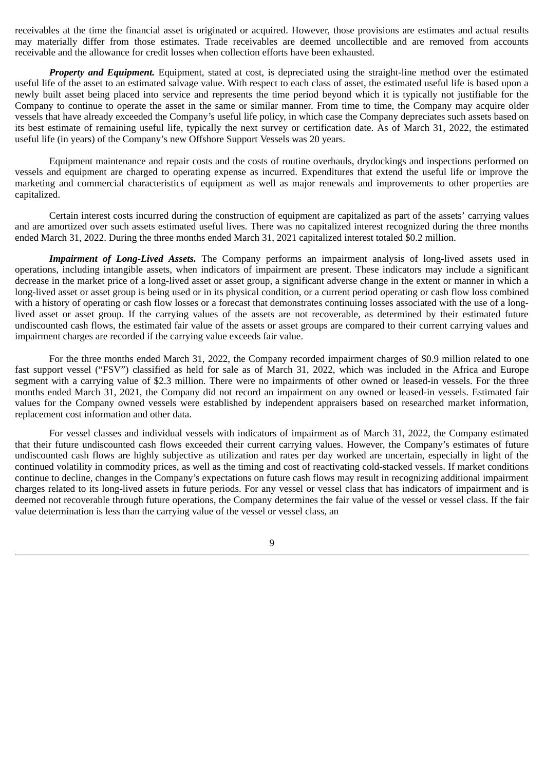receivables at the time the financial asset is originated or acquired. However, those provisions are estimates and actual results may materially differ from those estimates. Trade receivables are deemed uncollectible and are removed from accounts receivable and the allowance for credit losses when collection efforts have been exhausted.

*Property and Equipment.* Equipment, stated at cost, is depreciated using the straight-line method over the estimated useful life of the asset to an estimated salvage value. With respect to each class of asset, the estimated useful life is based upon a newly built asset being placed into service and represents the time period beyond which it is typically not justifiable for the Company to continue to operate the asset in the same or similar manner. From time to time, the Company may acquire older vessels that have already exceeded the Company's useful life policy, in which case the Company depreciates such assets based on its best estimate of remaining useful life, typically the next survey or certification date. As of March 31, 2022, the estimated useful life (in years) of the Company's new Offshore Support Vessels was 20 years.

Equipment maintenance and repair costs and the costs of routine overhauls, drydockings and inspections performed on vessels and equipment are charged to operating expense as incurred. Expenditures that extend the useful life or improve the marketing and commercial characteristics of equipment as well as major renewals and improvements to other properties are capitalized.

Certain interest costs incurred during the construction of equipment are capitalized as part of the assets' carrying values and are amortized over such assets estimated useful lives. There was no capitalized interest recognized during the three months ended March 31, 2022. During the three months ended March 31, 2021 capitalized interest totaled \$0.2 million.

*Impairment of Long-Lived Assets.* The Company performs an impairment analysis of long-lived assets used in operations, including intangible assets, when indicators of impairment are present. These indicators may include a significant decrease in the market price of a long-lived asset or asset group, a significant adverse change in the extent or manner in which a long-lived asset or asset group is being used or in its physical condition, or a current period operating or cash flow loss combined with a history of operating or cash flow losses or a forecast that demonstrates continuing losses associated with the use of a longlived asset or asset group. If the carrying values of the assets are not recoverable, as determined by their estimated future undiscounted cash flows, the estimated fair value of the assets or asset groups are compared to their current carrying values and impairment charges are recorded if the carrying value exceeds fair value.

For the three months ended March 31, 2022, the Company recorded impairment charges of \$0.9 million related to one fast support vessel ("FSV") classified as held for sale as of March 31, 2022, which was included in the Africa and Europe segment with a carrying value of \$2.3 million. There were no impairments of other owned or leased-in vessels. For the three months ended March 31, 2021, the Company did not record an impairment on any owned or leased-in vessels. Estimated fair values for the Company owned vessels were established by independent appraisers based on researched market information, replacement cost information and other data.

For vessel classes and individual vessels with indicators of impairment as of March 31, 2022, the Company estimated that their future undiscounted cash flows exceeded their current carrying values. However, the Company's estimates of future undiscounted cash flows are highly subjective as utilization and rates per day worked are uncertain, especially in light of the continued volatility in commodity prices, as well as the timing and cost of reactivating cold-stacked vessels. If market conditions continue to decline, changes in the Company's expectations on future cash flows may result in recognizing additional impairment charges related to its long-lived assets in future periods. For any vessel or vessel class that has indicators of impairment and is deemed not recoverable through future operations, the Company determines the fair value of the vessel or vessel class. If the fair value determination is less than the carrying value of the vessel or vessel class, an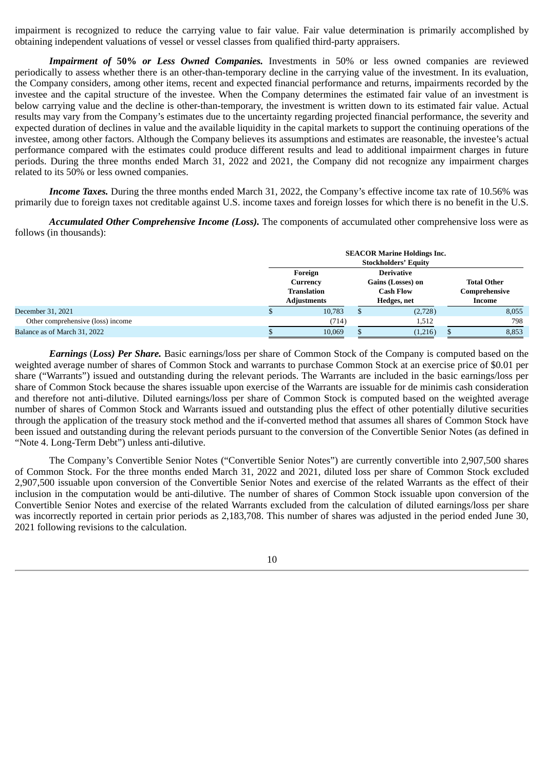impairment is recognized to reduce the carrying value to fair value. Fair value determination is primarily accomplished by obtaining independent valuations of vessel or vessel classes from qualified third-party appraisers.

*Impairment of* **50%** *or Less Owned Companies.* Investments in 50% or less owned companies are reviewed periodically to assess whether there is an other-than-temporary decline in the carrying value of the investment. In its evaluation, the Company considers, among other items, recent and expected financial performance and returns, impairments recorded by the investee and the capital structure of the investee. When the Company determines the estimated fair value of an investment is below carrying value and the decline is other-than-temporary, the investment is written down to its estimated fair value. Actual results may vary from the Company's estimates due to the uncertainty regarding projected financial performance, the severity and expected duration of declines in value and the available liquidity in the capital markets to support the continuing operations of the investee, among other factors. Although the Company believes its assumptions and estimates are reasonable, the investee's actual performance compared with the estimates could produce different results and lead to additional impairment charges in future periods. During the three months ended March 31, 2022 and 2021, the Company did not recognize any impairment charges related to its 50% or less owned companies.

*Income Taxes.* During the three months ended March 31, 2022, the Company's effective income tax rate of 10.56% was primarily due to foreign taxes not creditable against U.S. income taxes and foreign losses for which there is no benefit in the U.S.

*Accumulated Other Comprehensive Income (Loss).* The components of accumulated other comprehensive loss were as follows (in thousands):

|                                   |  | <b>SEACOR Marine Holdings Inc.</b><br><b>Stockholders' Equity</b> |   |                                        |               |                    |  |  |  |
|-----------------------------------|--|-------------------------------------------------------------------|---|----------------------------------------|---------------|--------------------|--|--|--|
|                                   |  | Foreign<br>Currency<br><b>Translation</b>                         |   | <b>Derivative</b><br>Gains (Losses) on |               | <b>Total Other</b> |  |  |  |
|                                   |  |                                                                   |   | <b>Cash Flow</b>                       | Comprehensive |                    |  |  |  |
|                                   |  | <b>Adjustments</b>                                                |   | Hedges, net                            |               | Income             |  |  |  |
| December 31, 2021                 |  | 10,783                                                            | S | (2,728)                                |               | 8,055              |  |  |  |
| Other comprehensive (loss) income |  | (714)                                                             |   | 1,512                                  |               | 798                |  |  |  |
| Balance as of March 31, 2022      |  | 10,069                                                            |   | (1,216)                                |               | 8,853              |  |  |  |

*Earnings* (*Loss) Per Share.* Basic earnings/loss per share of Common Stock of the Company is computed based on the weighted average number of shares of Common Stock and warrants to purchase Common Stock at an exercise price of \$0.01 per share ("Warrants") issued and outstanding during the relevant periods. The Warrants are included in the basic earnings/loss per share of Common Stock because the shares issuable upon exercise of the Warrants are issuable for de minimis cash consideration and therefore not anti-dilutive. Diluted earnings/loss per share of Common Stock is computed based on the weighted average number of shares of Common Stock and Warrants issued and outstanding plus the effect of other potentially dilutive securities through the application of the treasury stock method and the if-converted method that assumes all shares of Common Stock have been issued and outstanding during the relevant periods pursuant to the conversion of the Convertible Senior Notes (as defined in "Note 4. Long-Term Debt") unless anti-dilutive.

The Company's Convertible Senior Notes ("Convertible Senior Notes") are currently convertible into 2,907,500 shares of Common Stock. For the three months ended March 31, 2022 and 2021, diluted loss per share of Common Stock excluded 2,907,500 issuable upon conversion of the Convertible Senior Notes and exercise of the related Warrants as the effect of their inclusion in the computation would be anti-dilutive. The number of shares of Common Stock issuable upon conversion of the Convertible Senior Notes and exercise of the related Warrants excluded from the calculation of diluted earnings/loss per share was incorrectly reported in certain prior periods as 2,183,708. This number of shares was adjusted in the period ended June 30, 2021 following revisions to the calculation.

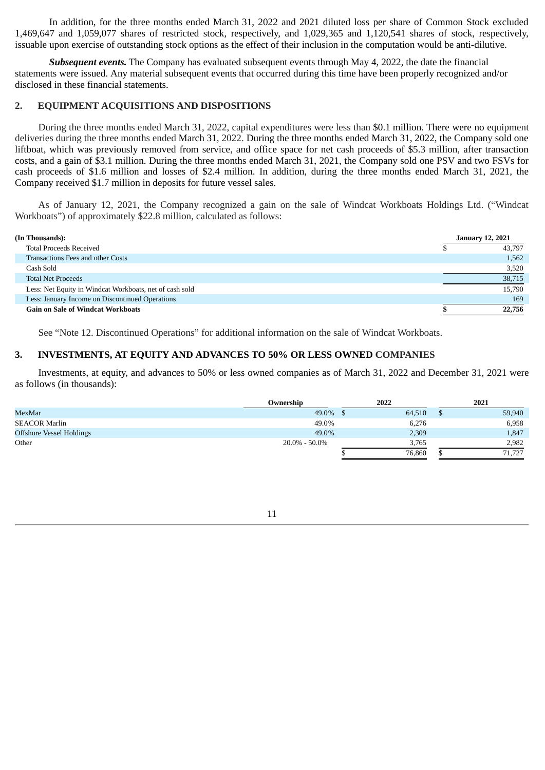In addition, for the three months ended March 31, 2022 and 2021 diluted loss per share of Common Stock excluded 1,469,647 and 1,059,077 shares of restricted stock, respectively, and 1,029,365 and 1,120,541 shares of stock, respectively, issuable upon exercise of outstanding stock options as the effect of their inclusion in the computation would be anti-dilutive.

*Subsequent events.* The Company has evaluated subsequent events through May 4, 2022*,* the date the financial statements were issued. Any material subsequent events that occurred during this time have been properly recognized and/or disclosed in these financial statements.

# **2. EQUIPMENT ACQUISITIONS AND DISPOSITIONS**

During the three months ended March 31, 2022, capital expenditures were less than \$0.1 million. There were no equipment deliveries during the three months ended March 31, 2022. During the three months ended March 31, 2022, the Company sold one liftboat, which was previously removed from service, and office space for net cash proceeds of \$5.3 million, after transaction costs, and a gain of \$3.1 million. During the three months ended March 31, 2021, the Company sold one PSV and two FSVs for cash proceeds of \$1.6 million and losses of \$2.4 million. In addition, during the three months ended March 31, 2021, the Company received \$1.7 million in deposits for future vessel sales.

As of January 12, 2021, the Company recognized a gain on the sale of Windcat Workboats Holdings Ltd. ("Windcat Workboats") of approximately \$22.8 million, calculated as follows:

| (In Thousands):                                         | <b>January 12, 2021</b> |
|---------------------------------------------------------|-------------------------|
| <b>Total Proceeds Received</b>                          | 43.797                  |
| Transactions Fees and other Costs                       | 1,562                   |
| Cash Sold                                               | 3,520                   |
| <b>Total Net Proceeds</b>                               | 38,715                  |
| Less: Net Equity in Windcat Workboats, net of cash sold | 15,790                  |
| Less: January Income on Discontinued Operations         | 169                     |
| <b>Gain on Sale of Windcat Workboats</b>                | 22,756                  |

See "Note 12. Discontinued Operations" for additional information on the sale of Windcat Workboats.

# **3. INVESTMENTS, AT EQUITY AND ADVANCES TO 50% OR LESS OWNED COMPANIES**

Investments, at equity, and advances to 50% or less owned companies as of March 31, 2022 and December 31, 2021 were as follows (in thousands):

|                                 | Ownership     | 2022   | 2021   |
|---------------------------------|---------------|--------|--------|
| MexMar                          | 49.0%         | 64,510 | 59,940 |
| SEACOR Marlin                   | 49.0%         | 6,276  | 6,958  |
| <b>Offshore Vessel Holdings</b> | 49.0%         | 2,309  | 1,847  |
| Other                           | 20.0% - 50.0% | 3,765  | 2,982  |
|                                 |               | 76,860 | 71.727 |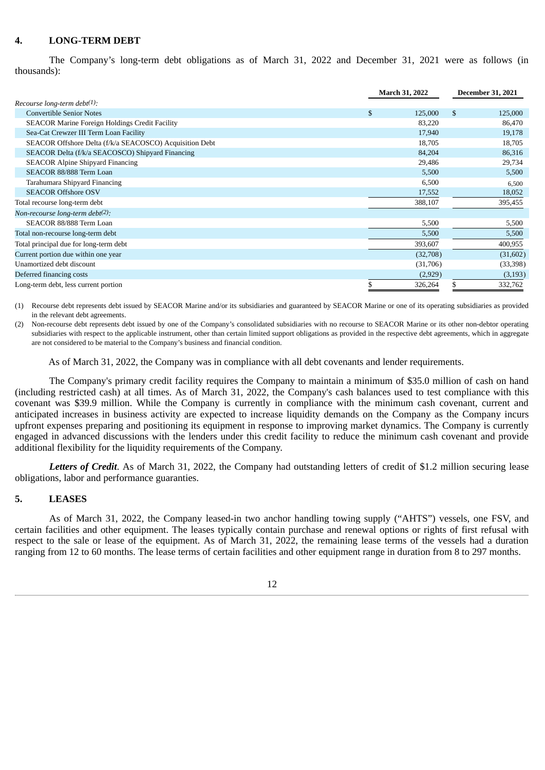### **4. LONG-TERM DEBT**

The Company's long-term debt obligations as of March 31, 2022 and December 31, 2021 were as follows (in thousands):

|                                                         | <b>March 31, 2022</b> | <b>December 31, 2021</b> |           |  |
|---------------------------------------------------------|-----------------------|--------------------------|-----------|--|
| Recourse long-term debt(1):                             |                       |                          |           |  |
| <b>Convertible Senior Notes</b>                         | \$<br>125,000         | \$                       | 125,000   |  |
| <b>SEACOR Marine Foreign Holdings Credit Facility</b>   | 83,220                |                          | 86,470    |  |
| Sea-Cat Crewzer III Term Loan Facility                  | 17,940                |                          | 19,178    |  |
| SEACOR Offshore Delta (f/k/a SEACOSCO) Acquisition Debt | 18,705                |                          | 18,705    |  |
| SEACOR Delta (f/k/a SEACOSCO) Shipyard Financing        | 84,204                |                          | 86,316    |  |
| <b>SEACOR Alpine Shipyard Financing</b>                 | 29,486                |                          | 29,734    |  |
| SEACOR 88/888 Term Loan                                 | 5,500                 |                          | 5,500     |  |
| Tarahumara Shipyard Financing                           | 6,500                 |                          | 6,500     |  |
| <b>SEACOR Offshore OSV</b>                              | 17,552                |                          | 18,052    |  |
| Total recourse long-term debt                           | 388,107               |                          | 395,455   |  |
| Non-recourse long-term debt(2):                         |                       |                          |           |  |
| SEACOR 88/888 Term Loan                                 | 5,500                 |                          | 5,500     |  |
| Total non-recourse long-term debt                       | 5,500                 |                          | 5,500     |  |
| Total principal due for long-term debt                  | 393,607               |                          | 400,955   |  |
| Current portion due within one year                     | (32,708)              |                          | (31,602)  |  |
| Unamortized debt discount                               | (31,706)              |                          | (33, 398) |  |
| Deferred financing costs                                | (2,929)               |                          | (3, 193)  |  |
| Long-term debt, less current portion                    | 326,264               |                          | 332,762   |  |

(1) Recourse debt represents debt issued by SEACOR Marine and/or its subsidiaries and guaranteed by SEACOR Marine or one of its operating subsidiaries as provided in the relevant debt agreements.

(2) Non-recourse debt represents debt issued by one of the Company's consolidated subsidiaries with no recourse to SEACOR Marine or its other non-debtor operating subsidiaries with respect to the applicable instrument, other than certain limited support obligations as provided in the respective debt agreements, which in aggregate are not considered to be material to the Company's business and financial condition.

As of March 31, 2022, the Company was in compliance with all debt covenants and lender requirements.

The Company's primary credit facility requires the Company to maintain a minimum of \$35.0 million of cash on hand (including restricted cash) at all times. As of March 31, 2022, the Company's cash balances used to test compliance with this covenant was \$39.9 million. While the Company is currently in compliance with the minimum cash covenant, current and anticipated increases in business activity are expected to increase liquidity demands on the Company as the Company incurs upfront expenses preparing and positioning its equipment in response to improving market dynamics. The Company is currently engaged in advanced discussions with the lenders under this credit facility to reduce the minimum cash covenant and provide additional flexibility for the liquidity requirements of the Company.

*Letters of Credit*. As of March 31, 2022, the Company had outstanding letters of credit of \$1.2 million securing lease obligations, labor and performance guaranties.

# **5. LEASES**

As of March 31, 2022, the Company leased-in two anchor handling towing supply ("AHTS") vessels, one FSV, and certain facilities and other equipment. The leases typically contain purchase and renewal options or rights of first refusal with respect to the sale or lease of the equipment. As of March 31, 2022, the remaining lease terms of the vessels had a duration ranging from 12 to 60 months. The lease terms of certain facilities and other equipment range in duration from 8 to 297 months.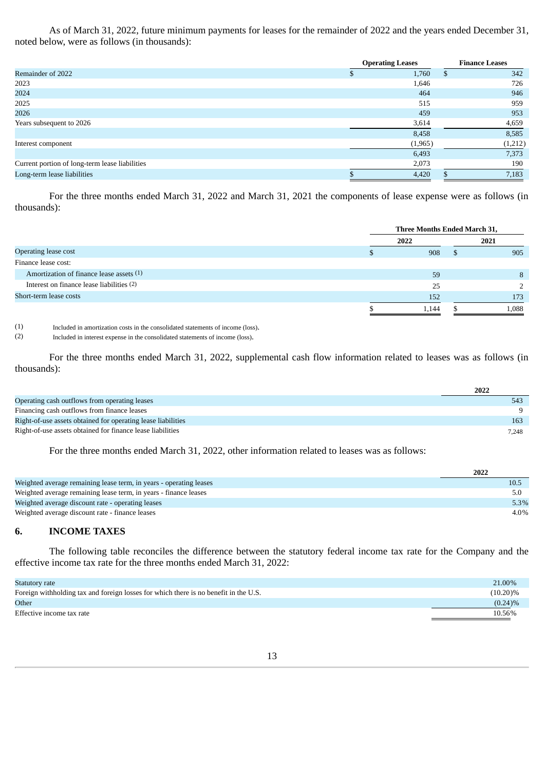As of March 31, 2022, future minimum payments for leases for the remainder of 2022 and the years ended December 31, noted below, were as follows (in thousands):

|                                                | <b>Operating Leases</b> | <b>Finance Leases</b> |
|------------------------------------------------|-------------------------|-----------------------|
| Remainder of 2022                              | 1,760                   | 342                   |
| 2023                                           | 1,646                   | 726                   |
| 2024                                           | 464                     | 946                   |
| 2025                                           | 515                     | 959                   |
| 2026                                           | 459                     | 953                   |
| Years subsequent to 2026                       | 3,614                   | 4,659                 |
|                                                | 8,458                   | 8,585                 |
| Interest component                             | (1,965)                 | (1,212)               |
|                                                | 6,493                   | 7,373                 |
| Current portion of long-term lease liabilities | 2,073                   | 190                   |
| Long-term lease liabilities                    | 4,420                   | 7,183                 |

For the three months ended March 31, 2022 and March 31, 2021 the components of lease expense were as follows (in thousands):

|                                           |      | Three Months Ended March 31, |    |               |  |  |
|-------------------------------------------|------|------------------------------|----|---------------|--|--|
|                                           | 2022 |                              |    | 2021          |  |  |
| Operating lease cost                      |      | 908                          | -S | 905           |  |  |
| Finance lease cost:                       |      |                              |    |               |  |  |
| Amortization of finance lease assets (1)  |      | 59                           |    | 8             |  |  |
| Interest on finance lease liabilities (2) |      | 25                           |    | $\mathcal{D}$ |  |  |
| Short-term lease costs                    |      | 152                          |    | 173           |  |  |
|                                           |      | 1,144                        |    | 1,088         |  |  |

(1) Included in amortization costs in the consolidated statements of income (loss).<br>(2) Included in interest expense in the consolidated statements of income (loss).

Included in interest expense in the consolidated statements of income (loss).

For the three months ended March 31, 2022, supplemental cash flow information related to leases was as follows (in thousands):

|                                                              | 2022  |
|--------------------------------------------------------------|-------|
| Operating cash outflows from operating leases                | 543   |
| Financing cash outflows from finance leases                  |       |
| Right-of-use assets obtained for operating lease liabilities | 163   |
| Right-of-use assets obtained for finance lease liabilities   | 7.248 |

For the three months ended March 31, 2022, other information related to leases was as follows:

|                                                                    | 2022 |
|--------------------------------------------------------------------|------|
| Weighted average remaining lease term, in years - operating leases | 10.5 |
| Weighted average remaining lease term, in years - finance leases   | 5.0  |
| Weighted average discount rate - operating leases                  | 5.3% |
| Weighted average discount rate - finance leases                    | 4.0% |

# **6. INCOME TAXES**

The following table reconciles the difference between the statutory federal income tax rate for the Company and the effective income tax rate for the three months ended March 31, 2022:

| Statutory rate                                                                       | 21.00%      |
|--------------------------------------------------------------------------------------|-------------|
| Foreign withholding tax and foreign losses for which there is no benefit in the U.S. | $(10.20)\%$ |
| Other                                                                                | $(0.24)\%$  |
| Effective income tax rate                                                            | 10.56%      |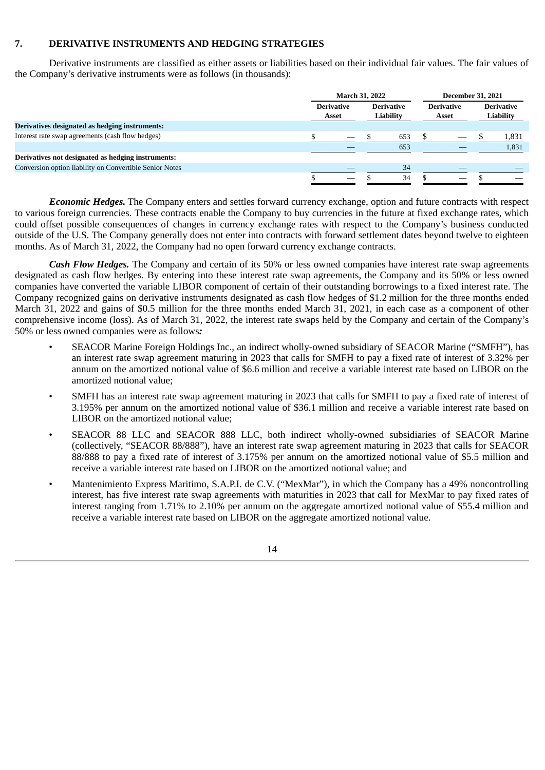# **7. DERIVATIVE INSTRUMENTS AND HEDGING STRATEGIES**

Derivative instruments are classified as either assets or liabilities based on their individual fair values. The fair values of the Company's derivative instruments were as follows (in thousands):

|                                                         | <b>March 31, 2022</b>      |  |                                | <b>December 31, 2021</b> |                                   |  |       |  |                                |  |
|---------------------------------------------------------|----------------------------|--|--------------------------------|--------------------------|-----------------------------------|--|-------|--|--------------------------------|--|
|                                                         | <b>Derivative</b><br>Asset |  | <b>Derivative</b><br>Liability |                          | <b>Derivative</b><br><b>Asset</b> |  |       |  | <b>Derivative</b><br>Liability |  |
| Derivatives designated as hedging instruments:          |                            |  |                                |                          |                                   |  |       |  |                                |  |
| Interest rate swap agreements (cash flow hedges)        |                            |  | 653                            |                          |                                   |  | 1,831 |  |                                |  |
|                                                         |                            |  | 653                            |                          |                                   |  | 1,831 |  |                                |  |
| Derivatives not designated as hedging instruments:      |                            |  |                                |                          |                                   |  |       |  |                                |  |
| Conversion option liability on Convertible Senior Notes |                            |  | 34                             |                          |                                   |  |       |  |                                |  |
|                                                         |                            |  | 34                             |                          | __                                |  |       |  |                                |  |
|                                                         |                            |  |                                |                          |                                   |  |       |  |                                |  |

*Economic Hedges.* The Company enters and settles forward currency exchange, option and future contracts with respect to various foreign currencies. These contracts enable the Company to buy currencies in the future at fixed exchange rates, which could offset possible consequences of changes in currency exchange rates with respect to the Company's business conducted outside of the U.S. The Company generally does not enter into contracts with forward settlement dates beyond twelve to eighteen months. As of March 31, 2022, the Company had no open forward currency exchange contracts.

*Cash Flow Hedges.* The Company and certain of its 50% or less owned companies have interest rate swap agreements designated as cash flow hedges. By entering into these interest rate swap agreements, the Company and its 50% or less owned companies have converted the variable LIBOR component of certain of their outstanding borrowings to a fixed interest rate. The Company recognized gains on derivative instruments designated as cash flow hedges of \$1.2 million for the three months ended March 31, 2022 and gains of \$0.5 million for the three months ended March 31, 2021, in each case as a component of other comprehensive income (loss). As of March 31, 2022, the interest rate swaps held by the Company and certain of the Company's 50% or less owned companies were as follows*:*

- SEACOR Marine Foreign Holdings Inc., an indirect wholly-owned subsidiary of SEACOR Marine ("SMFH"), has an interest rate swap agreement maturing in 2023 that calls for SMFH to pay a fixed rate of interest of 3.32% per annum on the amortized notional value of \$6.6 million and receive a variable interest rate based on LIBOR on the amortized notional value;
- SMFH has an interest rate swap agreement maturing in 2023 that calls for SMFH to pay a fixed rate of interest of 3.195% per annum on the amortized notional value of \$36.1 million and receive a variable interest rate based on LIBOR on the amortized notional value;
- SEACOR 88 LLC and SEACOR 888 LLC, both indirect wholly-owned subsidiaries of SEACOR Marine (collectively, "SEACOR 88/888"), have an interest rate swap agreement maturing in 2023 that calls for SEACOR 88/888 to pay a fixed rate of interest of 3.175% per annum on the amortized notional value of \$5.5 million and receive a variable interest rate based on LIBOR on the amortized notional value; and
- Mantenimiento Express Maritimo, S.A.P.I. de C.V. ("MexMar"), in which the Company has a 49% noncontrolling interest, has five interest rate swap agreements with maturities in 2023 that call for MexMar to pay fixed rates of interest ranging from 1.71% to 2.10% per annum on the aggregate amortized notional value of \$55.4 million and receive a variable interest rate based on LIBOR on the aggregate amortized notional value.

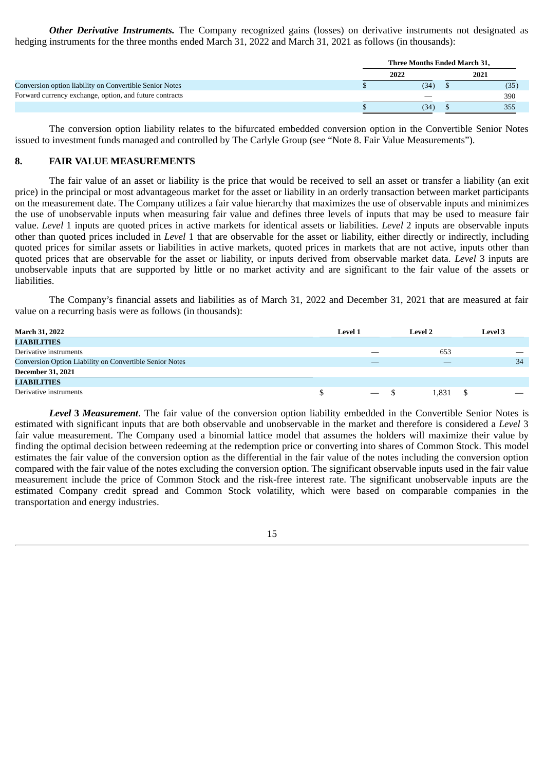*Other Derivative Instruments.* The Company recognized gains (losses) on derivative instruments not designated as hedging instruments for the three months ended March 31, 2022 and March 31, 2021 as follows (in thousands):

|                                                         | <b>Three Months Ended March 31.</b> |      |
|---------------------------------------------------------|-------------------------------------|------|
|                                                         | 2022                                | 2021 |
| Conversion option liability on Convertible Senior Notes | (34)                                | (35) |
| Forward currency exchange, option, and future contracts | __                                  | 390  |
|                                                         | (34)                                | 355  |

The conversion option liability relates to the bifurcated embedded conversion option in the Convertible Senior Notes issued to investment funds managed and controlled by The Carlyle Group (see "Note 8. Fair Value Measurements").

#### **8. FAIR VALUE MEASUREMENTS**

The fair value of an asset or liability is the price that would be received to sell an asset or transfer a liability (an exit price) in the principal or most advantageous market for the asset or liability in an orderly transaction between market participants on the measurement date. The Company utilizes a fair value hierarchy that maximizes the use of observable inputs and minimizes the use of unobservable inputs when measuring fair value and defines three levels of inputs that may be used to measure fair value. *Level* 1 inputs are quoted prices in active markets for identical assets or liabilities. *Level* 2 inputs are observable inputs other than quoted prices included in *Level* 1 that are observable for the asset or liability, either directly or indirectly, including quoted prices for similar assets or liabilities in active markets, quoted prices in markets that are not active, inputs other than quoted prices that are observable for the asset or liability, or inputs derived from observable market data. *Level* 3 inputs are unobservable inputs that are supported by little or no market activity and are significant to the fair value of the assets or liabilities.

The Company's financial assets and liabilities as of March 31, 2022 and December 31, 2021 that are measured at fair value on a recurring basis were as follows (in thousands):

| <b>March 31, 2022</b>                                   | <b>Level 1</b>                  | <b>Level 2</b> | <b>Level 3</b> |    |  |
|---------------------------------------------------------|---------------------------------|----------------|----------------|----|--|
| <b>LIABILITIES</b>                                      |                                 |                |                |    |  |
| Derivative instruments                                  |                                 | 653            |                |    |  |
| Conversion Option Liability on Convertible Senior Notes |                                 |                |                | 34 |  |
| <b>December 31, 2021</b>                                |                                 |                |                |    |  |
| <b>LIABILITIES</b>                                      |                                 |                |                |    |  |
| Derivative instruments                                  | $\hspace{0.1mm}-\hspace{0.1mm}$ | 1.831          | S              |    |  |

*Level* **3** *Measurement*. The fair value of the conversion option liability embedded in the Convertible Senior Notes is estimated with significant inputs that are both observable and unobservable in the market and therefore is considered a *Level* 3 fair value measurement. The Company used a binomial lattice model that assumes the holders will maximize their value by finding the optimal decision between redeeming at the redemption price or converting into shares of Common Stock. This model estimates the fair value of the conversion option as the differential in the fair value of the notes including the conversion option compared with the fair value of the notes excluding the conversion option. The significant observable inputs used in the fair value measurement include the price of Common Stock and the risk-free interest rate. The significant unobservable inputs are the estimated Company credit spread and Common Stock volatility, which were based on comparable companies in the transportation and energy industries.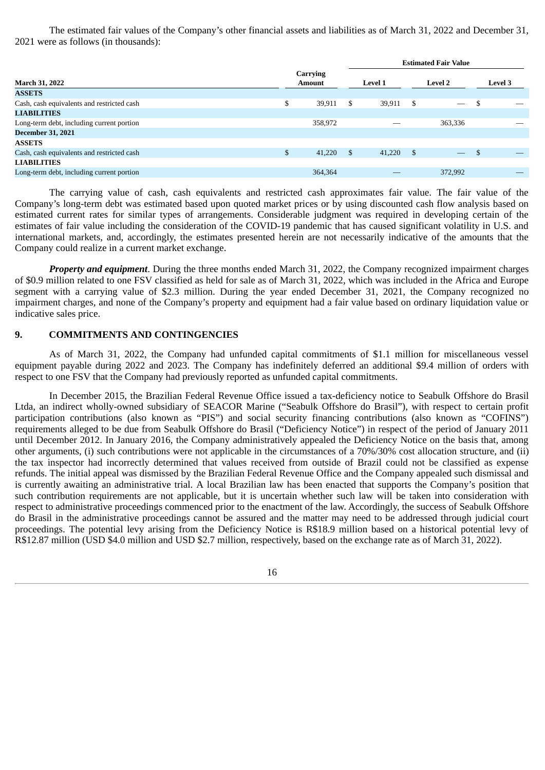The estimated fair values of the Company's other financial assets and liabilities as of March 31, 2022 and December 31, 2021 were as follows (in thousands):

|                                            |                           |         |    |        |      | <b>Estimated Fair Value</b> |    |                |  |                |
|--------------------------------------------|---------------------------|---------|----|--------|------|-----------------------------|----|----------------|--|----------------|
| <b>March 31, 2022</b>                      | Carrying<br><b>Amount</b> |         |    |        |      | <b>Level 1</b>              |    | <b>Level 2</b> |  | <b>Level 3</b> |
| <b>ASSETS</b>                              |                           |         |    |        |      |                             |    |                |  |                |
| Cash, cash equivalents and restricted cash | \$                        | 39,911  | \$ | 39,911 | \$   |                             | \$ |                |  |                |
| <b>LIABILITIES</b>                         |                           |         |    |        |      |                             |    |                |  |                |
| Long-term debt, including current portion  |                           | 358,972 |    |        |      | 363,336                     |    |                |  |                |
| <b>December 31, 2021</b>                   |                           |         |    |        |      |                             |    |                |  |                |
| <b>ASSETS</b>                              |                           |         |    |        |      |                             |    |                |  |                |
| Cash, cash equivalents and restricted cash | \$                        | 41,220  | S  | 41,220 | - \$ |                             | \$ |                |  |                |
| <b>LIABILITIES</b>                         |                           |         |    |        |      |                             |    |                |  |                |
| Long-term debt, including current portion  |                           | 364,364 |    |        |      | 372,992                     |    |                |  |                |

The carrying value of cash, cash equivalents and restricted cash approximates fair value. The fair value of the Company's long-term debt was estimated based upon quoted market prices or by using discounted cash flow analysis based on estimated current rates for similar types of arrangements. Considerable judgment was required in developing certain of the estimates of fair value including the consideration of the COVID-19 pandemic that has caused significant volatility in U.S. and international markets, and, accordingly, the estimates presented herein are not necessarily indicative of the amounts that the Company could realize in a current market exchange.

*Property and equipment*. During the three months ended March 31, 2022, the Company recognized impairment charges of \$0.9 million related to one FSV classified as held for sale as of March 31, 2022, which was included in the Africa and Europe segment with a carrying value of \$2.3 million. During the year ended December 31, 2021, the Company recognized no impairment charges, and none of the Company's property and equipment had a fair value based on ordinary liquidation value or indicative sales price.

# **9. COMMITMENTS AND CONTINGENCIES**

As of March 31, 2022, the Company had unfunded capital commitments of \$1.1 million for miscellaneous vessel equipment payable during 2022 and 2023. The Company has indefinitely deferred an additional \$9.4 million of orders with respect to one FSV that the Company had previously reported as unfunded capital commitments.

In December 2015, the Brazilian Federal Revenue Office issued a tax-deficiency notice to Seabulk Offshore do Brasil Ltda, an indirect wholly-owned subsidiary of SEACOR Marine ("Seabulk Offshore do Brasil"), with respect to certain profit participation contributions (also known as "PIS") and social security financing contributions (also known as "COFINS") requirements alleged to be due from Seabulk Offshore do Brasil ("Deficiency Notice") in respect of the period of January 2011 until December 2012. In January 2016, the Company administratively appealed the Deficiency Notice on the basis that, among other arguments, (i) such contributions were not applicable in the circumstances of a 70%/30% cost allocation structure, and (ii) the tax inspector had incorrectly determined that values received from outside of Brazil could not be classified as expense refunds. The initial appeal was dismissed by the Brazilian Federal Revenue Office and the Company appealed such dismissal and is currently awaiting an administrative trial. A local Brazilian law has been enacted that supports the Company's position that such contribution requirements are not applicable, but it is uncertain whether such law will be taken into consideration with respect to administrative proceedings commenced prior to the enactment of the law. Accordingly, the success of Seabulk Offshore do Brasil in the administrative proceedings cannot be assured and the matter may need to be addressed through judicial court proceedings. The potential levy arising from the Deficiency Notice is R\$18.9 million based on a historical potential levy of R\$12.87 million (USD \$4.0 million and USD \$2.7 million, respectively, based on the exchange rate as of March 31, 2022).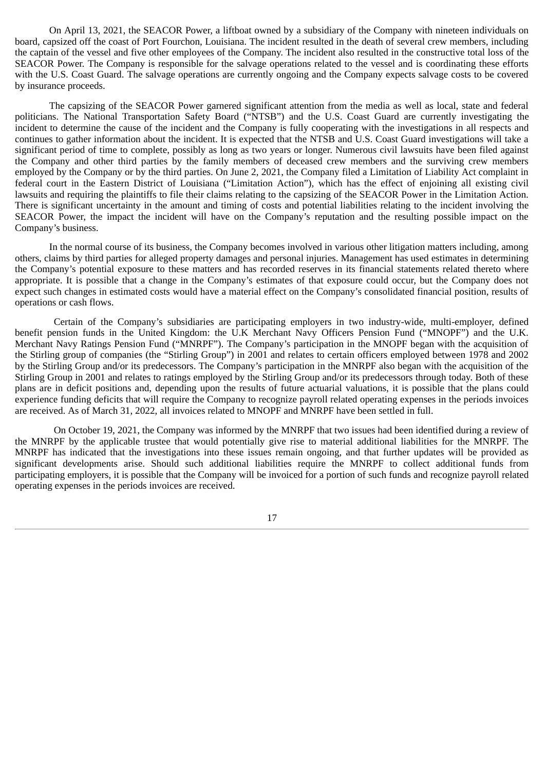On April 13, 2021, the SEACOR Power, a liftboat owned by a subsidiary of the Company with nineteen individuals on board, capsized off the coast of Port Fourchon, Louisiana. The incident resulted in the death of several crew members, including the captain of the vessel and five other employees of the Company. The incident also resulted in the constructive total loss of the SEACOR Power. The Company is responsible for the salvage operations related to the vessel and is coordinating these efforts with the U.S. Coast Guard. The salvage operations are currently ongoing and the Company expects salvage costs to be covered by insurance proceeds.

The capsizing of the SEACOR Power garnered significant attention from the media as well as local, state and federal politicians. The National Transportation Safety Board ("NTSB") and the U.S. Coast Guard are currently investigating the incident to determine the cause of the incident and the Company is fully cooperating with the investigations in all respects and continues to gather information about the incident. It is expected that the NTSB and U.S. Coast Guard investigations will take a significant period of time to complete, possibly as long as two years or longer. Numerous civil lawsuits have been filed against the Company and other third parties by the family members of deceased crew members and the surviving crew members employed by the Company or by the third parties. On June 2, 2021, the Company filed a Limitation of Liability Act complaint in federal court in the Eastern District of Louisiana ("Limitation Action"), which has the effect of enjoining all existing civil lawsuits and requiring the plaintiffs to file their claims relating to the capsizing of the SEACOR Power in the Limitation Action. There is significant uncertainty in the amount and timing of costs and potential liabilities relating to the incident involving the SEACOR Power, the impact the incident will have on the Company's reputation and the resulting possible impact on the Company's business.

In the normal course of its business, the Company becomes involved in various other litigation matters including, among others, claims by third parties for alleged property damages and personal injuries. Management has used estimates in determining the Company's potential exposure to these matters and has recorded reserves in its financial statements related thereto where appropriate. It is possible that a change in the Company's estimates of that exposure could occur, but the Company does not expect such changes in estimated costs would have a material effect on the Company's consolidated financial position, results of operations or cash flows.

Certain of the Company's subsidiaries are participating employers in two industry-wide, multi-employer, defined benefit pension funds in the United Kingdom: the U.K Merchant Navy Officers Pension Fund ("MNOPF") and the U.K. Merchant Navy Ratings Pension Fund ("MNRPF"). The Company's participation in the MNOPF began with the acquisition of the Stirling group of companies (the "Stirling Group") in 2001 and relates to certain officers employed between 1978 and 2002 by the Stirling Group and/or its predecessors. The Company's participation in the MNRPF also began with the acquisition of the Stirling Group in 2001 and relates to ratings employed by the Stirling Group and/or its predecessors through today. Both of these plans are in deficit positions and, depending upon the results of future actuarial valuations, it is possible that the plans could experience funding deficits that will require the Company to recognize payroll related operating expenses in the periods invoices are received. As of March 31, 2022, all invoices related to MNOPF and MNRPF have been settled in full.

On October 19, 2021, the Company was informed by the MNRPF that two issues had been identified during a review of the MNRPF by the applicable trustee that would potentially give rise to material additional liabilities for the MNRPF. The MNRPF has indicated that the investigations into these issues remain ongoing, and that further updates will be provided as significant developments arise. Should such additional liabilities require the MNRPF to collect additional funds from participating employers, it is possible that the Company will be invoiced for a portion of such funds and recognize payroll related operating expenses in the periods invoices are received.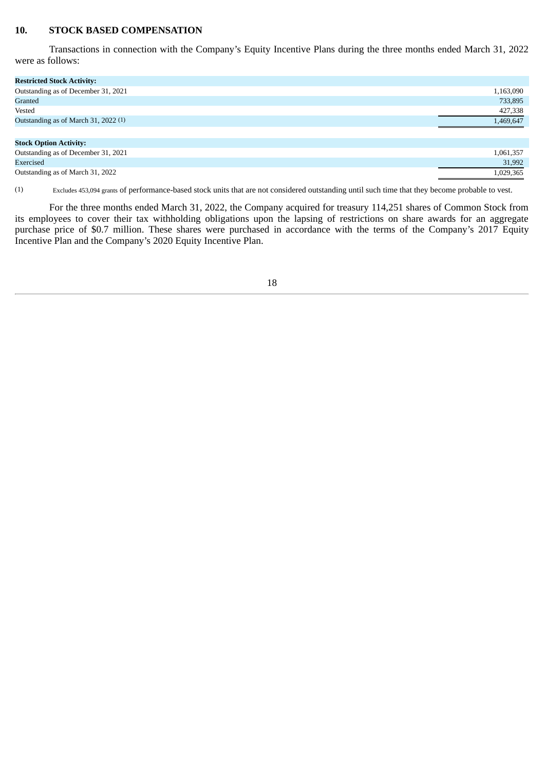# **10. STOCK BASED COMPENSATION**

Transactions in connection with the Company's Equity Incentive Plans during the three months ended March 31, 2022 were as follows:

| <b>Restricted Stock Activity:</b>    |           |
|--------------------------------------|-----------|
| Outstanding as of December 31, 2021  | 1,163,090 |
| Granted                              | 733,895   |
| Vested                               | 427,338   |
| Outstanding as of March 31, 2022 (1) | 1,469,647 |
|                                      |           |
| <b>Stock Option Activity:</b>        |           |
| Outstanding as of December 31, 2021  | 1,061,357 |
| Exercised                            | 31,992    |
| Outstanding as of March 31, 2022     | 1,029,365 |
|                                      |           |

(1) Excludes 453,094 grants of performance-based stock units that are not considered outstanding until such time that they become probable to vest.

For the three months ended March 31, 2022, the Company acquired for treasury 114,251 shares of Common Stock from its employees to cover their tax withholding obligations upon the lapsing of restrictions on share awards for an aggregate purchase price of \$0.7 million. These shares were purchased in accordance with the terms of the Company's 2017 Equity Incentive Plan and the Company's 2020 Equity Incentive Plan.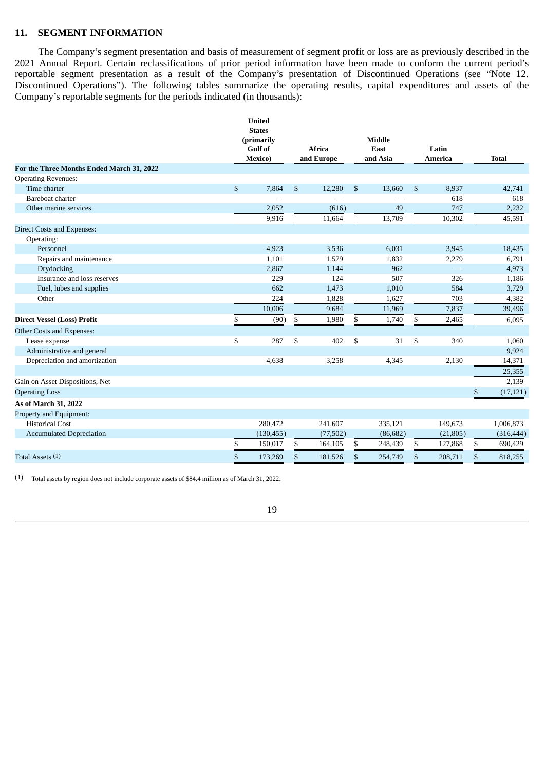#### **11. SEGMENT INFORMATION**

The Company's segment presentation and basis of measurement of segment profit or loss are as previously described in the 2021 Annual Report. Certain reclassifications of prior period information have been made to conform the current period's reportable segment presentation as a result of the Company's presentation of Discontinued Operations (see "Note 12. Discontinued Operations"). The following tables summarize the operating results, capital expenditures and assets of the Company's reportable segments for the periods indicated (in thousands):

|                                           | <b>United</b><br><b>States</b><br>(primarily<br><b>Gulf of</b><br><b>Mexico</b> ) |    | <b>Africa</b><br>and Europe |                | Middle<br>East<br>and Asia | Latin<br>America | <b>Total</b>    |
|-------------------------------------------|-----------------------------------------------------------------------------------|----|-----------------------------|----------------|----------------------------|------------------|-----------------|
| For the Three Months Ended March 31, 2022 |                                                                                   |    |                             |                |                            |                  |                 |
| <b>Operating Revenues:</b>                |                                                                                   |    |                             |                |                            |                  |                 |
| Time charter                              | \$<br>7,864                                                                       | \$ | 12,280                      | $\mathfrak{F}$ | 13,660                     | \$<br>8,937      | 42,741          |
| <b>Bareboat charter</b>                   |                                                                                   |    |                             |                |                            | 618              | 618             |
| Other marine services                     | 2,052                                                                             |    | (616)                       |                | 49                         | 747              | 2,232           |
|                                           | 9,916                                                                             |    | 11,664                      |                | 13,709                     | 10,302           | 45,591          |
| <b>Direct Costs and Expenses:</b>         |                                                                                   |    |                             |                |                            |                  |                 |
| Operating:                                |                                                                                   |    |                             |                |                            |                  |                 |
| Personnel                                 | 4,923                                                                             |    | 3,536                       |                | 6,031                      | 3,945            | 18,435          |
| Repairs and maintenance                   | 1,101                                                                             |    | 1,579                       |                | 1,832                      | 2,279            | 6,791           |
| Drydocking                                | 2,867                                                                             |    | 1,144                       |                | 962                        |                  | 4,973           |
| Insurance and loss reserves               | 229                                                                               |    | 124                         |                | 507                        | 326              | 1,186           |
| Fuel, lubes and supplies                  | 662                                                                               |    | 1,473                       |                | 1,010                      | 584              | 3,729           |
| Other                                     | 224                                                                               |    | 1,828                       |                | 1,627                      | 703              | 4,382           |
|                                           | 10,006                                                                            |    | 9,684                       |                | 11,969                     | 7,837            | 39,496          |
| <b>Direct Vessel (Loss) Profit</b>        | \$<br>(90)                                                                        | \$ | 1,980                       | \$             | 1,740                      | \$<br>2,465      | 6,095           |
| Other Costs and Expenses:                 |                                                                                   |    |                             |                |                            |                  |                 |
| Lease expense                             | \$<br>287                                                                         | \$ | 402                         | \$             | 31                         | \$<br>340        | 1,060           |
| Administrative and general                |                                                                                   |    |                             |                |                            |                  | 9,924           |
| Depreciation and amortization             | 4,638                                                                             |    | 3,258                       |                | 4,345                      | 2,130            | 14,371          |
|                                           |                                                                                   |    |                             |                |                            |                  | 25,355          |
| Gain on Asset Dispositions, Net           |                                                                                   |    |                             |                |                            |                  | 2,139           |
| <b>Operating Loss</b>                     |                                                                                   |    |                             |                |                            |                  | \$<br>(17, 121) |
| As of March 31, 2022                      |                                                                                   |    |                             |                |                            |                  |                 |
| Property and Equipment:                   |                                                                                   |    |                             |                |                            |                  |                 |
| <b>Historical Cost</b>                    | 280,472                                                                           |    | 241,607                     |                | 335,121                    | 149,673          | 1,006,873       |
| <b>Accumulated Depreciation</b>           | (130, 455)                                                                        |    | (77,502)                    |                | (86, 682)                  | (21, 805)        | (316, 444)      |
|                                           | \$<br>150,017                                                                     | \$ | 164,105                     | \$             | 248,439                    | \$<br>127,868    | \$<br>690,429   |
| Total Assets (1)                          | \$<br>173,269                                                                     | \$ | 181,526                     | \$             | 254,749                    | \$<br>208,711    | \$<br>818,255   |
|                                           |                                                                                   |    |                             |                |                            |                  |                 |

(1) Total assets by region does not include corporate assets of \$84.4 million as of March 31, 2022.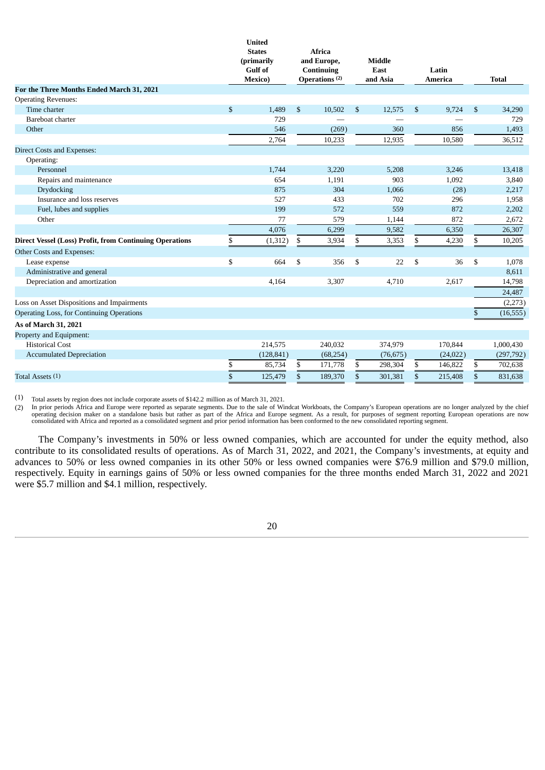|                                                                | <b>United</b><br><b>States</b><br>(primarily<br>Gulf of<br><b>Mexico</b> ) |            | <b>Africa</b><br>and Europe,<br><b>Continuing</b><br>Operations <sup>(2)</sup> | <b>Middle</b><br>East<br>and Asia |           | Latin<br>America |           | <b>Total</b>    |
|----------------------------------------------------------------|----------------------------------------------------------------------------|------------|--------------------------------------------------------------------------------|-----------------------------------|-----------|------------------|-----------|-----------------|
| For the Three Months Ended March 31, 2021                      |                                                                            |            |                                                                                |                                   |           |                  |           |                 |
| <b>Operating Revenues:</b>                                     |                                                                            |            |                                                                                |                                   |           |                  |           |                 |
| Time charter                                                   | \$                                                                         | 1,489      | \$<br>10,502                                                                   | \$                                | 12,575    | \$               | 9,724     | \$<br>34,290    |
| Bareboat charter                                               |                                                                            | 729        |                                                                                |                                   |           |                  |           | 729             |
| Other                                                          |                                                                            | 546        | (269)                                                                          |                                   | 360       |                  | 856       | 1,493           |
|                                                                |                                                                            | 2,764      | 10,233                                                                         |                                   | 12,935    |                  | 10,580    | 36,512          |
| Direct Costs and Expenses:                                     |                                                                            |            |                                                                                |                                   |           |                  |           |                 |
| Operating:                                                     |                                                                            |            |                                                                                |                                   |           |                  |           |                 |
| Personnel                                                      |                                                                            | 1,744      | 3,220                                                                          |                                   | 5,208     |                  | 3,246     | 13,418          |
| Repairs and maintenance                                        |                                                                            | 654        | 1,191                                                                          |                                   | 903       |                  | 1,092     | 3,840           |
| Drydocking                                                     |                                                                            | 875        | 304                                                                            |                                   | 1,066     |                  | (28)      | 2,217           |
| Insurance and loss reserves                                    |                                                                            | 527        | 433                                                                            |                                   | 702       |                  | 296       | 1,958           |
| Fuel, lubes and supplies                                       |                                                                            | 199        | 572                                                                            |                                   | 559       |                  | 872       | 2,202           |
| Other                                                          |                                                                            | 77         | 579                                                                            |                                   | 1,144     |                  | 872       | 2,672           |
|                                                                |                                                                            | 4,076      | 6,299                                                                          |                                   | 9,582     |                  | 6,350     | 26,307          |
| <b>Direct Vessel (Loss) Profit, from Continuing Operations</b> | \$                                                                         | (1, 312)   | \$<br>3,934                                                                    | \$                                | 3,353     | \$               | 4,230     | \$<br>10,205    |
| Other Costs and Expenses:                                      |                                                                            |            |                                                                                |                                   |           |                  |           |                 |
| Lease expense                                                  | \$                                                                         | 664        | \$<br>356                                                                      | \$                                | 22        | \$               | 36        | \$<br>1,078     |
| Administrative and general                                     |                                                                            |            |                                                                                |                                   |           |                  |           | 8,611           |
| Depreciation and amortization                                  |                                                                            | 4,164      | 3,307                                                                          |                                   | 4,710     |                  | 2,617     | 14,798          |
|                                                                |                                                                            |            |                                                                                |                                   |           |                  |           | 24,487          |
| Loss on Asset Dispositions and Impairments                     |                                                                            |            |                                                                                |                                   |           |                  |           | (2,273)         |
| <b>Operating Loss, for Continuing Operations</b>               |                                                                            |            |                                                                                |                                   |           |                  |           | \$<br>(16, 555) |
| As of March 31, 2021                                           |                                                                            |            |                                                                                |                                   |           |                  |           |                 |
| Property and Equipment:                                        |                                                                            |            |                                                                                |                                   |           |                  |           |                 |
| <b>Historical Cost</b>                                         |                                                                            | 214,575    | 240,032                                                                        |                                   | 374,979   |                  | 170,844   | 1,000,430       |
| <b>Accumulated Depreciation</b>                                |                                                                            | (128, 841) | (68, 254)                                                                      |                                   | (76, 675) |                  | (24, 022) | (297, 792)      |
|                                                                | \$                                                                         | 85,734     | \$<br>171,778                                                                  | \$                                | 298,304   | \$               | 146,822   | \$<br>702,638   |
| Total Assets (1)                                               | \$                                                                         | 125,479    | \$<br>189,370                                                                  | \$                                | 301,381   | \$               | 215,408   | \$<br>831,638   |

(1) Total assets by region does not include corporate assets of \$142.2 million as of March 31, 2021.

(2) In prior periods Africa and Europe were reported as separate segments. Due to the sale of Windcat Workboats, the Company's European operations are no longer analyzed by the chief operating decision maker on a standalon

The Company's investments in 50% or less owned companies, which are accounted for under the equity method, also contribute to its consolidated results of operations. As of March 31, 2022, and 2021, the Company's investments, at equity and advances to 50% or less owned companies in its other 50% or less owned companies were \$76.9 million and \$79.0 million, respectively. Equity in earnings gains of 50% or less owned companies for the three months ended March 31, 2022 and 2021 were \$5.7 million and \$4.1 million, respectively.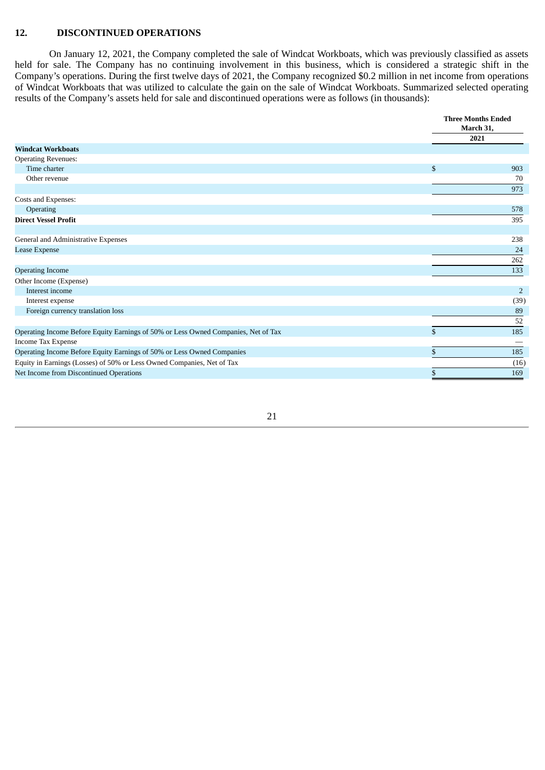# **12. DISCONTINUED OPERATIONS**

On January 12, 2021, the Company completed the sale of Windcat Workboats, which was previously classified as assets held for sale. The Company has no continuing involvement in this business, which is considered a strategic shift in the Company's operations. During the first twelve days of 2021, the Company recognized \$0.2 million in net income from operations of Windcat Workboats that was utilized to calculate the gain on the sale of Windcat Workboats. Summarized selected operating results of the Company's assets held for sale and discontinued operations were as follows (in thousands):

|                                                                                    | <b>Three Months Ended</b><br>March 31, |
|------------------------------------------------------------------------------------|----------------------------------------|
|                                                                                    | 2021                                   |
| <b>Windcat Workboats</b>                                                           |                                        |
| <b>Operating Revenues:</b>                                                         |                                        |
| Time charter                                                                       | \$<br>903                              |
| Other revenue                                                                      | 70                                     |
|                                                                                    | 973                                    |
| Costs and Expenses:                                                                |                                        |
| Operating                                                                          | 578                                    |
| <b>Direct Vessel Profit</b>                                                        | 395                                    |
|                                                                                    |                                        |
| General and Administrative Expenses                                                | 238                                    |
| Lease Expense                                                                      | 24                                     |
|                                                                                    | 262                                    |
| <b>Operating Income</b>                                                            | 133                                    |
| Other Income (Expense)                                                             |                                        |
| Interest income                                                                    | $\overline{2}$                         |
| Interest expense                                                                   | (39)                                   |
| Foreign currency translation loss                                                  | 89                                     |
|                                                                                    | 52                                     |
| Operating Income Before Equity Earnings of 50% or Less Owned Companies, Net of Tax | $\mathbf{s}$<br>185                    |
| Income Tax Expense                                                                 |                                        |
| Operating Income Before Equity Earnings of 50% or Less Owned Companies             | 185<br>\$                              |
| Equity in Earnings (Losses) of 50% or Less Owned Companies, Net of Tax             | (16)                                   |
| Net Income from Discontinued Operations                                            | 169<br>\$                              |
|                                                                                    |                                        |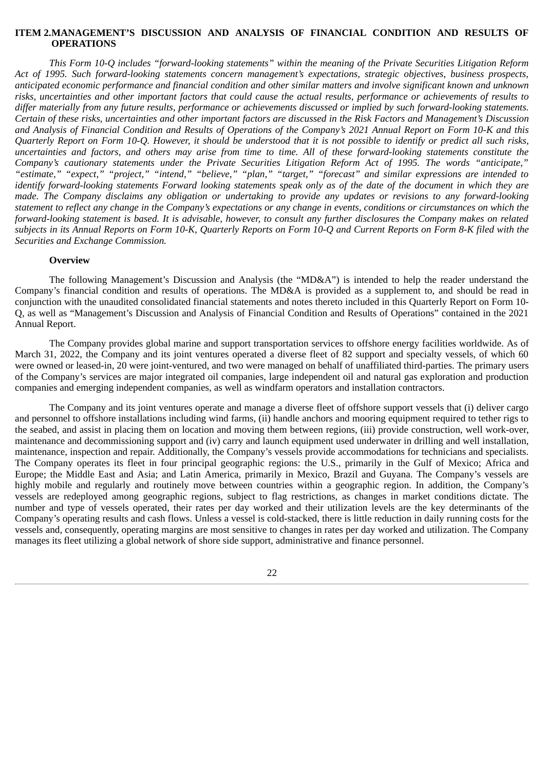#### <span id="page-23-0"></span>**ITEM 2.MANAGEMENT'S DISCUSSION AND ANALYSIS OF FINANCIAL CONDITION AND RESULTS OF OPERATIONS**

*This Form 10-Q includes "forward-looking statements" within the meaning of the Private Securities Litigation Reform Act of 1995. Such forward-looking statements concern management's expectations, strategic objectives, business prospects, anticipated economic performance and financial condition and other similar matters and involve significant known and unknown risks, uncertainties and other important factors that could cause the actual results, performance or achievements of results to differ materially from any future results, performance or achievements discussed or implied by such forward-looking statements. Certain of these risks, uncertainties and other important factors are discussed in the Risk Factors and Management's Discussion and Analysis of Financial Condition and Results of Operations of the Company's 2021 Annual Report on Form 10-K and this Quarterly Report on Form 10-Q. However, it should be understood that it is not possible to identify or predict all such risks, uncertainties and factors, and others may arise from time to time. All of these forward-looking statements constitute the Company's cautionary statements under the Private Securities Litigation Reform Act of 1995. The words "anticipate," "estimate," "expect," "project," "intend," "believe," "plan," "target," "forecast" and similar expressions are intended to identify forward-looking statements Forward looking statements speak only as of the date of the document in which they are made. The Company disclaims any obligation or undertaking to provide any updates or revisions to any forward-looking statement to reflect any change in the Company's expectations or any change in events, conditions or circumstances on which the forward-looking statement is based. It is advisable, however, to consult any further disclosures the Company makes on related subjects in its Annual Reports on Form 10-K, Quarterly Reports on Form 10-Q and Current Reports on Form 8-K filed with the Securities and Exchange Commission.*

#### **Overview**

The following Management's Discussion and Analysis (the "MD&A") is intended to help the reader understand the Company's financial condition and results of operations. The MD&A is provided as a supplement to, and should be read in conjunction with the unaudited consolidated financial statements and notes thereto included in this Quarterly Report on Form 10- Q, as well as "Management's Discussion and Analysis of Financial Condition and Results of Operations" contained in the 2021 Annual Report.

The Company provides global marine and support transportation services to offshore energy facilities worldwide. As of March 31, 2022, the Company and its joint ventures operated a diverse fleet of 82 support and specialty vessels, of which 60 were owned or leased-in, 20 were joint-ventured, and two were managed on behalf of unaffiliated third-parties. The primary users of the Company's services are major integrated oil companies, large independent oil and natural gas exploration and production companies and emerging independent companies, as well as windfarm operators and installation contractors.

The Company and its joint ventures operate and manage a diverse fleet of offshore support vessels that (i) deliver cargo and personnel to offshore installations including wind farms, (ii) handle anchors and mooring equipment required to tether rigs to the seabed, and assist in placing them on location and moving them between regions, (iii) provide construction, well work-over, maintenance and decommissioning support and (iv) carry and launch equipment used underwater in drilling and well installation, maintenance, inspection and repair. Additionally, the Company's vessels provide accommodations for technicians and specialists. The Company operates its fleet in four principal geographic regions: the U.S., primarily in the Gulf of Mexico; Africa and Europe; the Middle East and Asia; and Latin America, primarily in Mexico, Brazil and Guyana. The Company's vessels are highly mobile and regularly and routinely move between countries within a geographic region. In addition, the Company's vessels are redeployed among geographic regions, subject to flag restrictions, as changes in market conditions dictate. The number and type of vessels operated, their rates per day worked and their utilization levels are the key determinants of the Company's operating results and cash flows. Unless a vessel is cold-stacked, there is little reduction in daily running costs for the vessels and, consequently, operating margins are most sensitive to changes in rates per day worked and utilization. The Company manages its fleet utilizing a global network of shore side support, administrative and finance personnel.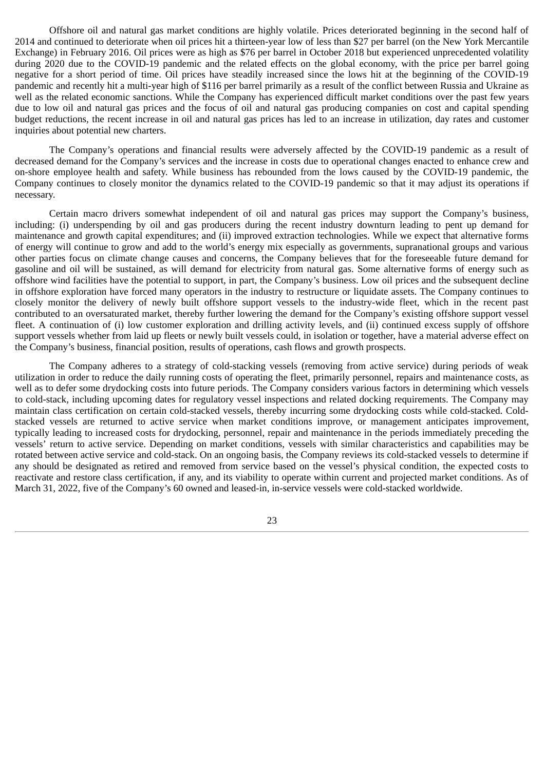Offshore oil and natural gas market conditions are highly volatile. Prices deteriorated beginning in the second half of 2014 and continued to deteriorate when oil prices hit a thirteen-year low of less than \$27 per barrel (on the New York Mercantile Exchange) in February 2016. Oil prices were as high as \$76 per barrel in October 2018 but experienced unprecedented volatility during 2020 due to the COVID-19 pandemic and the related effects on the global economy, with the price per barrel going negative for a short period of time. Oil prices have steadily increased since the lows hit at the beginning of the COVID-19 pandemic and recently hit a multi-year high of \$116 per barrel primarily as a result of the conflict between Russia and Ukraine as well as the related economic sanctions. While the Company has experienced difficult market conditions over the past few years due to low oil and natural gas prices and the focus of oil and natural gas producing companies on cost and capital spending budget reductions, the recent increase in oil and natural gas prices has led to an increase in utilization, day rates and customer inquiries about potential new charters.

The Company's operations and financial results were adversely affected by the COVID-19 pandemic as a result of decreased demand for the Company's services and the increase in costs due to operational changes enacted to enhance crew and on-shore employee health and safety. While business has rebounded from the lows caused by the COVID-19 pandemic, the Company continues to closely monitor the dynamics related to the COVID-19 pandemic so that it may adjust its operations if necessary.

Certain macro drivers somewhat independent of oil and natural gas prices may support the Company's business, including: (i) underspending by oil and gas producers during the recent industry downturn leading to pent up demand for maintenance and growth capital expenditures; and (ii) improved extraction technologies. While we expect that alternative forms of energy will continue to grow and add to the world's energy mix especially as governments, supranational groups and various other parties focus on climate change causes and concerns, the Company believes that for the foreseeable future demand for gasoline and oil will be sustained, as will demand for electricity from natural gas. Some alternative forms of energy such as offshore wind facilities have the potential to support, in part, the Company's business. Low oil prices and the subsequent decline in offshore exploration have forced many operators in the industry to restructure or liquidate assets. The Company continues to closely monitor the delivery of newly built offshore support vessels to the industry-wide fleet, which in the recent past contributed to an oversaturated market, thereby further lowering the demand for the Company's existing offshore support vessel fleet. A continuation of (i) low customer exploration and drilling activity levels, and (ii) continued excess supply of offshore support vessels whether from laid up fleets or newly built vessels could, in isolation or together, have a material adverse effect on the Company's business, financial position, results of operations, cash flows and growth prospects.

The Company adheres to a strategy of cold-stacking vessels (removing from active service) during periods of weak utilization in order to reduce the daily running costs of operating the fleet, primarily personnel, repairs and maintenance costs, as well as to defer some drydocking costs into future periods. The Company considers various factors in determining which vessels to cold-stack, including upcoming dates for regulatory vessel inspections and related docking requirements. The Company may maintain class certification on certain cold-stacked vessels, thereby incurring some drydocking costs while cold-stacked. Coldstacked vessels are returned to active service when market conditions improve, or management anticipates improvement, typically leading to increased costs for drydocking, personnel, repair and maintenance in the periods immediately preceding the vessels' return to active service. Depending on market conditions, vessels with similar characteristics and capabilities may be rotated between active service and cold-stack. On an ongoing basis, the Company reviews its cold-stacked vessels to determine if any should be designated as retired and removed from service based on the vessel's physical condition, the expected costs to reactivate and restore class certification, if any, and its viability to operate within current and projected market conditions. As of March 31, 2022, five of the Company's 60 owned and leased-in, in-service vessels were cold-stacked worldwide.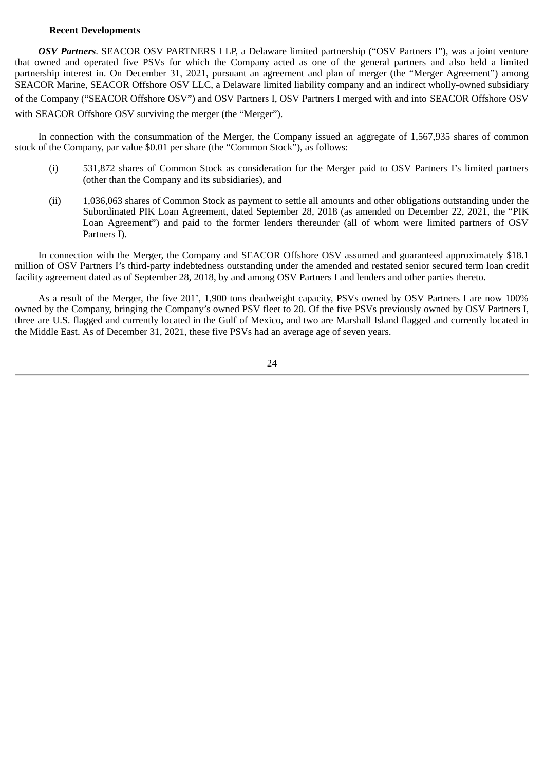#### **Recent Developments**

*OSV Partners*. SEACOR OSV PARTNERS I LP, a Delaware limited partnership ("OSV Partners I"), was a joint venture that owned and operated five PSVs for which the Company acted as one of the general partners and also held a limited partnership interest in. On December 31, 2021, pursuant an agreement and plan of merger (the "Merger Agreement") among SEACOR Marine, SEACOR Offshore OSV LLC, a Delaware limited liability company and an indirect wholly-owned subsidiary of the Company ("SEACOR Offshore OSV") and OSV Partners I, OSV Partners I merged with and into SEACOR Offshore OSV with SEACOR Offshore OSV surviving the merger (the "Merger").

In connection with the consummation of the Merger, the Company issued an aggregate of 1,567,935 shares of common stock of the Company, par value \$0.01 per share (the "Common Stock"), as follows:

- (i) 531,872 shares of Common Stock as consideration for the Merger paid to OSV Partners I's limited partners (other than the Company and its subsidiaries), and
- (ii) 1,036,063 shares of Common Stock as payment to settle all amounts and other obligations outstanding under the Subordinated PIK Loan Agreement, dated September 28, 2018 (as amended on December 22, 2021, the "PIK Loan Agreement") and paid to the former lenders thereunder (all of whom were limited partners of OSV Partners I).

In connection with the Merger, the Company and SEACOR Offshore OSV assumed and guaranteed approximately \$18.1 million of OSV Partners I's third-party indebtedness outstanding under the amended and restated senior secured term loan credit facility agreement dated as of September 28, 2018, by and among OSV Partners I and lenders and other parties thereto.

As a result of the Merger, the five 201', 1,900 tons deadweight capacity, PSVs owned by OSV Partners I are now 100% owned by the Company, bringing the Company's owned PSV fleet to 20. Of the five PSVs previously owned by OSV Partners I, three are U.S. flagged and currently located in the Gulf of Mexico, and two are Marshall Island flagged and currently located in the Middle East. As of December 31, 2021, these five PSVs had an average age of seven years.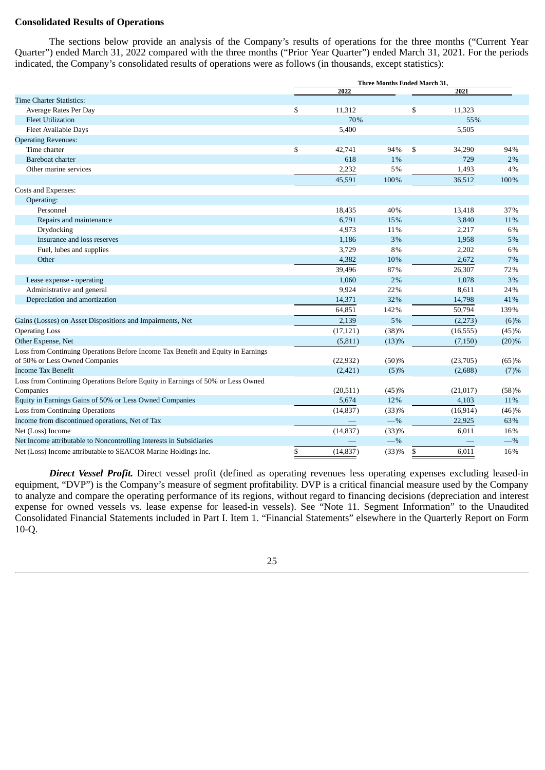# **Consolidated Results of Operations**

The sections below provide an analysis of the Company's results of operations for the three months ("Current Year Quarter") ended March 31, 2022 compared with the three months ("Prior Year Quarter") ended March 31, 2021. For the periods indicated, the Company's consolidated results of operations were as follows (in thousands, except statistics):

|                                                                                  |                 | <b>Three Months Ended March 31,</b> |    |           |         |
|----------------------------------------------------------------------------------|-----------------|-------------------------------------|----|-----------|---------|
|                                                                                  | 2022            |                                     |    | 2021      |         |
| <b>Time Charter Statistics:</b>                                                  |                 |                                     |    |           |         |
| Average Rates Per Day                                                            | \$<br>11,312    |                                     | \$ | 11,323    |         |
| <b>Fleet Utilization</b>                                                         | 70%             |                                     |    | 55%       |         |
| <b>Fleet Available Days</b>                                                      | 5,400           |                                     |    | 5,505     |         |
| <b>Operating Revenues:</b>                                                       |                 |                                     |    |           |         |
| Time charter                                                                     | \$<br>42,741    | 94%                                 | \$ | 34,290    | 94%     |
| <b>Bareboat charter</b>                                                          | 618             | 1%                                  |    | 729       | 2%      |
| Other marine services                                                            | 2,232           | 5%                                  |    | 1,493     | 4%      |
|                                                                                  | 45,591          | 100%                                |    | 36,512    | 100%    |
| Costs and Expenses:                                                              |                 |                                     |    |           |         |
| Operating:                                                                       |                 |                                     |    |           |         |
| Personnel                                                                        | 18,435          | 40%                                 |    | 13,418    | 37%     |
| Repairs and maintenance                                                          | 6,791           | 15%                                 |    | 3,840     | 11%     |
| Drydocking                                                                       | 4,973           | 11%                                 |    | 2,217     | 6%      |
| Insurance and loss reserves                                                      | 1,186           | 3%                                  |    | 1,958     | 5%      |
| Fuel, lubes and supplies                                                         | 3,729           | 8%                                  |    | 2,202     | 6%      |
| Other                                                                            | 4,382           | 10%                                 |    | 2,672     | 7%      |
|                                                                                  | 39,496          | 87%                                 |    | 26,307    | 72%     |
| Lease expense - operating                                                        | 1.060           | 2%                                  |    | 1,078     | 3%      |
| Administrative and general                                                       | 9,924           | 22%                                 |    | 8,611     | 24%     |
| Depreciation and amortization                                                    | 14,371          | 32%                                 |    | 14,798    | 41%     |
|                                                                                  | 64,851          | 142%                                |    | 50,794    | 139%    |
| Gains (Losses) on Asset Dispositions and Impairments, Net                        | 2,139           | 5%                                  |    | (2,273)   | $(6)$ % |
| <b>Operating Loss</b>                                                            | (17, 121)       | (38)%                               |    | (16, 555) | (45)%   |
| Other Expense, Net                                                               | (5, 811)        | (13)%                               |    | (7, 150)  | (20)%   |
| Loss from Continuing Operations Before Income Tax Benefit and Equity in Earnings |                 |                                     |    |           |         |
| of 50% or Less Owned Companies                                                   | (22, 932)       | (50)%                               |    | (23,705)  | (65)%   |
| Income Tax Benefit                                                               | (2,421)         | (5)%                                |    | (2,688)   | (7)%    |
| Loss from Continuing Operations Before Equity in Earnings of 50% or Less Owned   |                 |                                     |    |           |         |
| Companies                                                                        | (20,511)        | (45)%                               |    | (21, 017) | (58)%   |
| Equity in Earnings Gains of 50% or Less Owned Companies                          | 5,674           | 12%                                 |    | 4,103     | 11%     |
| <b>Loss from Continuing Operations</b>                                           | (14, 837)       | (33)%                               |    | (16, 914) | (46)%   |
| Income from discontinued operations, Net of Tax                                  |                 | $-$ %                               |    | 22,925    | 63%     |
| Net (Loss) Income                                                                | (14, 837)       | (33)%                               |    | 6,011     | 16%     |
| Net Income attributable to Noncontrolling Interests in Subsidiaries              |                 | $-$ %                               |    |           | $-$ %   |
| Net (Loss) Income attributable to SEACOR Marine Holdings Inc.                    | \$<br>(14, 837) | (33)%                               | \$ | 6,011     | 16%     |

*Direct Vessel Profit.* Direct vessel profit (defined as operating revenues less operating expenses excluding leased-in equipment, "DVP") is the Company's measure of segment profitability. DVP is a critical financial measure used by the Company to analyze and compare the operating performance of its regions, without regard to financing decisions (depreciation and interest expense for owned vessels vs. lease expense for leased-in vessels). See "Note 11. Segment Information" to the Unaudited Consolidated Financial Statements included in Part I. Item 1. "Financial Statements" elsewhere in the Quarterly Report on Form 10-Q.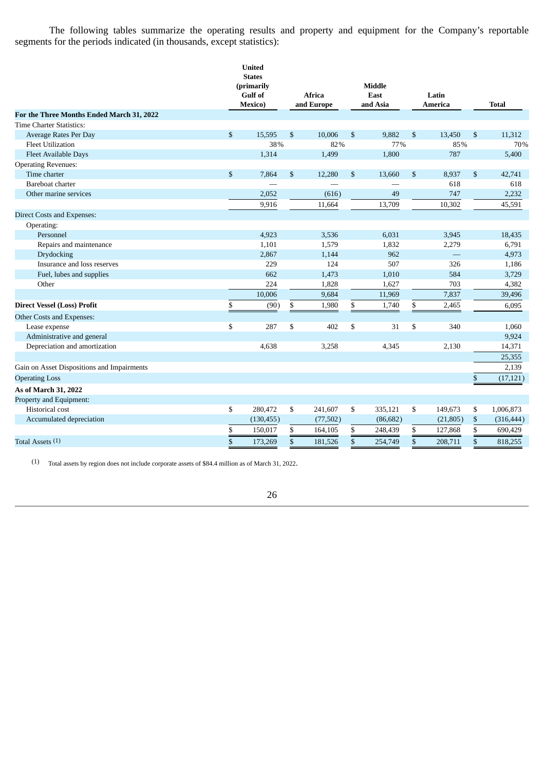The following tables summarize the operating results and property and equipment for the Company's reportable segments for the periods indicated (in thousands, except statistics):

|                                            | <b>United</b>                |    |               |                |               |                  |
|--------------------------------------------|------------------------------|----|---------------|----------------|---------------|------------------|
|                                            | <b>States</b>                |    |               |                |               |                  |
|                                            | (primarily<br><b>Gulf of</b> |    | <b>Africa</b> | Middle<br>East | Latin         |                  |
|                                            | <b>Mexico</b> )              |    | and Europe    | and Asia       | America       | <b>Total</b>     |
| For the Three Months Ended March 31, 2022  |                              |    |               |                |               |                  |
| <b>Time Charter Statistics:</b>            |                              |    |               |                |               |                  |
| Average Rates Per Day                      | \$<br>15,595                 | \$ | 10,006        | \$<br>9,882    | \$<br>13,450  | \$<br>11,312     |
| <b>Fleet Utilization</b>                   | 38%                          |    | 82%           | 77%            | 85%           | 70%              |
| <b>Fleet Available Days</b>                | 1,314                        |    | 1,499         | 1,800          | 787           | 5,400            |
| <b>Operating Revenues:</b>                 |                              |    |               |                |               |                  |
| Time charter                               | \$<br>7,864                  | \$ | 12,280        | \$<br>13,660   | \$<br>8,937   | \$<br>42,741     |
| Bareboat charter                           |                              |    |               |                | 618           | 618              |
| Other marine services                      | 2,052                        |    | (616)         | 49             | 747           | 2,232            |
|                                            | 9,916                        |    | 11,664        | 13,709         | 10,302        | 45,591           |
| Direct Costs and Expenses:                 |                              |    |               |                |               |                  |
| Operating:                                 |                              |    |               |                |               |                  |
| Personnel                                  | 4,923                        |    | 3,536         | 6,031          | 3,945         | 18,435           |
| Repairs and maintenance                    | 1,101                        |    | 1,579         | 1,832          | 2,279         | 6,791            |
| Drydocking                                 | 2,867                        |    | 1,144         | 962            | $\equiv$      | 4,973            |
| Insurance and loss reserves                | 229                          |    | 124           | 507            | 326           | 1,186            |
| Fuel, lubes and supplies                   | 662                          |    | 1,473         | 1,010          | 584           | 3,729            |
| Other                                      | 224                          |    | 1,828         | 1,627          | 703           | 4,382            |
|                                            | 10,006                       |    | 9,684         | 11,969         | 7,837         | 39,496           |
| <b>Direct Vessel (Loss) Profit</b>         | \$<br>(90)                   | \$ | 1,980         | \$<br>1,740    | \$<br>2,465   | 6,095            |
| Other Costs and Expenses:                  |                              |    |               |                |               |                  |
| Lease expense                              | \$<br>287                    | \$ | 402           | \$<br>31       | \$<br>340     | 1,060            |
| Administrative and general                 |                              |    |               |                |               | 9,924            |
| Depreciation and amortization              | 4,638                        |    | 3,258         | 4,345          | 2,130         | 14,371           |
|                                            |                              |    |               |                |               | 25,355           |
| Gain on Asset Dispositions and Impairments |                              |    |               |                |               | 2,139            |
| <b>Operating Loss</b>                      |                              |    |               |                |               | \$<br>(17, 121)  |
| As of March 31, 2022                       |                              |    |               |                |               |                  |
| Property and Equipment:                    |                              |    |               |                |               |                  |
| Historical cost                            | \$<br>280,472                | \$ | 241,607       | \$<br>335,121  | \$<br>149,673 | \$<br>1,006,873  |
| Accumulated depreciation                   | (130, 455)                   |    | (77,502)      | (86, 682)      | (21, 805)     | \$<br>(316, 444) |
|                                            | \$<br>150,017                | \$ | 164,105       | \$<br>248,439  | \$<br>127,868 | \$<br>690,429    |
| Total Assets (1)                           | \$<br>173,269                | \$ | 181,526       | \$<br>254,749  | \$<br>208.711 | \$<br>818,255    |
|                                            |                              |    |               |                |               |                  |

(1) Total assets by region does not include corporate assets of \$84.4 million as of March 31, 2022.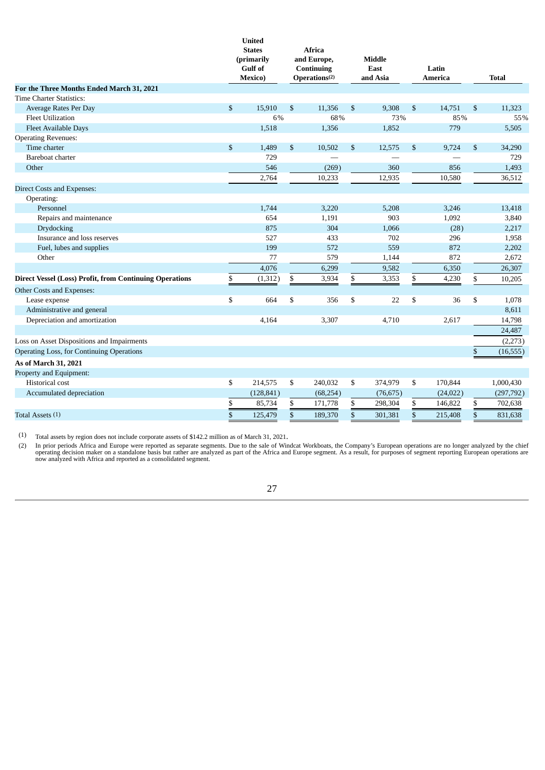|                                                                | <b>United</b><br><b>States</b><br>(primarily<br><b>Gulf of</b><br><b>Mexico</b> ) |            | <b>Africa</b><br>and Europe,<br><b>Continuing</b><br>Operations <sup>(2)</sup> |                | Middle<br>East<br>and Asia | Latin<br>America |    | <b>Total</b> |
|----------------------------------------------------------------|-----------------------------------------------------------------------------------|------------|--------------------------------------------------------------------------------|----------------|----------------------------|------------------|----|--------------|
| For the Three Months Ended March 31, 2021                      |                                                                                   |            |                                                                                |                |                            |                  |    |              |
| <b>Time Charter Statistics:</b>                                |                                                                                   |            |                                                                                |                |                            |                  |    |              |
| Average Rates Per Day                                          | $\mathfrak{S}$                                                                    | 15,910     | \$<br>11,356                                                                   | \$             | 9,308                      | \$<br>14,751     | \$ | 11,323       |
| <b>Fleet Utilization</b>                                       |                                                                                   | 6%         | 68%                                                                            |                | 73%                        | 85%              |    | 55%          |
| <b>Fleet Available Days</b>                                    |                                                                                   | 1,518      | 1,356                                                                          |                | 1,852                      | 779              |    | 5,505        |
| <b>Operating Revenues:</b>                                     |                                                                                   |            |                                                                                |                |                            |                  |    |              |
| Time charter                                                   | $\mathbb{S}$                                                                      | 1,489      | \$<br>10,502                                                                   | $\mathfrak{S}$ | 12,575                     | \$<br>9,724      | \$ | 34,290       |
| Bareboat charter                                               |                                                                                   | 729        |                                                                                |                |                            |                  |    | 729          |
| Other                                                          |                                                                                   | 546        | (269)                                                                          |                | 360                        | 856              |    | 1,493        |
|                                                                |                                                                                   | 2,764      | 10,233                                                                         |                | 12,935                     | 10,580           |    | 36,512       |
| <b>Direct Costs and Expenses:</b>                              |                                                                                   |            |                                                                                |                |                            |                  |    |              |
| Operating:                                                     |                                                                                   |            |                                                                                |                |                            |                  |    |              |
| Personnel                                                      |                                                                                   | 1.744      | 3.220                                                                          |                | 5,208                      | 3,246            |    | 13.418       |
| Repairs and maintenance                                        |                                                                                   | 654        | 1,191                                                                          |                | 903                        | 1,092            |    | 3,840        |
| Drydocking                                                     |                                                                                   | 875        | 304                                                                            |                | 1,066                      | (28)             |    | 2,217        |
| Insurance and loss reserves                                    |                                                                                   | 527        | 433                                                                            |                | 702                        | 296              |    | 1,958        |
| Fuel, lubes and supplies                                       |                                                                                   | 199        | 572                                                                            |                | 559                        | 872              |    | 2,202        |
| Other                                                          |                                                                                   | 77         | 579                                                                            |                | 1,144                      | 872              |    | 2,672        |
|                                                                |                                                                                   | 4,076      | 6,299                                                                          |                | 9,582                      | 6,350            |    | 26,307       |
| <b>Direct Vessel (Loss) Profit, from Continuing Operations</b> | \$                                                                                | (1, 312)   | \$<br>3,934                                                                    | \$             | 3,353                      | \$<br>4,230      | \$ | 10,205       |
| Other Costs and Expenses:                                      |                                                                                   |            |                                                                                |                |                            |                  |    |              |
| Lease expense                                                  | \$                                                                                | 664        | \$<br>356                                                                      | \$             | 22                         | \$<br>36         | \$ | 1,078        |
| Administrative and general                                     |                                                                                   |            |                                                                                |                |                            |                  |    | 8,611        |
| Depreciation and amortization                                  |                                                                                   | 4,164      | 3,307                                                                          |                | 4,710                      | 2,617            |    | 14,798       |
|                                                                |                                                                                   |            |                                                                                |                |                            |                  |    | 24,487       |
| Loss on Asset Dispositions and Impairments                     |                                                                                   |            |                                                                                |                |                            |                  |    | (2,273)      |
| <b>Operating Loss, for Continuing Operations</b>               |                                                                                   |            |                                                                                |                |                            |                  | \$ | (16, 555)    |
| As of March 31, 2021                                           |                                                                                   |            |                                                                                |                |                            |                  |    |              |
| Property and Equipment:                                        |                                                                                   |            |                                                                                |                |                            |                  |    |              |
| Historical cost                                                | \$                                                                                | 214,575    | \$<br>240,032                                                                  | \$             | 374,979                    | \$<br>170,844    |    | 1,000,430    |
| Accumulated depreciation                                       |                                                                                   | (128, 841) | (68, 254)                                                                      |                | (76, 675)                  | (24, 022)        |    | (297,792)    |
|                                                                | \$                                                                                | 85,734     | \$<br>171,778                                                                  | \$             | 298,304                    | \$<br>146,822    | \$ | 702,638      |
| Total Assets (1)                                               | \$                                                                                | 125,479    | \$<br>189,370                                                                  | \$             | 301,381                    | \$<br>215,408    | \$ | 831,638      |
|                                                                |                                                                                   |            |                                                                                |                |                            |                  |    |              |

(1) Total assets by region does not include corporate assets of \$142.2 million as of March 31, 2021.

(2) In prior periods Africa and Europe were reported as separate segments. Due to the sale of Windcat Workboats, the Company's European operations are no longer analyzed by the chief operating decision maker on a standalon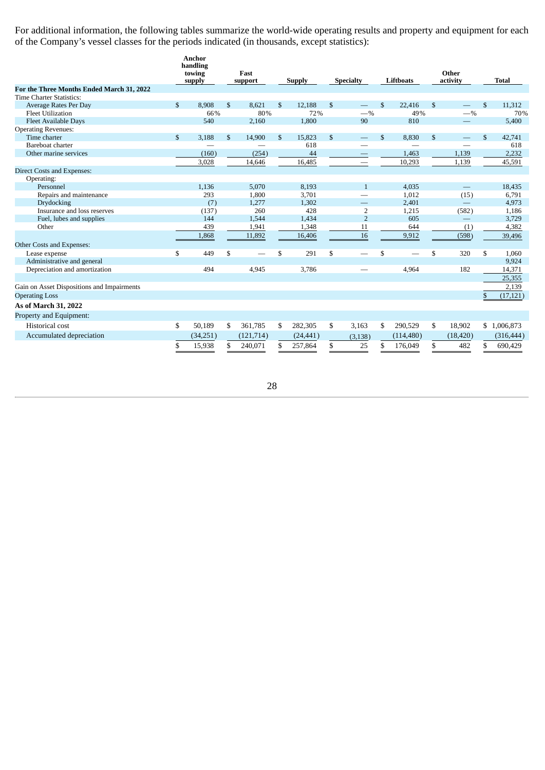For additional information, the following tables summarize the world-wide operating results and property and equipment for each of the Company's vessel classes for the periods indicated (in thousands, except statistics):

|                                            | Anchor<br>handling<br>towing | Fast          |               |               |                  |               | Other        |              |              |
|--------------------------------------------|------------------------------|---------------|---------------|---------------|------------------|---------------|--------------|--------------|--------------|
|                                            | supply                       | support       |               | <b>Supply</b> | <b>Specialty</b> | Liftboats     | activity     |              | <b>Total</b> |
| For the Three Months Ended March 31, 2022  |                              |               |               |               |                  |               |              |              |              |
| <b>Time Charter Statistics:</b>            |                              |               |               |               |                  |               |              |              |              |
| Average Rates Per Day                      | \$<br>8,908                  | \$<br>8.621   | \$            | 12,188        | \$               | \$<br>22,416  | \$           | \$           | 11,312       |
| Fleet Utilization                          | 66%                          | 80%           |               | 72%           | $-$ %            | 49%           | $-$ %        |              | 70%          |
| <b>Fleet Available Days</b>                | 540                          | 2,160         |               | 1,800         | 90               | 810           |              |              | 5,400        |
| <b>Operating Revenues:</b>                 |                              |               |               |               |                  |               |              |              |              |
| Time charter                               | \$<br>3,188                  | \$<br>14,900  | $\mathsf{\$}$ | 15,823        | \$               | \$<br>8,830   | \$           | $\mathbb{S}$ | 42,741       |
| Bareboat charter                           |                              |               |               | 618           |                  |               |              |              | 618          |
| Other marine services                      | (160)                        | (254)         |               | 44            |                  | 1,463         | 1,139        |              | 2,232        |
|                                            | 3,028                        | 14,646        |               | 16,485        |                  | 10,293        | 1,139        |              | 45,591       |
| Direct Costs and Expenses:                 |                              |               |               |               |                  |               |              |              |              |
| Operating:                                 |                              |               |               |               |                  |               |              |              |              |
| Personnel                                  | 1.136                        | 5,070         |               | 8,193         | $\mathbf{1}$     | 4,035         |              |              | 18,435       |
| Repairs and maintenance                    | 293                          | 1,800         |               | 3,701         |                  | 1,012         | (15)         |              | 6,791        |
| Drydocking                                 | (7)                          | 1,277         |               | 1,302         |                  | 2,401         |              |              | 4,973        |
| Insurance and loss reserves                | (137)                        | 260           |               | 428           | 2                | 1,215         | (582)        |              | 1,186        |
| Fuel, lubes and supplies                   | 144                          | 1,544         |               | 1,434         | $\overline{2}$   | 605           |              |              | 3,729        |
| Other                                      | 439                          | 1,941         |               | 1,348         | 11               | 644           | (1)          |              | 4,382        |
|                                            | 1,868                        | 11,892        |               | 16,406        | 16               | 9,912         | (598)        |              | 39,496       |
| Other Costs and Expenses:                  |                              |               |               |               |                  |               |              |              |              |
| Lease expense                              | \$<br>449                    | \$            | \$            | 291           | \$               | \$            | \$<br>320    | $\mathbb{S}$ | 1,060        |
| Administrative and general                 |                              |               |               |               |                  |               |              |              | 9,924        |
| Depreciation and amortization              | 494                          | 4,945         |               | 3,786         |                  | 4,964         | 182          |              | 14,371       |
|                                            |                              |               |               |               |                  |               |              |              | 25,355       |
| Gain on Asset Dispositions and Impairments |                              |               |               |               |                  |               |              |              | 2,139        |
| <b>Operating Loss</b>                      |                              |               |               |               |                  |               |              | \$           | (17, 121)    |
|                                            |                              |               |               |               |                  |               |              |              |              |
| As of March 31, 2022                       |                              |               |               |               |                  |               |              |              |              |
| Property and Equipment:                    |                              |               |               |               |                  |               |              |              |              |
| <b>Historical cost</b>                     | \$<br>50,189                 | \$<br>361,785 | \$            | 282,305       | \$<br>3,163      | \$<br>290,529 | \$<br>18,902 |              | \$1,006,873  |
| Accumulated depreciation                   | (34,251)                     | (121, 714)    |               | (24, 441)     | (3, 138)         | (114, 480)    | (18, 420)    |              | (316, 444)   |
|                                            | \$<br>15,938                 | \$<br>240,071 | \$            | 257,864       | \$<br>25         | \$<br>176,049 | \$<br>482    | \$           | 690,429      |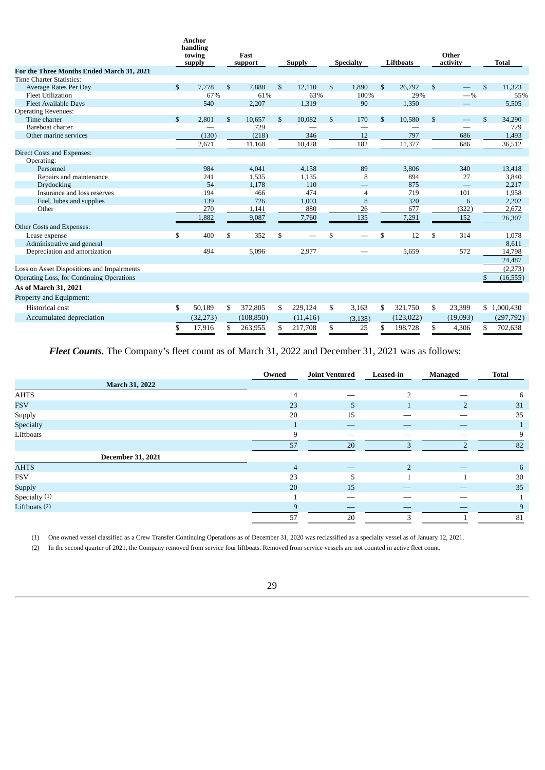|                                            |               | <b>Anchor</b><br>handling<br>towing<br>supply | Fast<br>support |              | <b>Supply</b> |              | <b>Specialty</b> | <b>Liftboats</b> |              | Other<br>activity        |               | <b>Total</b> |
|--------------------------------------------|---------------|-----------------------------------------------|-----------------|--------------|---------------|--------------|------------------|------------------|--------------|--------------------------|---------------|--------------|
| For the Three Months Ended March 31, 2021  |               |                                               |                 |              |               |              |                  |                  |              |                          |               |              |
| <b>Time Charter Statistics:</b>            |               |                                               |                 |              |               |              |                  |                  |              |                          |               |              |
| Average Rates Per Day                      | $\mathcal{S}$ | 7,778                                         | \$<br>7,888     | $\mathbf{s}$ | 12,110        | $\mathbb{S}$ | 1.890            | \$<br>26,792     | $\mathbf{s}$ |                          | $\mathcal{S}$ | 11.323       |
| <b>Fleet Utilization</b>                   |               | 67%                                           | 61%             |              | 63%           |              | 100%             | 29%              |              | $-$ %                    |               | 55%          |
| <b>Fleet Available Days</b>                |               | 540                                           | 2,207           |              | 1,319         |              | 90               | 1,350            |              |                          |               | 5,505        |
| <b>Operating Revenues:</b>                 |               |                                               |                 |              |               |              |                  |                  |              |                          |               |              |
| Time charter                               | $\mathbb{S}$  | 2.801                                         | \$<br>10,657    | $\mathbb{S}$ | 10.082        | $\mathbb{S}$ | 170              | \$<br>10,580     | $\mathbf{s}$ |                          | $\mathbb{S}$  | 34,290       |
| Bareboat charter                           |               | -                                             | 729             |              |               |              |                  |                  |              |                          |               | 729          |
| Other marine services                      |               | (130)                                         | (218)           |              | 346           |              | 12               | 797              |              | 686                      |               | 1,493        |
|                                            |               | 2,671                                         | 11,168          |              | 10,428        |              | 182              | 11,377           |              | 686                      |               | 36,512       |
| <b>Direct Costs and Expenses:</b>          |               |                                               |                 |              |               |              |                  |                  |              |                          |               |              |
| Operating:                                 |               |                                               |                 |              |               |              |                  |                  |              |                          |               |              |
| Personnel                                  |               | 984                                           | 4,041           |              | 4,158         |              | 89               | 3,806            |              | 340                      |               | 13,418       |
| Repairs and maintenance                    |               | 241                                           | 1,535           |              | 1,135         |              | 8                | 894              |              | 27                       |               | 3,840        |
| Drydocking                                 |               | 54                                            | 1,178           |              | 110           |              |                  | 875              |              | $\overline{\phantom{0}}$ |               | 2,217        |
| Insurance and loss reserves                |               | 194                                           | 466             |              | 474           |              | 4                | 719              |              | 101                      |               | 1,958        |
| Fuel, lubes and supplies                   |               | 139                                           | 726             |              | 1,003         |              | 8                | 320              |              | 6                        |               | 2,202        |
| Other                                      |               | 270                                           | 1,141           |              | 880           |              | 26               | 677              |              | (322)                    |               | 2,672        |
|                                            |               | 1,882                                         | 9,087           |              | 7,760         |              | 135              | 7,291            |              | 152                      |               | 26,307       |
| Other Costs and Expenses:                  |               |                                               |                 |              |               |              |                  |                  |              |                          |               |              |
| Lease expense                              | \$            | 400                                           | \$<br>352       | \$           |               | \$           |                  | \$<br>12         | \$           | 314                      |               | 1,078        |
| Administrative and general                 |               |                                               |                 |              |               |              |                  |                  |              |                          |               | 8,611        |
| Depreciation and amortization              |               | 494                                           | 5,096           |              | 2,977         |              |                  | 5,659            |              | 572                      |               | 14,798       |
|                                            |               |                                               |                 |              |               |              |                  |                  |              |                          |               | 24,487       |
| Loss on Asset Dispositions and Impairments |               |                                               |                 |              |               |              |                  |                  |              |                          |               | (2,273)      |
| Operating Loss, for Continuing Operations  |               |                                               |                 |              |               |              |                  |                  |              |                          | \$            | (16, 555)    |
| As of March 31, 2021                       |               |                                               |                 |              |               |              |                  |                  |              |                          |               |              |
| Property and Equipment:                    |               |                                               |                 |              |               |              |                  |                  |              |                          |               |              |
| Historical cost                            | \$            | 50,189                                        | \$<br>372,805   | \$           | 229,124       | \$           | 3,163            | \$<br>321,750    | \$           | 23,399                   |               | \$1,000,430  |
| Accumulated depreciation                   |               | (32, 273)                                     | (108, 850)      |              | (11, 416)     |              | (3, 138)         | (123, 022)       |              | (19,093)                 |               | (297, 792)   |
|                                            | \$            | 17,916                                        | \$<br>263,955   | \$           | 217,708       | \$           | 25               | \$<br>198,728    | \$           | 4,306                    | \$            | 702,638      |

*Fleet Counts.* The Company's fleet count as of March 31, 2022 and December 31, 2021 was as follows:

|                          | Owned          | <b>Joint Ventured</b> | <b>Leased-in</b> | <b>Managed</b> | <b>Total</b> |
|--------------------------|----------------|-----------------------|------------------|----------------|--------------|
| March 31, 2022           |                |                       |                  |                |              |
| <b>AHTS</b>              | $\overline{4}$ | __                    | $\mathcal{D}$    |                | 6            |
| <b>FSV</b>               | 23             | 5                     |                  | $\overline{2}$ | 31           |
| Supply                   | 20             | 15                    |                  |                | 35           |
| Specialty                |                |                       |                  |                |              |
| Liftboats                | 9              |                       |                  |                | 9            |
|                          | 57             | 20                    | З                |                | 82           |
| <b>December 31, 2021</b> |                |                       |                  |                |              |
| <b>AHTS</b>              | $\overline{4}$ | __                    | $\overline{2}$   | __             | 6            |
| <b>FSV</b>               | 23             | 5                     |                  | $\mathbf{1}$   | 30           |
| Supply                   | 20             | 15                    |                  |                | 35           |
| Specialty (1)            |                |                       |                  |                |              |
| Liftboats (2)            | 9              | –                     | __               |                | 9            |
|                          | 57             | 20                    | n                |                | 81           |

(1) One owned vessel classified as a Crew Transfer Continuing Operations as of December 31, 2020 was reclassified as a specialty vessel as of January 12, 2021.

(2) In the second quarter of 2021, the Company removed from service four liftboats. Removed from service vessels are not counted in active fleet count.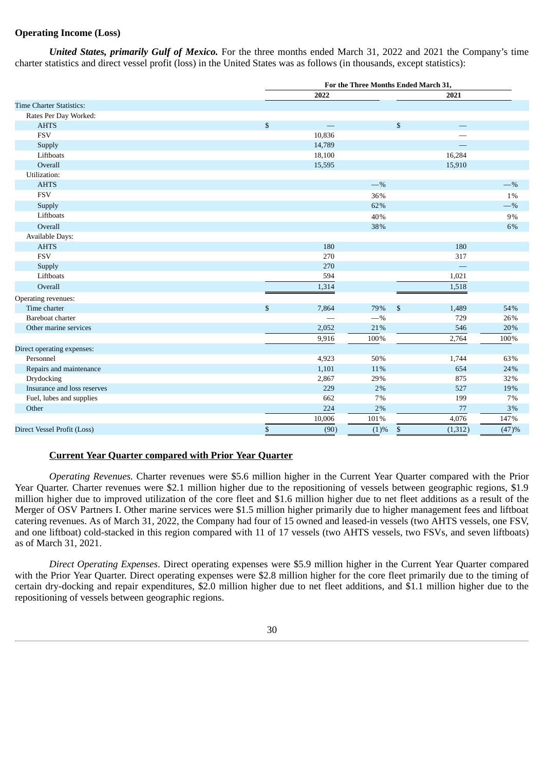#### **Operating Income (Loss)**

*United States, primarily Gulf of Mexico.* For the three months ended March 31, 2022 and 2021 the Company's time charter statistics and direct vessel profit (loss) in the United States was as follows (in thousands, except statistics):

|                                 |             | For the Three Months Ended March 31, |                |                          |       |
|---------------------------------|-------------|--------------------------------------|----------------|--------------------------|-------|
|                                 | 2022        |                                      |                | 2021                     |       |
| <b>Time Charter Statistics:</b> |             |                                      |                |                          |       |
| Rates Per Day Worked:           |             |                                      |                |                          |       |
| <b>AHTS</b>                     | \$          |                                      | $\mathbb{S}$   |                          |       |
| <b>FSV</b>                      | 10,836      |                                      |                |                          |       |
| Supply                          | 14,789      |                                      |                | $\equiv$                 |       |
| Liftboats                       | 18,100      |                                      |                | 16,284                   |       |
| Overall                         | 15,595      |                                      |                | 15,910                   |       |
| Utilization:                    |             |                                      |                |                          |       |
| <b>AHTS</b>                     |             | $-$ %                                |                |                          | $-$ % |
| <b>FSV</b>                      |             | 36%                                  |                |                          | 1%    |
| Supply                          |             | 62%                                  |                |                          | $-$ % |
| Liftboats                       |             | 40%                                  |                |                          | 9%    |
| Overall                         |             | 38%                                  |                |                          | 6%    |
| <b>Available Days:</b>          |             |                                      |                |                          |       |
| <b>AHTS</b>                     | 180         |                                      |                | 180                      |       |
| <b>FSV</b>                      | 270         |                                      |                | 317                      |       |
| Supply                          | 270         |                                      |                | $\overline{\phantom{0}}$ |       |
| Liftboats                       | 594         |                                      |                | 1,021                    |       |
| Overall                         | 1,314       |                                      |                | 1,518                    |       |
| Operating revenues:             |             |                                      |                |                          |       |
| Time charter                    | \$<br>7,864 | 79%                                  | $\mathbb{S}$   | 1,489                    | 54%   |
| Bareboat charter                |             | $-$ %                                |                | 729                      | 26%   |
| Other marine services           | 2,052       | 21%                                  |                | 546                      | 20%   |
|                                 | 9,916       | 100%                                 |                | 2,764                    | 100%  |
| Direct operating expenses:      |             |                                      |                |                          |       |
| Personnel                       | 4,923       | 50%                                  |                | 1,744                    | 63%   |
| Repairs and maintenance         | 1,101       | $11\%$                               |                | 654                      | 24%   |
| Drydocking                      | 2,867       | 29%                                  |                | 875                      | 32%   |
| Insurance and loss reserves     | 229         | 2%                                   |                | 527                      | 19%   |
| Fuel, lubes and supplies        | 662         | 7%                                   |                | 199                      | 7%    |
| Other                           | 224         | $2\%$                                |                | 77                       | 3%    |
|                                 | 10,006      | 101%                                 |                | 4,076                    | 147%  |
| Direct Vessel Profit (Loss)     | \$<br>(90)  | (1)%                                 | $\mathfrak{S}$ | (1, 312)                 | (47)% |

# **Current Year Quarter compared with Prior Year Quarter**

*Operating Revenues.* Charter revenues were \$5.6 million higher in the Current Year Quarter compared with the Prior Year Quarter. Charter revenues were \$2.1 million higher due to the repositioning of vessels between geographic regions, \$1.9 million higher due to improved utilization of the core fleet and \$1.6 million higher due to net fleet additions as a result of the Merger of OSV Partners I. Other marine services were \$1.5 million higher primarily due to higher management fees and liftboat catering revenues. As of March 31, 2022, the Company had four of 15 owned and leased-in vessels (two AHTS vessels, one FSV, and one liftboat) cold-stacked in this region compared with 11 of 17 vessels (two AHTS vessels, two FSVs, and seven liftboats) as of March 31, 2021.

*Direct Operating Expenses*. Direct operating expenses were \$5.9 million higher in the Current Year Quarter compared with the Prior Year Quarter. Direct operating expenses were \$2.8 million higher for the core fleet primarily due to the timing of certain dry-docking and repair expenditures, \$2.0 million higher due to net fleet additions, and \$1.1 million higher due to the repositioning of vessels between geographic regions.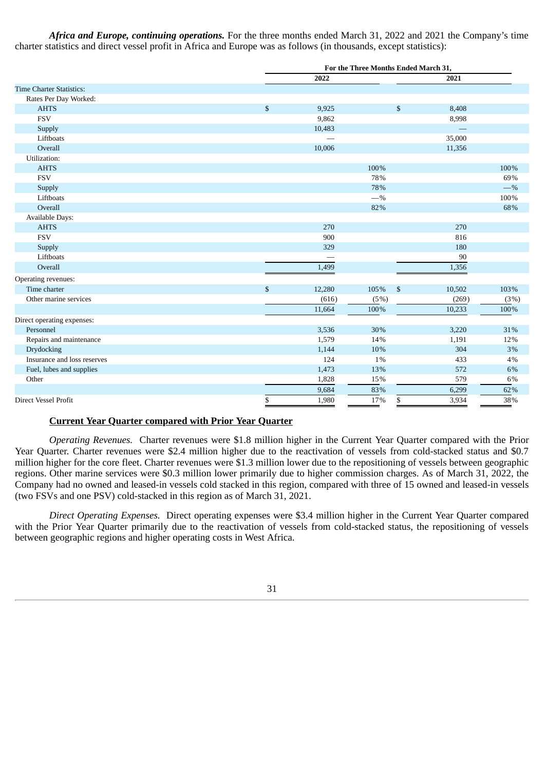*Africa and Europe, continuing operations.* For the three months ended March 31, 2022 and 2021 the Company's time charter statistics and direct vessel profit in Africa and Europe was as follows (in thousands, except statistics):

|                                 | For the Three Months Ended March 31, |       |    |        |       |  |  |  |  |  |
|---------------------------------|--------------------------------------|-------|----|--------|-------|--|--|--|--|--|
|                                 | 2022                                 |       |    | 2021   |       |  |  |  |  |  |
| <b>Time Charter Statistics:</b> |                                      |       |    |        |       |  |  |  |  |  |
| Rates Per Day Worked:           |                                      |       |    |        |       |  |  |  |  |  |
| <b>AHTS</b>                     | \$<br>9,925                          |       | \$ | 8,408  |       |  |  |  |  |  |
| <b>FSV</b>                      | 9,862                                |       |    | 8,998  |       |  |  |  |  |  |
| Supply                          | 10,483                               |       |    |        |       |  |  |  |  |  |
| Liftboats                       |                                      |       |    | 35,000 |       |  |  |  |  |  |
| Overall                         | 10,006                               |       |    | 11,356 |       |  |  |  |  |  |
| Utilization:                    |                                      |       |    |        |       |  |  |  |  |  |
| <b>AHTS</b>                     |                                      | 100%  |    |        | 100%  |  |  |  |  |  |
| <b>FSV</b>                      |                                      | 78%   |    |        | 69%   |  |  |  |  |  |
| Supply                          |                                      | 78%   |    |        | $-$ % |  |  |  |  |  |
| Liftboats                       |                                      | $-$ % |    |        | 100%  |  |  |  |  |  |
| Overall                         |                                      | 82%   |    |        | 68%   |  |  |  |  |  |
| Available Days:                 |                                      |       |    |        |       |  |  |  |  |  |
| <b>AHTS</b>                     | 270                                  |       |    | 270    |       |  |  |  |  |  |
| <b>FSV</b>                      | 900                                  |       |    | 816    |       |  |  |  |  |  |
| Supply                          | 329                                  |       |    | 180    |       |  |  |  |  |  |
| Liftboats                       |                                      |       |    | 90     |       |  |  |  |  |  |
| Overall                         | 1,499                                |       |    | 1,356  |       |  |  |  |  |  |
| Operating revenues:             |                                      |       |    |        |       |  |  |  |  |  |
| Time charter                    | \$<br>12,280                         | 105%  | \$ | 10,502 | 103%  |  |  |  |  |  |
| Other marine services           | (616)                                | (5%)  |    | (269)  | (3%)  |  |  |  |  |  |
|                                 | 11,664                               | 100%  |    | 10,233 | 100%  |  |  |  |  |  |
| Direct operating expenses:      |                                      |       |    |        |       |  |  |  |  |  |
| Personnel                       | 3,536                                | 30%   |    | 3,220  | 31%   |  |  |  |  |  |
| Repairs and maintenance         | 1,579                                | 14%   |    | 1,191  | 12%   |  |  |  |  |  |
| Drydocking                      | 1,144                                | 10%   |    | 304    | 3%    |  |  |  |  |  |
| Insurance and loss reserves     | 124                                  | $1\%$ |    | 433    | 4%    |  |  |  |  |  |
| Fuel, lubes and supplies        | 1,473                                | 13%   |    | 572    | 6%    |  |  |  |  |  |
| Other                           | 1,828                                | 15%   |    | 579    | 6%    |  |  |  |  |  |
|                                 | 9,684                                | 83%   |    | 6,299  | 62%   |  |  |  |  |  |
| <b>Direct Vessel Profit</b>     | \$<br>1,980                          | 17%   | \$ | 3,934  | 38%   |  |  |  |  |  |

# **Current Year Quarter compared with Prior Year Quarter**

*Operating Revenues.* Charter revenues were \$1.8 million higher in the Current Year Quarter compared with the Prior Year Quarter. Charter revenues were \$2.4 million higher due to the reactivation of vessels from cold-stacked status and \$0.7 million higher for the core fleet. Charter revenues were \$1.3 million lower due to the repositioning of vessels between geographic regions. Other marine services were \$0.3 million lower primarily due to higher commission charges. As of March 31, 2022, the Company had no owned and leased-in vessels cold stacked in this region, compared with three of 15 owned and leased-in vessels (two FSVs and one PSV) cold-stacked in this region as of March 31, 2021.

*Direct Operating Expenses.* Direct operating expenses were \$3.4 million higher in the Current Year Quarter compared with the Prior Year Quarter primarily due to the reactivation of vessels from cold-stacked status, the repositioning of vessels between geographic regions and higher operating costs in West Africa.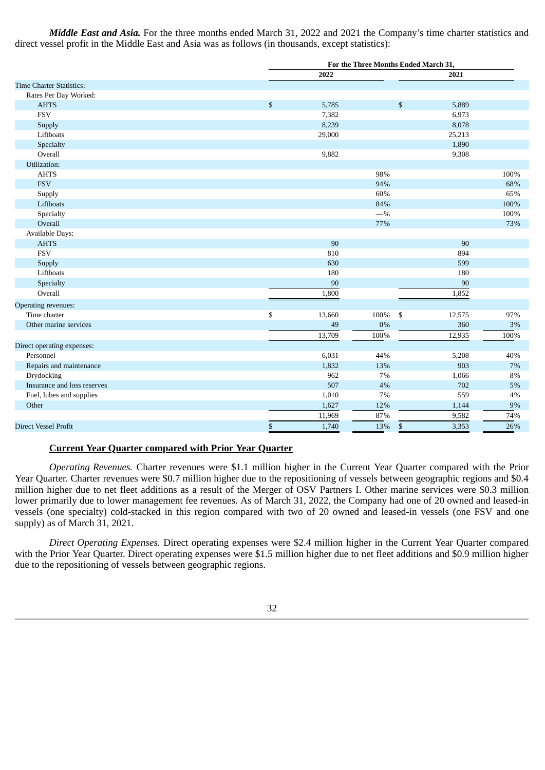*Middle East and Asia.* For the three months ended March 31, 2022 and 2021 the Company's time charter statistics and direct vessel profit in the Middle East and Asia was as follows (in thousands, except statistics):

|                                 |               | For the Three Months Ended March 31, |       |                           |        |        |  |  |  |  |
|---------------------------------|---------------|--------------------------------------|-------|---------------------------|--------|--------|--|--|--|--|
|                                 |               | 2022                                 |       |                           | 2021   |        |  |  |  |  |
| <b>Time Charter Statistics:</b> |               |                                      |       |                           |        |        |  |  |  |  |
| Rates Per Day Worked:           |               |                                      |       |                           |        |        |  |  |  |  |
| <b>AHTS</b>                     | \$            | 5,785                                |       | \$                        | 5,889  |        |  |  |  |  |
| <b>FSV</b>                      |               | 7,382                                |       |                           | 6,973  |        |  |  |  |  |
| Supply                          |               | 8,239                                |       |                           | 8,078  |        |  |  |  |  |
| Liftboats                       |               | 29,000                               |       |                           | 25,213 |        |  |  |  |  |
| Specialty                       |               |                                      |       |                           | 1,890  |        |  |  |  |  |
| Overall                         |               | 9,882                                |       |                           | 9,308  |        |  |  |  |  |
| Utilization:                    |               |                                      |       |                           |        |        |  |  |  |  |
| <b>AHTS</b>                     |               |                                      | 98%   |                           |        | 100%   |  |  |  |  |
| <b>FSV</b>                      |               |                                      | 94%   |                           |        | 68%    |  |  |  |  |
| Supply                          |               |                                      | 60%   |                           |        | 65%    |  |  |  |  |
| Liftboats                       |               |                                      | 84%   |                           |        | 100%   |  |  |  |  |
| Specialty                       |               |                                      | $ \%$ |                           |        | 100%   |  |  |  |  |
| Overall                         |               |                                      | 77%   |                           |        | 73%    |  |  |  |  |
| Available Days:                 |               |                                      |       |                           |        |        |  |  |  |  |
| <b>AHTS</b>                     |               | 90                                   |       |                           | 90     |        |  |  |  |  |
| <b>FSV</b>                      |               | 810                                  |       |                           | 894    |        |  |  |  |  |
| Supply                          |               | 630                                  |       |                           | 599    |        |  |  |  |  |
| Liftboats                       |               | 180                                  |       |                           | 180    |        |  |  |  |  |
| Specialty                       |               | $90\,$                               |       |                           | $90\,$ |        |  |  |  |  |
| Overall                         |               | 1,800                                |       |                           | 1,852  |        |  |  |  |  |
| Operating revenues:             |               |                                      |       |                           |        |        |  |  |  |  |
| Time charter                    | \$            | 13,660                               | 100%  | \$                        | 12,575 | $97\%$ |  |  |  |  |
| Other marine services           |               | 49                                   | 0%    |                           | 360    | $3\%$  |  |  |  |  |
|                                 |               | 13,709                               | 100%  |                           | 12,935 | 100%   |  |  |  |  |
| Direct operating expenses:      |               |                                      |       |                           |        |        |  |  |  |  |
| Personnel                       |               | 6,031                                | 44%   |                           | 5,208  | 40%    |  |  |  |  |
| Repairs and maintenance         |               | 1,832                                | 13%   |                           | 903    | 7%     |  |  |  |  |
| Drydocking                      |               | 962                                  | 7%    |                           | 1,066  | 8%     |  |  |  |  |
| Insurance and loss reserves     |               | 507                                  | 4%    |                           | 702    | 5%     |  |  |  |  |
| Fuel, lubes and supplies        |               | 1,010                                | 7%    |                           | 559    | 4%     |  |  |  |  |
| Other                           |               | 1,627                                | 12%   |                           | 1,144  | 9%     |  |  |  |  |
|                                 |               | 11,969                               | 87%   |                           | 9,582  | 74%    |  |  |  |  |
| <b>Direct Vessel Profit</b>     | ${\mathbb S}$ | 1,740                                | 13%   | $\boldsymbol{\mathsf{S}}$ | 3,353  | 26%    |  |  |  |  |

#### **Current Year Quarter compared with Prior Year Quarter**

*Operating Revenues.* Charter revenues were \$1.1 million higher in the Current Year Quarter compared with the Prior Year Quarter. Charter revenues were \$0.7 million higher due to the repositioning of vessels between geographic regions and \$0.4 million higher due to net fleet additions as a result of the Merger of OSV Partners I. Other marine services were \$0.3 million lower primarily due to lower management fee revenues. As of March 31, 2022, the Company had one of 20 owned and leased-in vessels (one specialty) cold-stacked in this region compared with two of 20 owned and leased-in vessels (one FSV and one supply) as of March 31, 2021.

*Direct Operating Expenses.* Direct operating expenses were \$2.4 million higher in the Current Year Quarter compared with the Prior Year Quarter. Direct operating expenses were \$1.5 million higher due to net fleet additions and \$0.9 million higher due to the repositioning of vessels between geographic regions.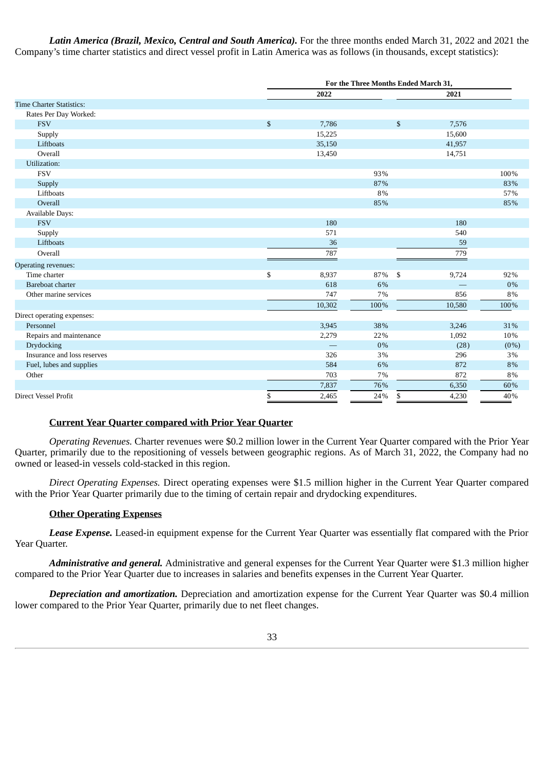Latin America (Brazil, Mexico, Central and South America). For the three months ended March 31, 2022 and 2021 the Company's time charter statistics and direct vessel profit in Latin America was as follows (in thousands, except statistics):

|                                 | For the Three Months Ended March 31, |                          |       |              |                          |      |
|---------------------------------|--------------------------------------|--------------------------|-------|--------------|--------------------------|------|
|                                 | 2022<br>2021                         |                          |       |              |                          |      |
| <b>Time Charter Statistics:</b> |                                      |                          |       |              |                          |      |
| Rates Per Day Worked:           |                                      |                          |       |              |                          |      |
| <b>FSV</b>                      | $\mathbb{S}$                         | 7,786                    |       | $\mathbb{S}$ | 7,576                    |      |
| Supply                          |                                      | 15,225                   |       |              | 15,600                   |      |
| Liftboats                       |                                      | 35,150                   |       |              | 41,957                   |      |
| Overall                         |                                      | 13,450                   |       |              | 14,751                   |      |
| Utilization:                    |                                      |                          |       |              |                          |      |
| <b>FSV</b>                      |                                      |                          | 93%   |              |                          | 100% |
| Supply                          |                                      |                          | 87%   |              |                          | 83%  |
| Liftboats                       |                                      |                          | $8\%$ |              |                          | 57%  |
| Overall                         |                                      |                          | 85%   |              |                          | 85%  |
| Available Days:                 |                                      |                          |       |              |                          |      |
| <b>FSV</b>                      |                                      | 180                      |       |              | 180                      |      |
| Supply                          |                                      | 571                      |       |              | 540                      |      |
| Liftboats                       |                                      | 36                       |       |              | 59                       |      |
| Overall                         |                                      | 787                      |       |              | 779                      |      |
| Operating revenues:             |                                      |                          |       |              |                          |      |
| Time charter                    | \$                                   | 8,937                    | 87%   | \$           | 9,724                    | 92%  |
| Bareboat charter                |                                      | 618                      | 6%    |              | $\overline{\phantom{0}}$ | 0%   |
| Other marine services           |                                      | 747                      | 7%    |              | 856                      | 8%   |
|                                 |                                      | 10,302                   | 100%  |              | 10,580                   | 100% |
| Direct operating expenses:      |                                      |                          |       |              |                          |      |
| Personnel                       |                                      | 3,945                    | 38%   |              | 3,246                    | 31%  |
| Repairs and maintenance         |                                      | 2,279                    | 22%   |              | 1,092                    | 10%  |
| Drydocking                      |                                      | $\overline{\phantom{0}}$ | 0%    |              | (28)                     | (0%) |
| Insurance and loss reserves     |                                      | 326                      | 3%    |              | 296                      | 3%   |
| Fuel, lubes and supplies        |                                      | 584                      | 6%    |              | 872                      | 8%   |
| Other                           |                                      | 703                      | 7%    |              | 872                      | 8%   |
|                                 |                                      | 7,837                    | 76%   |              | 6,350                    | 60%  |
| <b>Direct Vessel Profit</b>     | \$                                   | 2,465                    | 24%   | \$           | 4,230                    | 40%  |

# **Current Year Quarter compared with Prior Year Quarter**

*Operating Revenues.* Charter revenues were \$0.2 million lower in the Current Year Quarter compared with the Prior Year Quarter, primarily due to the repositioning of vessels between geographic regions. As of March 31, 2022, the Company had no owned or leased-in vessels cold-stacked in this region.

*Direct Operating Expenses.* Direct operating expenses were \$1.5 million higher in the Current Year Quarter compared with the Prior Year Quarter primarily due to the timing of certain repair and drydocking expenditures.

#### **Other Operating Expenses**

*Lease Expense.* Leased-in equipment expense for the Current Year Quarter was essentially flat compared with the Prior Year Quarter.

*Administrative and general.* Administrative and general expenses for the Current Year Quarter were \$1.3 million higher compared to the Prior Year Quarter due to increases in salaries and benefits expenses in the Current Year Quarter.

*Depreciation and amortization.* Depreciation and amortization expense for the Current Year Quarter was \$0.4 million lower compared to the Prior Year Quarter, primarily due to net fleet changes.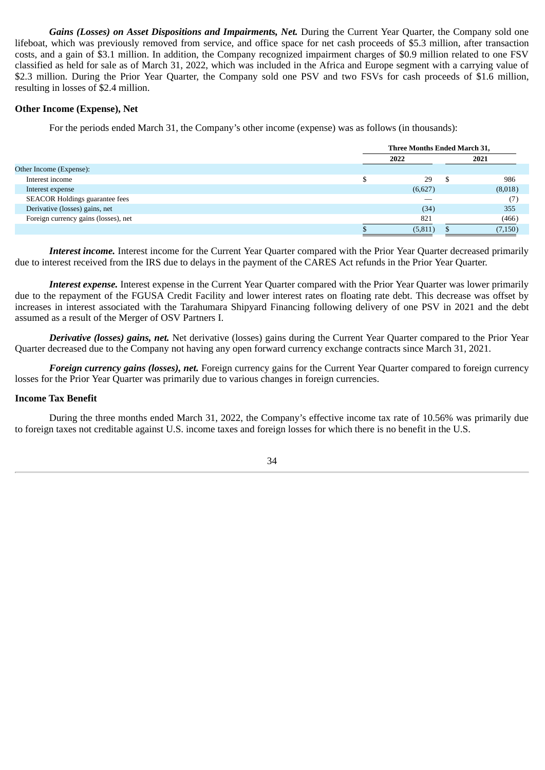*Gains (Losses) on Asset Dispositions and Impairments, Net.* During the Current Year Quarter, the Company sold one lifeboat, which was previously removed from service, and office space for net cash proceeds of \$5.3 million, after transaction costs, and a gain of \$3.1 million. In addition, the Company recognized impairment charges of \$0.9 million related to one FSV classified as held for sale as of March 31, 2022, which was included in the Africa and Europe segment with a carrying value of \$2.3 million. During the Prior Year Quarter, the Company sold one PSV and two FSVs for cash proceeds of \$1.6 million, resulting in losses of \$2.4 million.

# **Other Income (Expense), Net**

For the periods ended March 31, the Company's other income (expense) was as follows (in thousands):

|                                      | Three Months Ended March 31, |  |         |
|--------------------------------------|------------------------------|--|---------|
|                                      | 2022                         |  | 2021    |
| Other Income (Expense):              |                              |  |         |
| Interest income                      | 29                           |  | 986     |
| Interest expense                     | (6,627)                      |  | (8,018) |
| SEACOR Holdings guarantee fees       |                              |  | (7)     |
| Derivative (losses) gains, net       | (34)                         |  | 355     |
| Foreign currency gains (losses), net | 821                          |  | (466)   |
|                                      | (5,811)                      |  | (7,150) |

*Interest income.* Interest income for the Current Year Ouarter compared with the Prior Year Ouarter decreased primarily due to interest received from the IRS due to delays in the payment of the CARES Act refunds in the Prior Year Quarter.

*Interest expense.* Interest expense in the Current Year Quarter compared with the Prior Year Quarter was lower primarily due to the repayment of the FGUSA Credit Facility and lower interest rates on floating rate debt. This decrease was offset by increases in interest associated with the Tarahumara Shipyard Financing following delivery of one PSV in 2021 and the debt assumed as a result of the Merger of OSV Partners I.

*Derivative (losses) gains, net.* Net derivative (losses) gains during the Current Year Quarter compared to the Prior Year Quarter decreased due to the Company not having any open forward currency exchange contracts since March 31, 2021.

*Foreign currency gains (losses), net.* Foreign currency gains for the Current Year Quarter compared to foreign currency losses for the Prior Year Quarter was primarily due to various changes in foreign currencies.

# **Income Tax Benefit**

During the three months ended March 31, 2022, the Company's effective income tax rate of 10.56% was primarily due to foreign taxes not creditable against U.S. income taxes and foreign losses for which there is no benefit in the U.S.

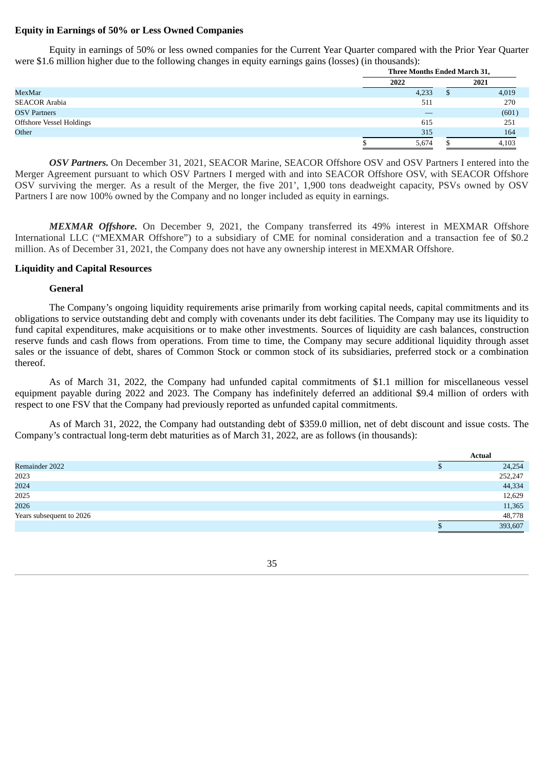### **Equity in Earnings of 50% or Less Owned Companies**

Equity in earnings of 50% or less owned companies for the Current Year Quarter compared with the Prior Year Quarter were \$1.6 million higher due to the following changes in equity earnings gains (losses) (in thousands):

|                                 |       | Three Months Ended March 31, |       |  |
|---------------------------------|-------|------------------------------|-------|--|
|                                 | 2022  |                              | 2021  |  |
| MexMar                          | 4,233 |                              | 4,019 |  |
| <b>SEACOR Arabia</b>            | 511   |                              | 270   |  |
| <b>OSV Partners</b>             |       |                              | (601) |  |
| <b>Offshore Vessel Holdings</b> | 615   |                              | 251   |  |
| Other                           | 315   |                              | 164   |  |
|                                 | 5,674 |                              | 4,103 |  |

*OSV Partners.* On December 31, 2021, SEACOR Marine, SEACOR Offshore OSV and OSV Partners I entered into the Merger Agreement pursuant to which OSV Partners I merged with and into SEACOR Offshore OSV, with SEACOR Offshore OSV surviving the merger. As a result of the Merger, the five 201', 1,900 tons deadweight capacity, PSVs owned by OSV Partners I are now 100% owned by the Company and no longer included as equity in earnings.

*MEXMAR Offshore.* On December 9, 2021, the Company transferred its 49% interest in MEXMAR Offshore International LLC ("MEXMAR Offshore") to a subsidiary of CME for nominal consideration and a transaction fee of \$0.2 million. As of December 31, 2021, the Company does not have any ownership interest in MEXMAR Offshore.

# **Liquidity and Capital Resources**

#### **General**

The Company's ongoing liquidity requirements arise primarily from working capital needs, capital commitments and its obligations to service outstanding debt and comply with covenants under its debt facilities. The Company may use its liquidity to fund capital expenditures, make acquisitions or to make other investments. Sources of liquidity are cash balances, construction reserve funds and cash flows from operations. From time to time, the Company may secure additional liquidity through asset sales or the issuance of debt, shares of Common Stock or common stock of its subsidiaries, preferred stock or a combination thereof.

As of March 31, 2022, the Company had unfunded capital commitments of \$1.1 million for miscellaneous vessel equipment payable during 2022 and 2023. The Company has indefinitely deferred an additional \$9.4 million of orders with respect to one FSV that the Company had previously reported as unfunded capital commitments.

As of March 31, 2022, the Company had outstanding debt of \$359.0 million, net of debt discount and issue costs. The Company's contractual long-term debt maturities as of March 31, 2022, are as follows (in thousands):

|                          | <b>Actual</b> |
|--------------------------|---------------|
| Remainder 2022           | 24,254        |
| 2023                     | 252,247       |
| 2024                     | 44,334        |
| 2025                     | 12,629        |
| 2026                     | 11,365        |
| Years subsequent to 2026 | 48,778        |
|                          | 393,607       |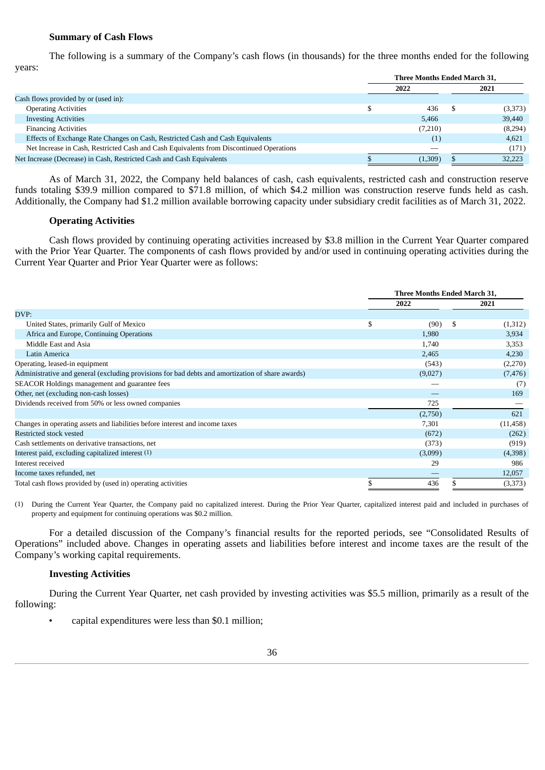# **Summary of Cash Flows**

The following is a summary of the Company's cash flows (in thousands) for the three months ended for the following years:

|                                                                                         | Three Months Ended March 31, |         |  |         |
|-----------------------------------------------------------------------------------------|------------------------------|---------|--|---------|
|                                                                                         |                              | 2022    |  | 2021    |
| Cash flows provided by or (used in):                                                    |                              |         |  |         |
| <b>Operating Activities</b>                                                             |                              | 436     |  | (3,373) |
| <b>Investing Activities</b>                                                             |                              | 5.466   |  | 39,440  |
| <b>Financing Activities</b>                                                             |                              | (7,210) |  | (8,294) |
| Effects of Exchange Rate Changes on Cash, Restricted Cash and Cash Equivalents          |                              | (1)     |  | 4,621   |
| Net Increase in Cash, Restricted Cash and Cash Equivalents from Discontinued Operations |                              |         |  | (171)   |
| Net Increase (Decrease) in Cash, Restricted Cash and Cash Equivalents                   |                              | (1,309) |  | 32.223  |

As of March 31, 2022, the Company held balances of cash, cash equivalents, restricted cash and construction reserve funds totaling \$39.9 million compared to \$71.8 million, of which \$4.2 million was construction reserve funds held as cash. Additionally, the Company had \$1.2 million available borrowing capacity under subsidiary credit facilities as of March 31, 2022.

# **Operating Activities**

Cash flows provided by continuing operating activities increased by \$3.8 million in the Current Year Quarter compared with the Prior Year Quarter. The components of cash flows provided by and/or used in continuing operating activities during the Current Year Quarter and Prior Year Quarter were as follows:

|                                                                                                  | Three Months Ended March 31, |         |    |           |
|--------------------------------------------------------------------------------------------------|------------------------------|---------|----|-----------|
|                                                                                                  |                              | 2022    |    | 2021      |
| DVP:                                                                                             |                              |         |    |           |
| United States, primarily Gulf of Mexico                                                          | \$                           | (90)    | S. | (1,312)   |
| Africa and Europe, Continuing Operations                                                         |                              | 1,980   |    | 3,934     |
| Middle East and Asia                                                                             |                              | 1,740   |    | 3,353     |
| Latin America                                                                                    |                              | 2,465   |    | 4,230     |
| Operating, leased-in equipment                                                                   |                              | (543)   |    | (2,270)   |
| Administrative and general (excluding provisions for bad debts and amortization of share awards) |                              | (9,027) |    | (7, 476)  |
| SEACOR Holdings management and guarantee fees                                                    |                              |         |    | (7)       |
| Other, net (excluding non-cash losses)                                                           |                              |         |    | 169       |
| Dividends received from 50% or less owned companies                                              |                              | 725     |    |           |
|                                                                                                  |                              | (2,750) |    | 621       |
| Changes in operating assets and liabilities before interest and income taxes                     |                              | 7,301   |    | (11, 458) |
| Restricted stock vested                                                                          |                              | (672)   |    | (262)     |
| Cash settlements on derivative transactions, net                                                 |                              | (373)   |    | (919)     |
| Interest paid, excluding capitalized interest $(1)$                                              |                              | (3,099) |    | (4,398)   |
| Interest received                                                                                |                              | 29      |    | 986       |
| Income taxes refunded, net                                                                       |                              |         |    | 12,057    |
| Total cash flows provided by (used in) operating activities                                      |                              | 436     |    | (3,373)   |

(1) During the Current Year Quarter, the Company paid no capitalized interest. During the Prior Year Quarter, capitalized interest paid and included in purchases of property and equipment for continuing operations was \$0.2 million.

For a detailed discussion of the Company's financial results for the reported periods, see "Consolidated Results of Operations" included above. Changes in operating assets and liabilities before interest and income taxes are the result of the Company's working capital requirements.

#### **Investing Activities**

During the Current Year Quarter, net cash provided by investing activities was \$5.5 million, primarily as a result of the following:

• capital expenditures were less than \$0.1 million;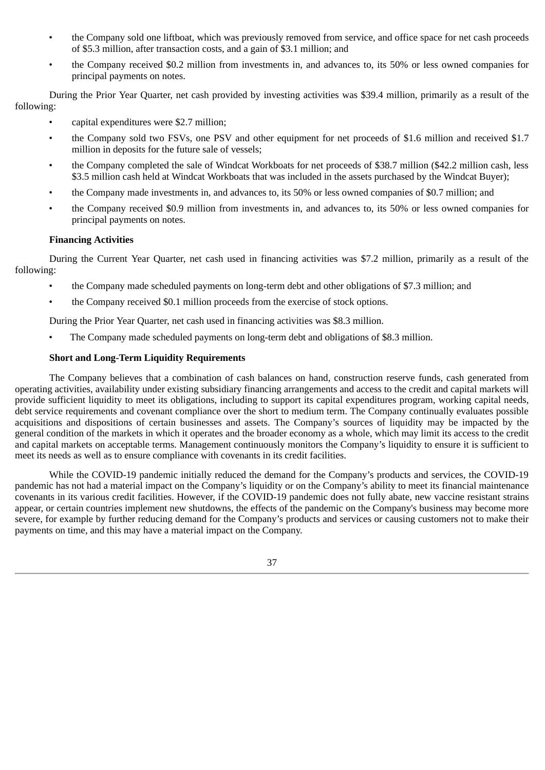- the Company sold one liftboat, which was previously removed from service, and office space for net cash proceeds of \$5.3 million, after transaction costs, and a gain of \$3.1 million; and
- the Company received \$0.2 million from investments in, and advances to, its 50% or less owned companies for principal payments on notes.

During the Prior Year Quarter, net cash provided by investing activities was \$39.4 million, primarily as a result of the following:

- capital expenditures were \$2.7 million;
- the Company sold two FSVs, one PSV and other equipment for net proceeds of \$1.6 million and received \$1.7 million in deposits for the future sale of vessels;
- the Company completed the sale of Windcat Workboats for net proceeds of \$38.7 million (\$42.2 million cash, less \$3.5 million cash held at Windcat Workboats that was included in the assets purchased by the Windcat Buyer);
- the Company made investments in, and advances to, its 50% or less owned companies of \$0.7 million; and
- the Company received \$0.9 million from investments in, and advances to, its 50% or less owned companies for principal payments on notes.

# **Financing Activities**

During the Current Year Quarter, net cash used in financing activities was \$7.2 million, primarily as a result of the following:

- the Company made scheduled payments on long-term debt and other obligations of \$7.3 million; and
- the Company received \$0.1 million proceeds from the exercise of stock options.

During the Prior Year Quarter, net cash used in financing activities was \$8.3 million.

• The Company made scheduled payments on long-term debt and obligations of \$8.3 million.

# **Short and Long-Term Liquidity Requirements**

The Company believes that a combination of cash balances on hand, construction reserve funds, cash generated from operating activities, availability under existing subsidiary financing arrangements and access to the credit and capital markets will provide sufficient liquidity to meet its obligations, including to support its capital expenditures program, working capital needs, debt service requirements and covenant compliance over the short to medium term. The Company continually evaluates possible acquisitions and dispositions of certain businesses and assets. The Company's sources of liquidity may be impacted by the general condition of the markets in which it operates and the broader economy as a whole, which may limit its access to the credit and capital markets on acceptable terms. Management continuously monitors the Company's liquidity to ensure it is sufficient to meet its needs as well as to ensure compliance with covenants in its credit facilities.

While the COVID-19 pandemic initially reduced the demand for the Company's products and services, the COVID-19 pandemic has not had a material impact on the Company's liquidity or on the Company's ability to meet its financial maintenance covenants in its various credit facilities. However, if the COVID-19 pandemic does not fully abate, new vaccine resistant strains appear, or certain countries implement new shutdowns, the effects of the pandemic on the Company's business may become more severe, for example by further reducing demand for the Company's products and services or causing customers not to make their payments on time, and this may have a material impact on the Company.

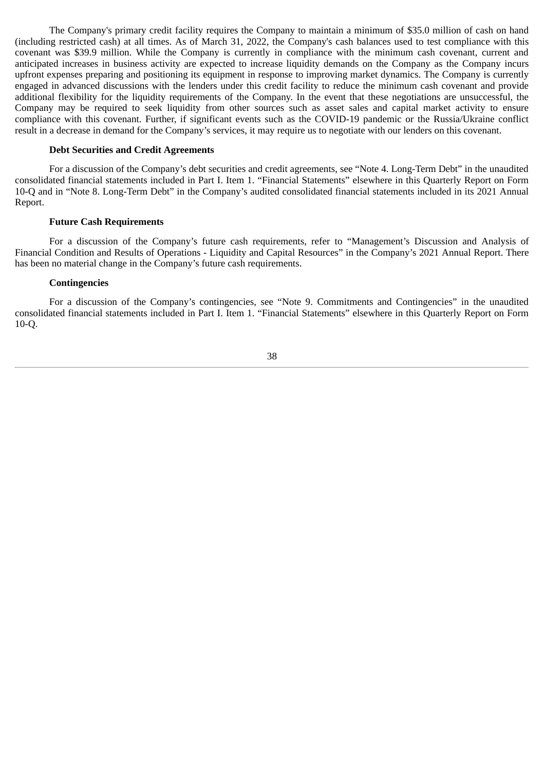The Company's primary credit facility requires the Company to maintain a minimum of \$35.0 million of cash on hand (including restricted cash) at all times. As of March 31, 2022, the Company's cash balances used to test compliance with this covenant was \$39.9 million. While the Company is currently in compliance with the minimum cash covenant, current and anticipated increases in business activity are expected to increase liquidity demands on the Company as the Company incurs upfront expenses preparing and positioning its equipment in response to improving market dynamics. The Company is currently engaged in advanced discussions with the lenders under this credit facility to reduce the minimum cash covenant and provide additional flexibility for the liquidity requirements of the Company. In the event that these negotiations are unsuccessful, the Company may be required to seek liquidity from other sources such as asset sales and capital market activity to ensure compliance with this covenant. Further, if significant events such as the COVID-19 pandemic or the Russia/Ukraine conflict result in a decrease in demand for the Company's services, it may require us to negotiate with our lenders on this covenant.

# **Debt Securities and Credit Agreements**

For a discussion of the Company's debt securities and credit agreements, see "Note 4. Long-Term Debt" in the unaudited consolidated financial statements included in Part I. Item 1. "Financial Statements" elsewhere in this Quarterly Report on Form 10-Q and in "Note 8. Long-Term Debt" in the Company's audited consolidated financial statements included in its 2021 Annual Report.

# **Future Cash Requirements**

For a discussion of the Company's future cash requirements, refer to "Management's Discussion and Analysis of Financial Condition and Results of Operations - Liquidity and Capital Resources" in the Company's 2021 Annual Report. There has been no material change in the Company's future cash requirements.

#### **Contingencies**

For a discussion of the Company's contingencies, see "Note 9. Commitments and Contingencies" in the unaudited consolidated financial statements included in Part I. Item 1. "Financial Statements" elsewhere in this Quarterly Report on Form 10-Q.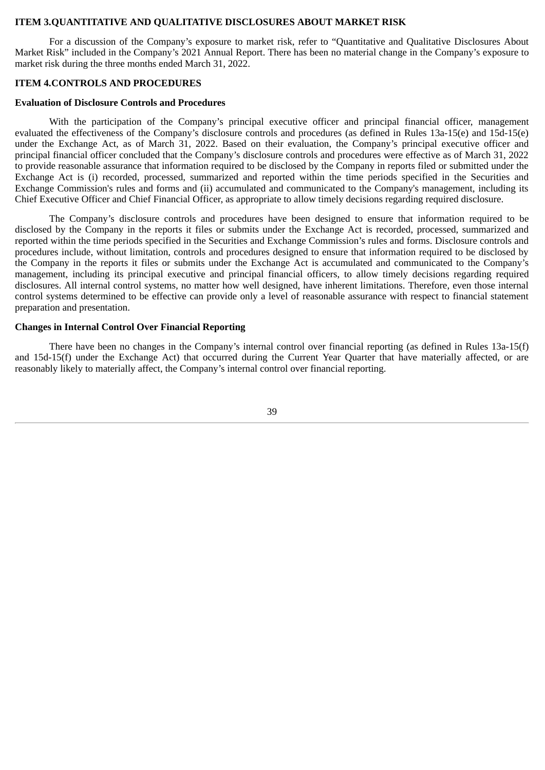# <span id="page-40-0"></span>**ITEM 3.QUANTITATIVE AND QUALITATIVE DISCLOSURES ABOUT MARKET RISK**

For a discussion of the Company's exposure to market risk, refer to "Quantitative and Qualitative Disclosures About Market Risk" included in the Company's 2021 Annual Report. There has been no material change in the Company's exposure to market risk during the three months ended March 31, 2022.

# <span id="page-40-1"></span>**ITEM 4.CONTROLS AND PROCEDURES**

#### **Evaluation of Disclosure Controls and Procedures**

With the participation of the Company's principal executive officer and principal financial officer, management evaluated the effectiveness of the Company's disclosure controls and procedures (as defined in Rules 13a-15(e) and 15d-15(e) under the Exchange Act, as of March 31, 2022. Based on their evaluation, the Company's principal executive officer and principal financial officer concluded that the Company's disclosure controls and procedures were effective as of March 31, 2022 to provide reasonable assurance that information required to be disclosed by the Company in reports filed or submitted under the Exchange Act is (i) recorded, processed, summarized and reported within the time periods specified in the Securities and Exchange Commission's rules and forms and (ii) accumulated and communicated to the Company's management, including its Chief Executive Officer and Chief Financial Officer, as appropriate to allow timely decisions regarding required disclosure.

The Company's disclosure controls and procedures have been designed to ensure that information required to be disclosed by the Company in the reports it files or submits under the Exchange Act is recorded, processed, summarized and reported within the time periods specified in the Securities and Exchange Commission's rules and forms. Disclosure controls and procedures include, without limitation, controls and procedures designed to ensure that information required to be disclosed by the Company in the reports it files or submits under the Exchange Act is accumulated and communicated to the Company's management, including its principal executive and principal financial officers, to allow timely decisions regarding required disclosures. All internal control systems, no matter how well designed, have inherent limitations. Therefore, even those internal control systems determined to be effective can provide only a level of reasonable assurance with respect to financial statement preparation and presentation.

# **Changes in Internal Control Over Financial Reporting**

There have been no changes in the Company's internal control over financial reporting (as defined in Rules 13a-15(f) and 15d-15(f) under the Exchange Act) that occurred during the Current Year Quarter that have materially affected, or are reasonably likely to materially affect, the Company's internal control over financial reporting.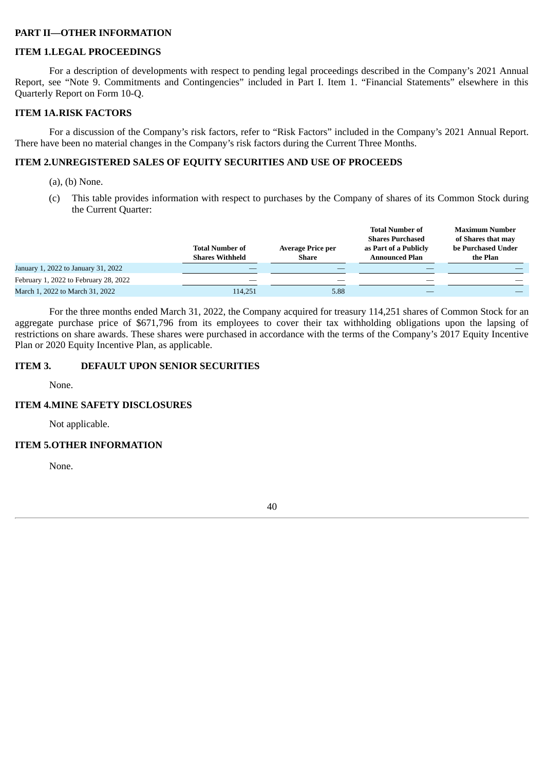# <span id="page-41-0"></span>**PART II—OTHER INFORMATION**

# <span id="page-41-1"></span>**ITEM 1.LEGAL PROCEEDINGS**

For a description of developments with respect to pending legal proceedings described in the Company's 2021 Annual Report, see "Note 9. Commitments and Contingencies" included in Part I. Item 1. "Financial Statements" elsewhere in this Quarterly Report on Form 10-Q.

# <span id="page-41-2"></span>**ITEM 1A.RISK FACTORS**

For a discussion of the Company's risk factors, refer to "Risk Factors" included in the Company's 2021 Annual Report. There have been no material changes in the Company's risk factors during the Current Three Months.

# **ITEM 2.UNREGISTERED SALES OF EQUITY SECURITIES AND USE OF PROCEEDS**

- <span id="page-41-3"></span>(a), (b) None.
- (c) This table provides information with respect to purchases by the Company of shares of its Common Stock during the Current Quarter:

|                                       | <b>Total Number of</b><br><b>Shares Withheld</b> | <b>Average Price per</b><br>Share | <b>Total Number of</b><br><b>Shares Purchased</b><br>as Part of a Publicly<br><b>Announced Plan</b> | <b>Maximum Number</b><br>of Shares that may<br>be Purchased Under<br>the Plan |
|---------------------------------------|--------------------------------------------------|-----------------------------------|-----------------------------------------------------------------------------------------------------|-------------------------------------------------------------------------------|
| January 1, 2022 to January 31, 2022   |                                                  |                                   |                                                                                                     |                                                                               |
| February 1, 2022 to February 28, 2022 |                                                  |                                   |                                                                                                     |                                                                               |
| March 1, 2022 to March 31, 2022       | 114.251                                          | 5.88                              |                                                                                                     |                                                                               |

For the three months ended March 31, 2022, the Company acquired for treasury 114,251 shares of Common Stock for an aggregate purchase price of \$671,796 from its employees to cover their tax withholding obligations upon the lapsing of restrictions on share awards. These shares were purchased in accordance with the terms of the Company's 2017 Equity Incentive Plan or 2020 Equity Incentive Plan, as applicable.

# <span id="page-41-4"></span>**ITEM 3. DEFAULT UPON SENIOR SECURITIES**

<span id="page-41-5"></span>None.

# **ITEM 4.MINE SAFETY DISCLOSURES**

<span id="page-41-6"></span>Not applicable.

# **ITEM 5.OTHER INFORMATION**

None.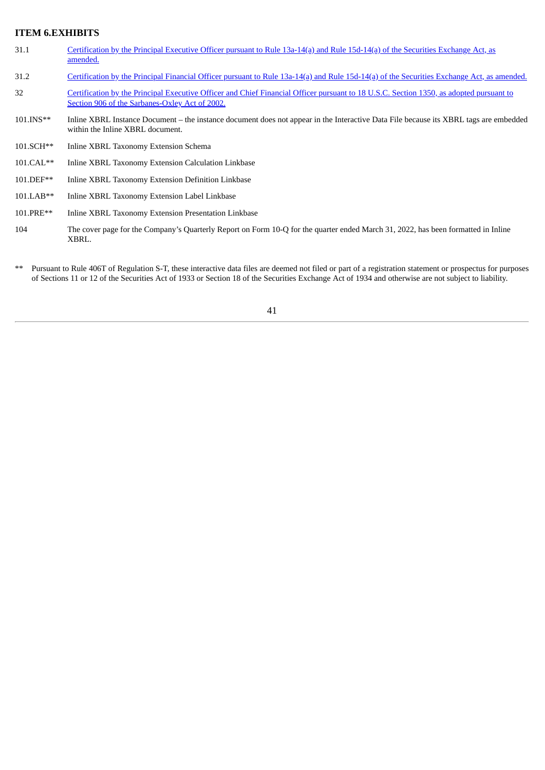#### <span id="page-42-0"></span>**ITEM 6.EXHIBITS**

| 31.1        | Certification by the Principal Executive Officer pursuant to Rule 13a-14(a) and Rule 15d-14(a) of the Securities Exchange Act, as<br>amended.                                             |
|-------------|-------------------------------------------------------------------------------------------------------------------------------------------------------------------------------------------|
| 31.2        | Certification by the Principal Financial Officer pursuant to Rule 13a-14(a) and Rule 15d-14(a) of the Securities Exchange Act, as amended.                                                |
| 32          | Certification by the Principal Executive Officer and Chief Financial Officer pursuant to 18 U.S.C. Section 1350, as adopted pursuant to<br>Section 906 of the Sarbanes-Oxley Act of 2002. |
| $101.INS**$ | Inline XBRL Instance Document - the instance document does not appear in the Interactive Data File because its XBRL tags are embedded                                                     |

- within the Inline XBRL document.
- 101.SCH\*\* Inline XBRL Taxonomy Extension Schema
- 101.CAL\*\* Inline XBRL Taxonomy Extension Calculation Linkbase
- 101.DEF\*\* Inline XBRL Taxonomy Extension Definition Linkbase
- 101.LAB\*\* Inline XBRL Taxonomy Extension Label Linkbase
- 101.PRE\*\* Inline XBRL Taxonomy Extension Presentation Linkbase
- 104 The cover page for the Company's Quarterly Report on Form 10-Q for the quarter ended March 31, 2022, has been formatted in Inline XBRL.
- \*\* Pursuant to Rule 406T of Regulation S-T, these interactive data files are deemed not filed or part of a registration statement or prospectus for purposes of Sections 11 or 12 of the Securities Act of 1933 or Section 18 of the Securities Exchange Act of 1934 and otherwise are not subject to liability.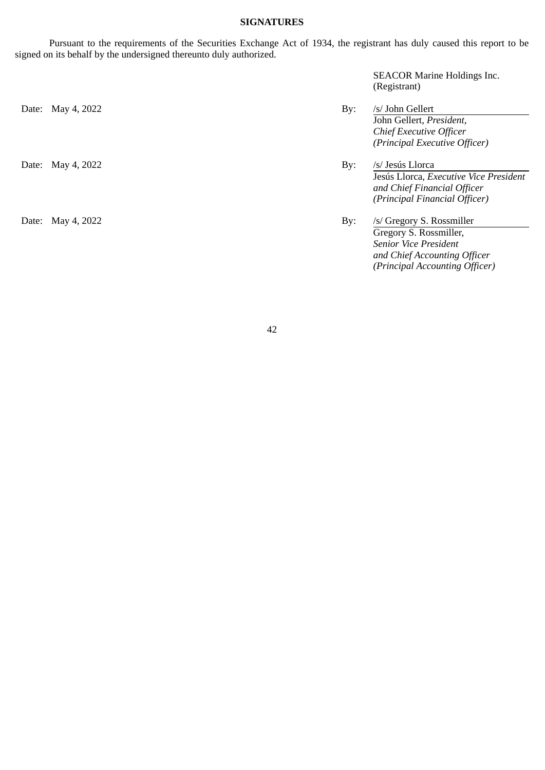# **SIGNATURES**

Pursuant to the requirements of the Securities Exchange Act of 1934, the registrant has duly caused this report to be signed on its behalf by the undersigned thereunto duly authorized.

> SEACOR Marine Holdings Inc. (Registrant)

- Date: May 4, 2022 By: /s/ John Gellert John Gellert, *President, Chief Executive Officer (Principal Executive Officer)*
- Date: May 4, 2022 By: /s/ Jesús Llorca Jesús Llorca, *Executive Vice President and Chief Financial Officer (Principal Financial Officer)*
- Date: May 4, 2022 By: /s/ Gregory S. Rossmiller Gregory S. Rossmiller, *Senior Vice President and Chief Accounting Officer (Principal Accounting Officer)*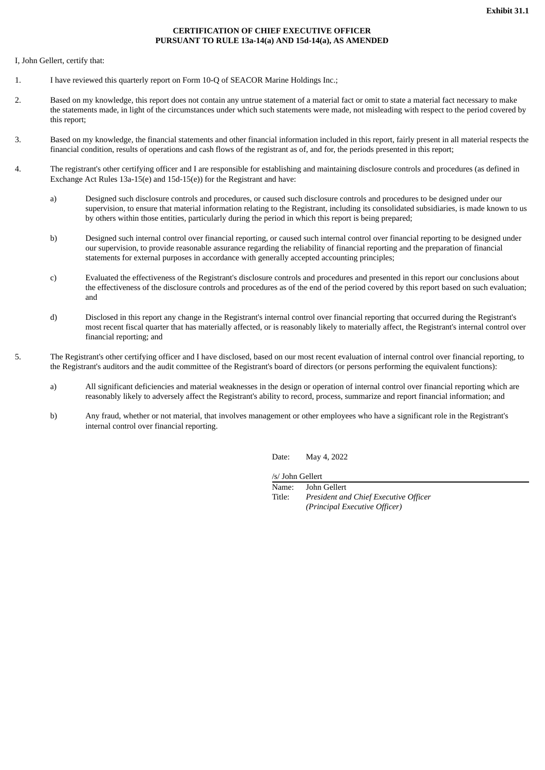#### **CERTIFICATION OF CHIEF EXECUTIVE OFFICER PURSUANT TO RULE 13a-14(a) AND 15d-14(a), AS AMENDED**

<span id="page-44-0"></span>I, John Gellert, certify that:

- 1. I have reviewed this quarterly report on Form 10-Q of SEACOR Marine Holdings Inc.;
- 2. Based on my knowledge, this report does not contain any untrue statement of a material fact or omit to state a material fact necessary to make the statements made, in light of the circumstances under which such statements were made, not misleading with respect to the period covered by this report;
- 3. Based on my knowledge, the financial statements and other financial information included in this report, fairly present in all material respects the financial condition, results of operations and cash flows of the registrant as of, and for, the periods presented in this report;
- 4. The registrant's other certifying officer and I are responsible for establishing and maintaining disclosure controls and procedures (as defined in Exchange Act Rules 13a-15(e) and 15d-15(e)) for the Registrant and have:
	- a) Designed such disclosure controls and procedures, or caused such disclosure controls and procedures to be designed under our supervision, to ensure that material information relating to the Registrant, including its consolidated subsidiaries, is made known to us by others within those entities, particularly during the period in which this report is being prepared;
	- b) Designed such internal control over financial reporting, or caused such internal control over financial reporting to be designed under our supervision, to provide reasonable assurance regarding the reliability of financial reporting and the preparation of financial statements for external purposes in accordance with generally accepted accounting principles;
	- c) Evaluated the effectiveness of the Registrant's disclosure controls and procedures and presented in this report our conclusions about the effectiveness of the disclosure controls and procedures as of the end of the period covered by this report based on such evaluation; and
	- d) Disclosed in this report any change in the Registrant's internal control over financial reporting that occurred during the Registrant's most recent fiscal quarter that has materially affected, or is reasonably likely to materially affect, the Registrant's internal control over financial reporting; and
- 5. The Registrant's other certifying officer and I have disclosed, based on our most recent evaluation of internal control over financial reporting, to the Registrant's auditors and the audit committee of the Registrant's board of directors (or persons performing the equivalent functions):
	- a) All significant deficiencies and material weaknesses in the design or operation of internal control over financial reporting which are reasonably likely to adversely affect the Registrant's ability to record, process, summarize and report financial information; and
	- b) Any fraud, whether or not material, that involves management or other employees who have a significant role in the Registrant's internal control over financial reporting.

Date: May 4, 2022

/s/ John Gellert

Name: John Gellert Title: *President and Chief Executive Officer (Principal Executive Officer)*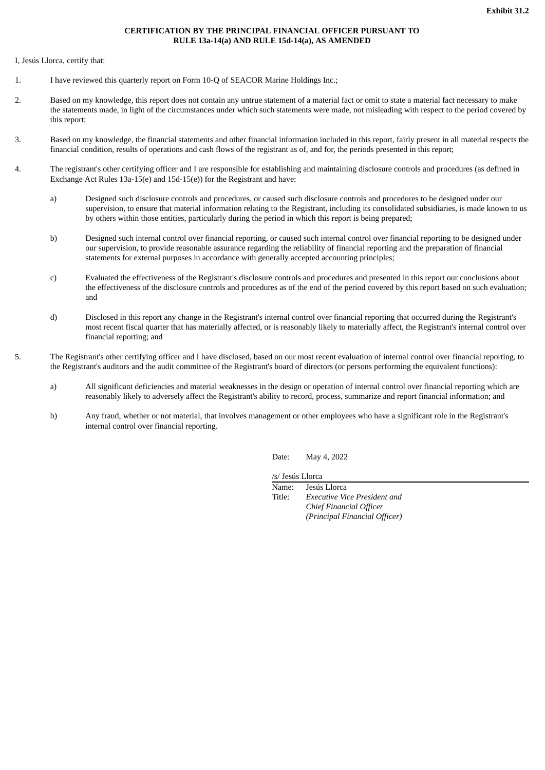#### **CERTIFICATION BY THE PRINCIPAL FINANCIAL OFFICER PURSUANT TO RULE 13a-14(a) AND RULE 15d-14(a), AS AMENDED**

<span id="page-45-0"></span>I, Jesús Llorca, certify that:

- 1. I have reviewed this quarterly report on Form 10-Q of SEACOR Marine Holdings Inc.;
- 2. Based on my knowledge, this report does not contain any untrue statement of a material fact or omit to state a material fact necessary to make the statements made, in light of the circumstances under which such statements were made, not misleading with respect to the period covered by this report;
- 3. Based on my knowledge, the financial statements and other financial information included in this report, fairly present in all material respects the financial condition, results of operations and cash flows of the registrant as of, and for, the periods presented in this report;
- 4. The registrant's other certifying officer and I are responsible for establishing and maintaining disclosure controls and procedures (as defined in Exchange Act Rules 13a-15(e) and 15d-15(e)) for the Registrant and have:
	- a) Designed such disclosure controls and procedures, or caused such disclosure controls and procedures to be designed under our supervision, to ensure that material information relating to the Registrant, including its consolidated subsidiaries, is made known to us by others within those entities, particularly during the period in which this report is being prepared;
	- b) Designed such internal control over financial reporting, or caused such internal control over financial reporting to be designed under our supervision, to provide reasonable assurance regarding the reliability of financial reporting and the preparation of financial statements for external purposes in accordance with generally accepted accounting principles;
	- c) Evaluated the effectiveness of the Registrant's disclosure controls and procedures and presented in this report our conclusions about the effectiveness of the disclosure controls and procedures as of the end of the period covered by this report based on such evaluation; and
	- d) Disclosed in this report any change in the Registrant's internal control over financial reporting that occurred during the Registrant's most recent fiscal quarter that has materially affected, or is reasonably likely to materially affect, the Registrant's internal control over financial reporting; and
- 5. The Registrant's other certifying officer and I have disclosed, based on our most recent evaluation of internal control over financial reporting, to the Registrant's auditors and the audit committee of the Registrant's board of directors (or persons performing the equivalent functions):
	- a) All significant deficiencies and material weaknesses in the design or operation of internal control over financial reporting which are reasonably likely to adversely affect the Registrant's ability to record, process, summarize and report financial information; and
	- b) Any fraud, whether or not material, that involves management or other employees who have a significant role in the Registrant's internal control over financial reporting.

Date: May 4, 2022

/s/ Jesús Llorca

Name: Jesús Llorca Title: *Executive Vice President and Chief Financial Officer (Principal Financial Officer)*